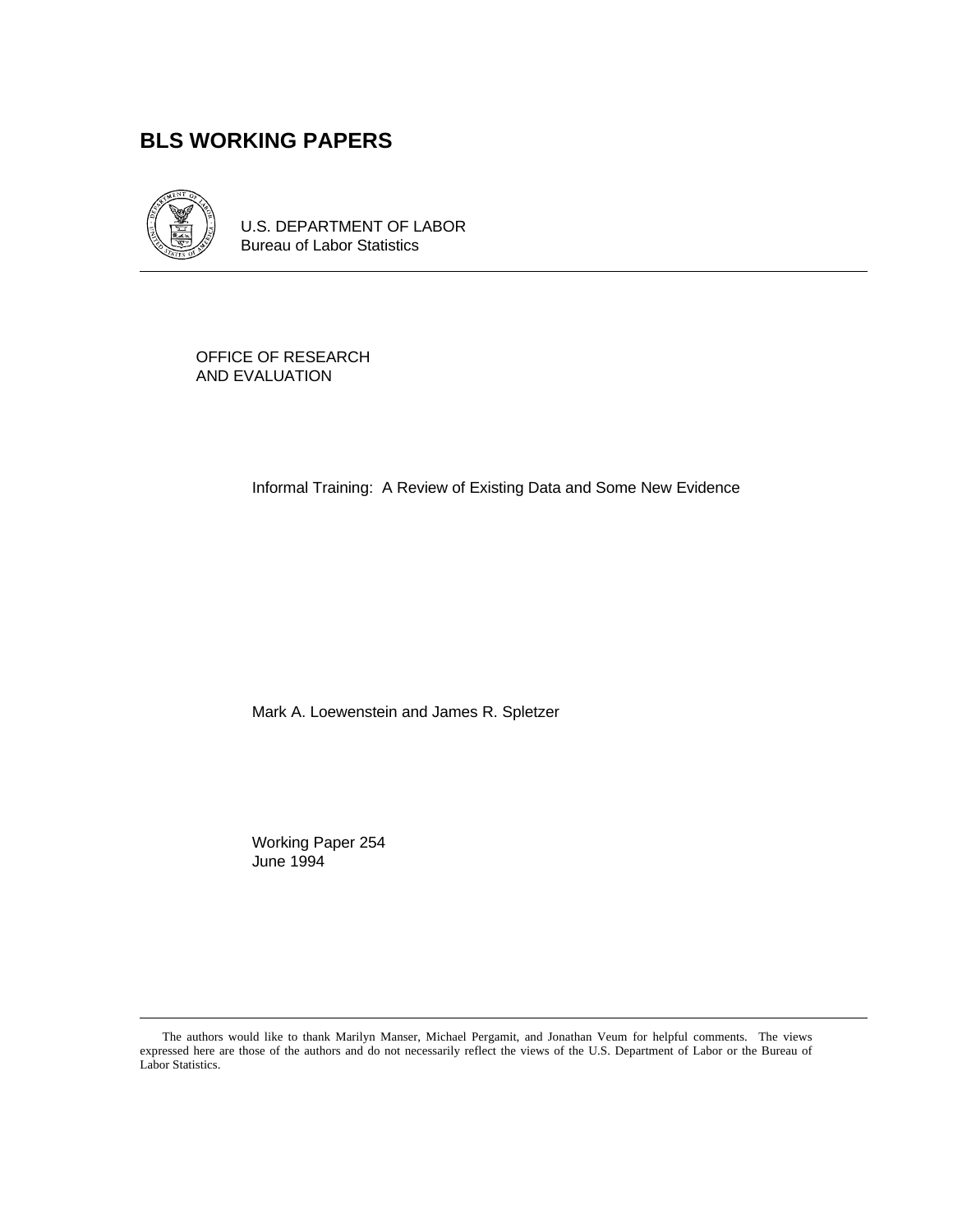# **BLS WORKING PAPERS**



 $\overline{a}$ 

U.S. DEPARTMENT OF LABOR Bureau of Labor Statistics

OFFICE OF RESEARCH AND EVALUATION

Informal Training: A Review of Existing Data and Some New Evidence

Mark A. Loewenstein and James R. Spletzer

Working Paper 254 June 1994

The authors would like to thank Marilyn Manser, Michael Pergamit, and Jonathan Veum for helpful comments. The views expressed here are those of the authors and do not necessarily reflect the views of the U.S. Department of Labor or the Bureau of Labor Statistics.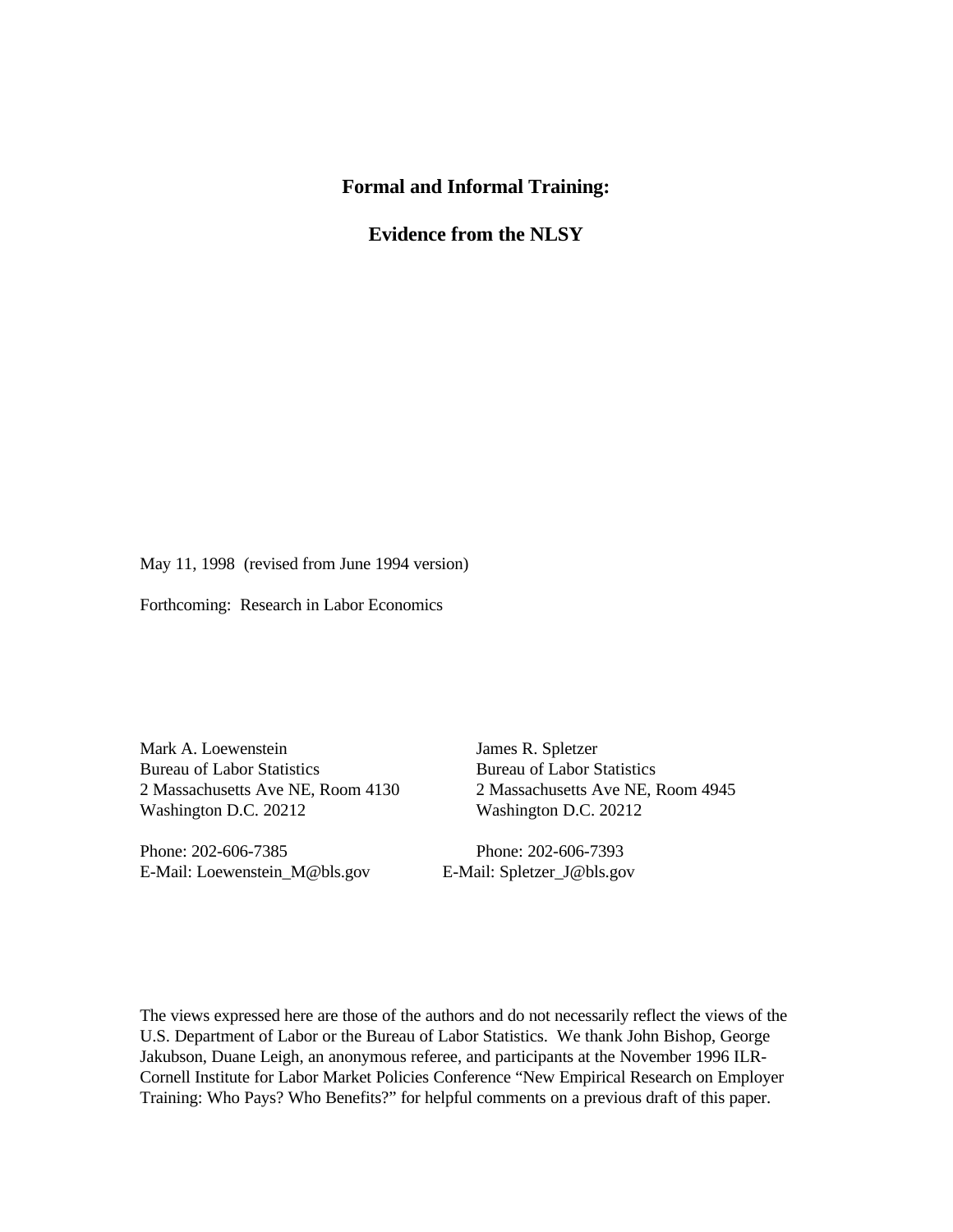# **Formal and Informal Training:**

**Evidence from the NLSY**

May 11, 1998 (revised from June 1994 version)

Forthcoming: Research in Labor Economics

Mark A. Loewenstein James R. Spletzer Bureau of Labor Statistics Bureau of Labor Statistics 2 Massachusetts Ave NE, Room 4130 2 Massachusetts Ave NE, Room 4945 Washington D.C. 20212 Washington D.C. 20212

Phone: 202-606-7385 Phone: 202-606-7393 E-Mail: Loewenstein\_M@bls.gov E-Mail: Spletzer\_J@bls.gov

The views expressed here are those of the authors and do not necessarily reflect the views of the U.S. Department of Labor or the Bureau of Labor Statistics. We thank John Bishop, George Jakubson, Duane Leigh, an anonymous referee, and participants at the November 1996 ILR-Cornell Institute for Labor Market Policies Conference "New Empirical Research on Employer Training: Who Pays? Who Benefits?" for helpful comments on a previous draft of this paper.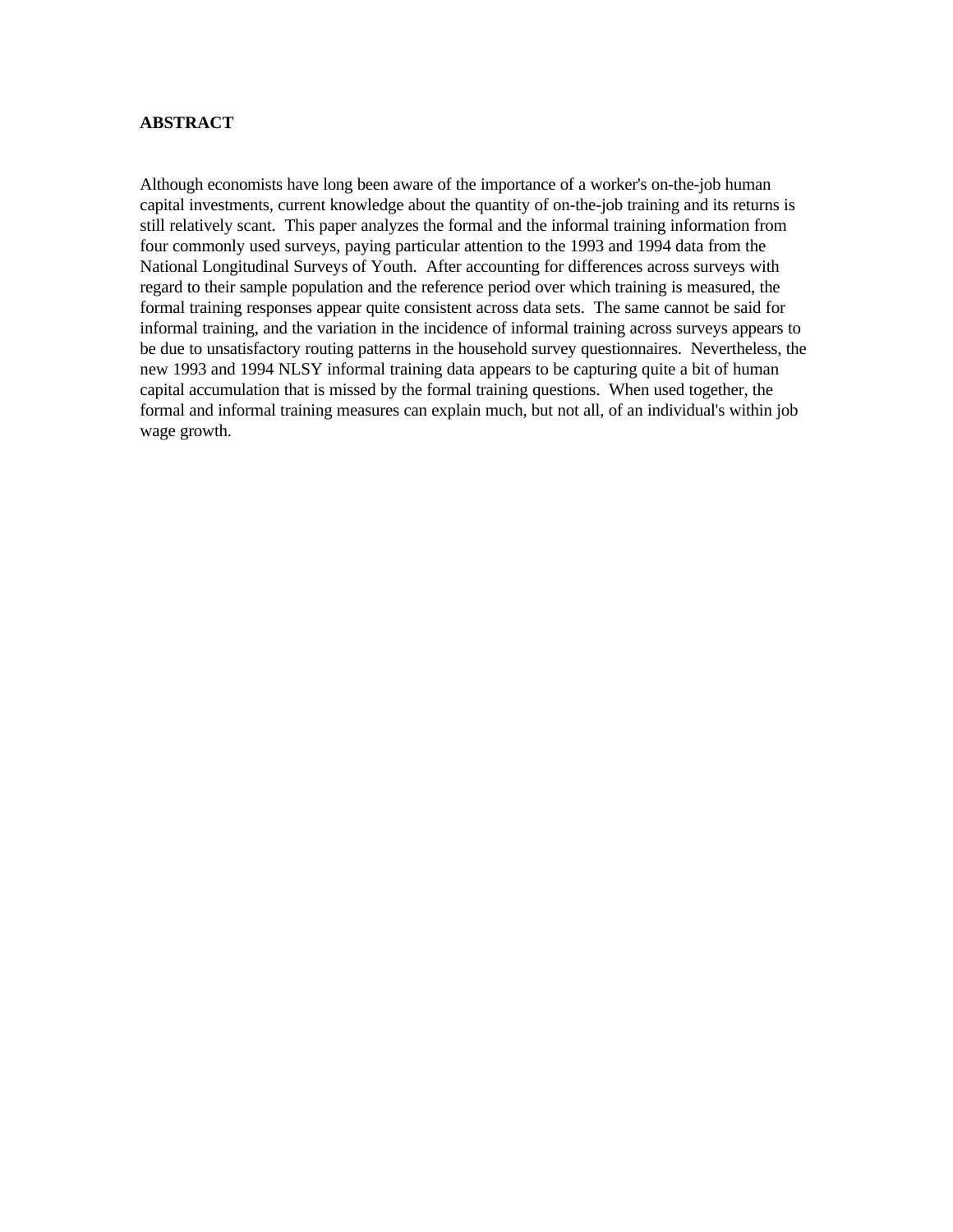# **ABSTRACT**

Although economists have long been aware of the importance of a worker's on-the-job human capital investments, current knowledge about the quantity of on-the-job training and its returns is still relatively scant. This paper analyzes the formal and the informal training information from four commonly used surveys, paying particular attention to the 1993 and 1994 data from the National Longitudinal Surveys of Youth. After accounting for differences across surveys with regard to their sample population and the reference period over which training is measured, the formal training responses appear quite consistent across data sets. The same cannot be said for informal training, and the variation in the incidence of informal training across surveys appears to be due to unsatisfactory routing patterns in the household survey questionnaires. Nevertheless, the new 1993 and 1994 NLSY informal training data appears to be capturing quite a bit of human capital accumulation that is missed by the formal training questions. When used together, the formal and informal training measures can explain much, but not all, of an individual's within job wage growth.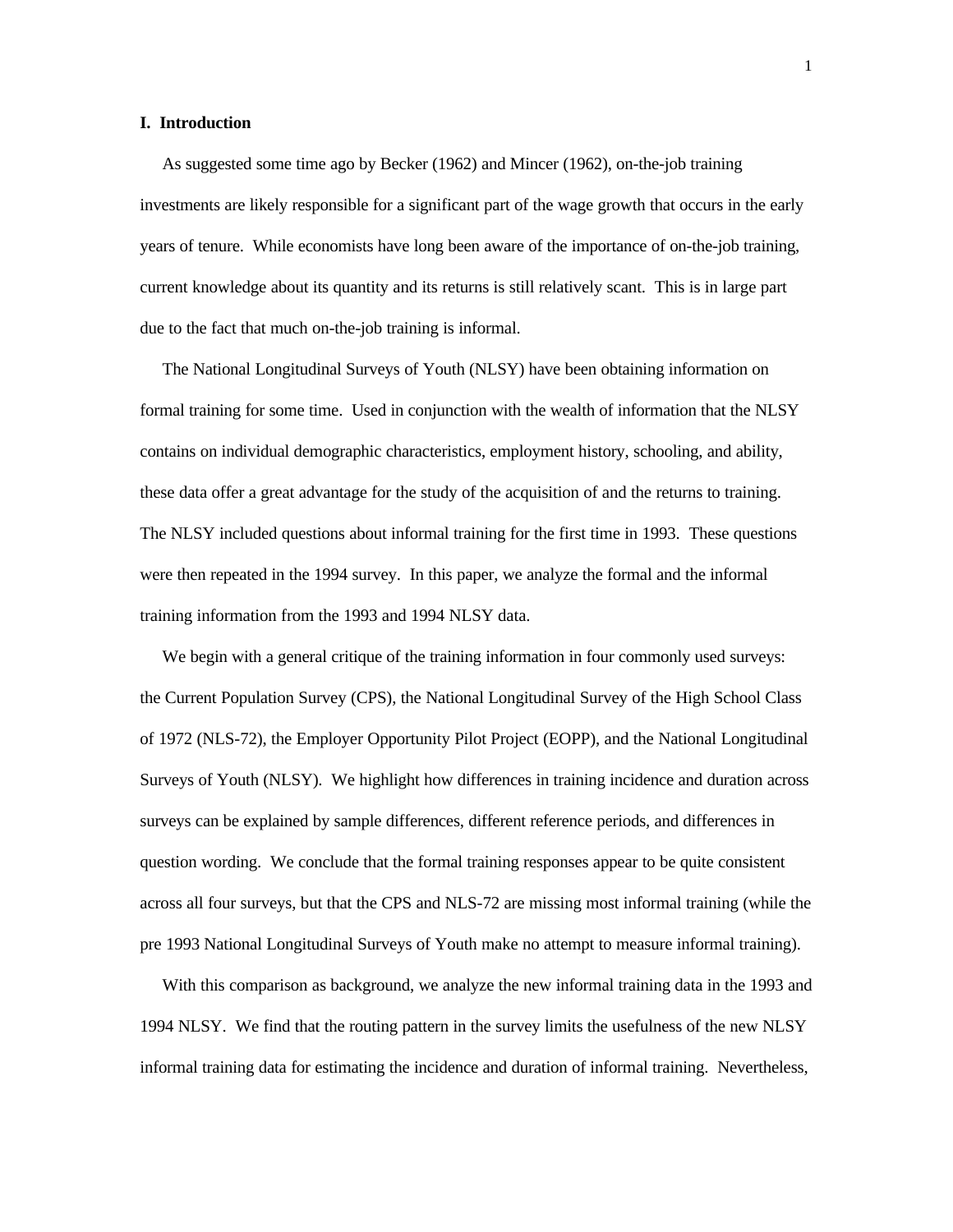#### **I. Introduction**

 As suggested some time ago by Becker (1962) and Mincer (1962), on-the-job training investments are likely responsible for a significant part of the wage growth that occurs in the early years of tenure. While economists have long been aware of the importance of on-the-job training, current knowledge about its quantity and its returns is still relatively scant. This is in large part due to the fact that much on-the-job training is informal.

 The National Longitudinal Surveys of Youth (NLSY) have been obtaining information on formal training for some time. Used in conjunction with the wealth of information that the NLSY contains on individual demographic characteristics, employment history, schooling, and ability, these data offer a great advantage for the study of the acquisition of and the returns to training. The NLSY included questions about informal training for the first time in 1993. These questions were then repeated in the 1994 survey. In this paper, we analyze the formal and the informal training information from the 1993 and 1994 NLSY data.

We begin with a general critique of the training information in four commonly used surveys: the Current Population Survey (CPS), the National Longitudinal Survey of the High School Class of 1972 (NLS-72), the Employer Opportunity Pilot Project (EOPP), and the National Longitudinal Surveys of Youth (NLSY). We highlight how differences in training incidence and duration across surveys can be explained by sample differences, different reference periods, and differences in question wording. We conclude that the formal training responses appear to be quite consistent across all four surveys, but that the CPS and NLS-72 are missing most informal training (while the pre 1993 National Longitudinal Surveys of Youth make no attempt to measure informal training).

With this comparison as background, we analyze the new informal training data in the 1993 and 1994 NLSY. We find that the routing pattern in the survey limits the usefulness of the new NLSY informal training data for estimating the incidence and duration of informal training. Nevertheless,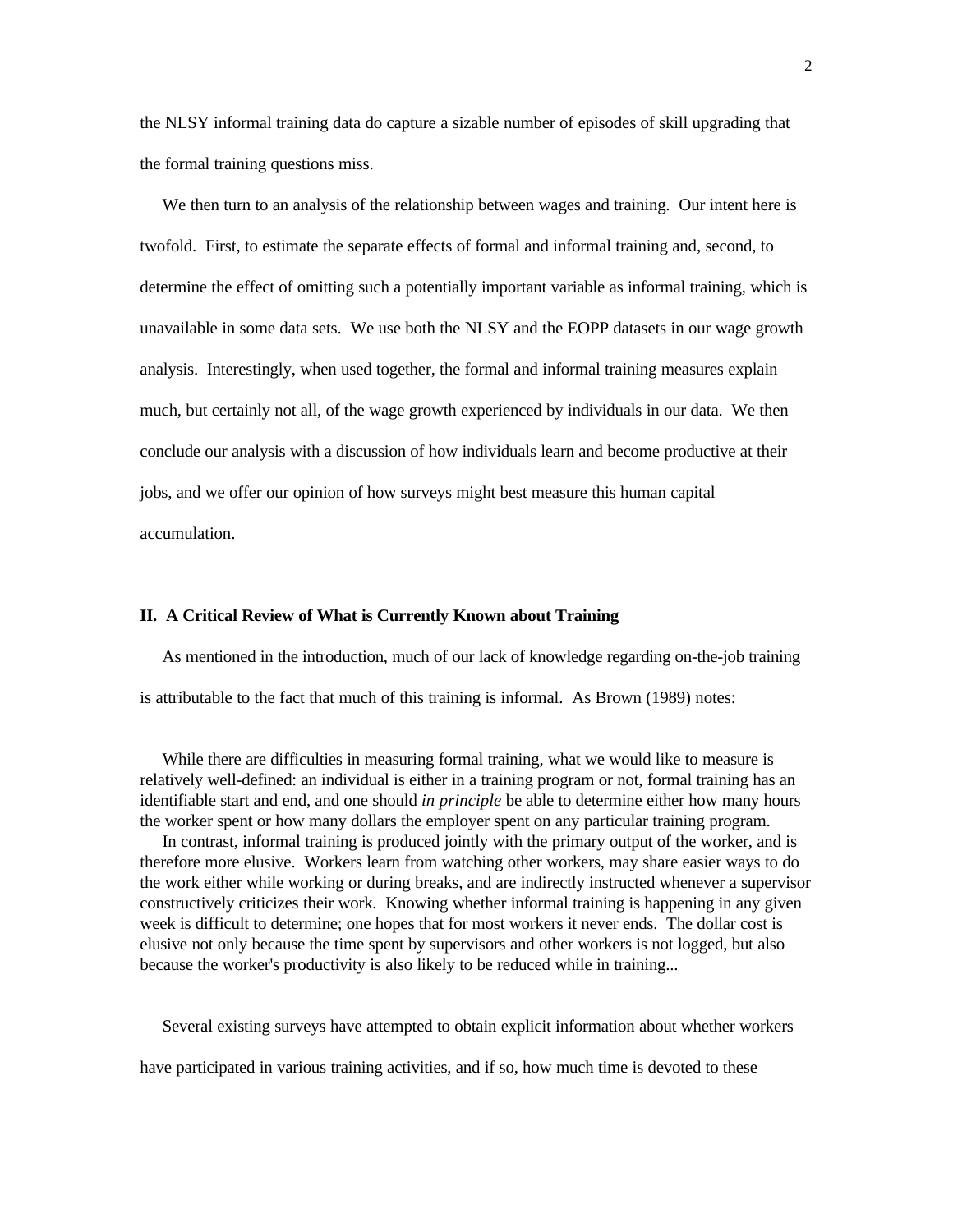the NLSY informal training data do capture a sizable number of episodes of skill upgrading that the formal training questions miss.

We then turn to an analysis of the relationship between wages and training. Our intent here is twofold. First, to estimate the separate effects of formal and informal training and, second, to determine the effect of omitting such a potentially important variable as informal training, which is unavailable in some data sets. We use both the NLSY and the EOPP datasets in our wage growth analysis. Interestingly, when used together, the formal and informal training measures explain much, but certainly not all, of the wage growth experienced by individuals in our data. We then conclude our analysis with a discussion of how individuals learn and become productive at their jobs, and we offer our opinion of how surveys might best measure this human capital accumulation.

## **II. A Critical Review of What is Currently Known about Training**

 As mentioned in the introduction, much of our lack of knowledge regarding on-the-job training is attributable to the fact that much of this training is informal. As Brown (1989) notes:

 While there are difficulties in measuring formal training, what we would like to measure is relatively well-defined: an individual is either in a training program or not, formal training has an identifiable start and end, and one should *in principle* be able to determine either how many hours the worker spent or how many dollars the employer spent on any particular training program.

 In contrast, informal training is produced jointly with the primary output of the worker, and is therefore more elusive. Workers learn from watching other workers, may share easier ways to do the work either while working or during breaks, and are indirectly instructed whenever a supervisor constructively criticizes their work. Knowing whether informal training is happening in any given week is difficult to determine; one hopes that for most workers it never ends. The dollar cost is elusive not only because the time spent by supervisors and other workers is not logged, but also because the worker's productivity is also likely to be reduced while in training...

Several existing surveys have attempted to obtain explicit information about whether workers

have participated in various training activities, and if so, how much time is devoted to these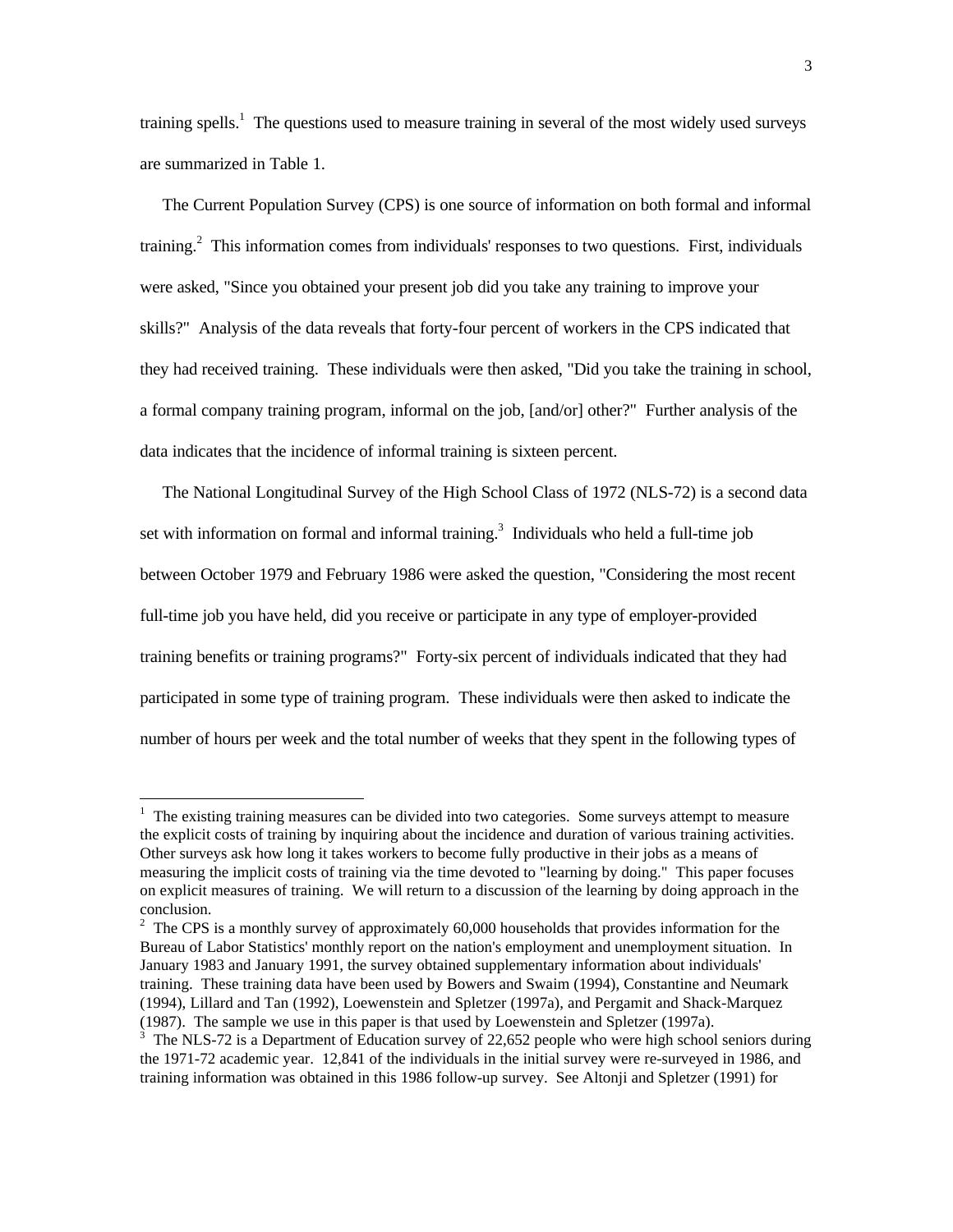training spells.<sup>1</sup> The questions used to measure training in several of the most widely used surveys are summarized in Table 1.

 The Current Population Survey (CPS) is one source of information on both formal and informal training.<sup>2</sup> This information comes from individuals' responses to two questions. First, individuals were asked, "Since you obtained your present job did you take any training to improve your skills?" Analysis of the data reveals that forty-four percent of workers in the CPS indicated that they had received training. These individuals were then asked, "Did you take the training in school, a formal company training program, informal on the job, [and/or] other?" Further analysis of the data indicates that the incidence of informal training is sixteen percent.

 The National Longitudinal Survey of the High School Class of 1972 (NLS-72) is a second data set with information on formal and informal training.<sup>3</sup> Individuals who held a full-time job between October 1979 and February 1986 were asked the question, "Considering the most recent full-time job you have held, did you receive or participate in any type of employer-provided training benefits or training programs?" Forty-six percent of individuals indicated that they had participated in some type of training program. These individuals were then asked to indicate the number of hours per week and the total number of weeks that they spent in the following types of

 $1$  The existing training measures can be divided into two categories. Some surveys attempt to measure the explicit costs of training by inquiring about the incidence and duration of various training activities. Other surveys ask how long it takes workers to become fully productive in their jobs as a means of measuring the implicit costs of training via the time devoted to "learning by doing." This paper focuses on explicit measures of training. We will return to a discussion of the learning by doing approach in the conclusion.

 $2^2$  The CPS is a monthly survey of approximately 60,000 households that provides information for the Bureau of Labor Statistics' monthly report on the nation's employment and unemployment situation. In January 1983 and January 1991, the survey obtained supplementary information about individuals' training. These training data have been used by Bowers and Swaim (1994), Constantine and Neumark (1994), Lillard and Tan (1992), Loewenstein and Spletzer (1997a), and Pergamit and Shack-Marquez (1987). The sample we use in this paper is that used by Loewenstein and Spletzer (1997a).

 $3$  The NLS-72 is a Department of Education survey of 22,652 people who were high school seniors during the 1971-72 academic year. 12,841 of the individuals in the initial survey were re-surveyed in 1986, and training information was obtained in this 1986 follow-up survey. See Altonji and Spletzer (1991) for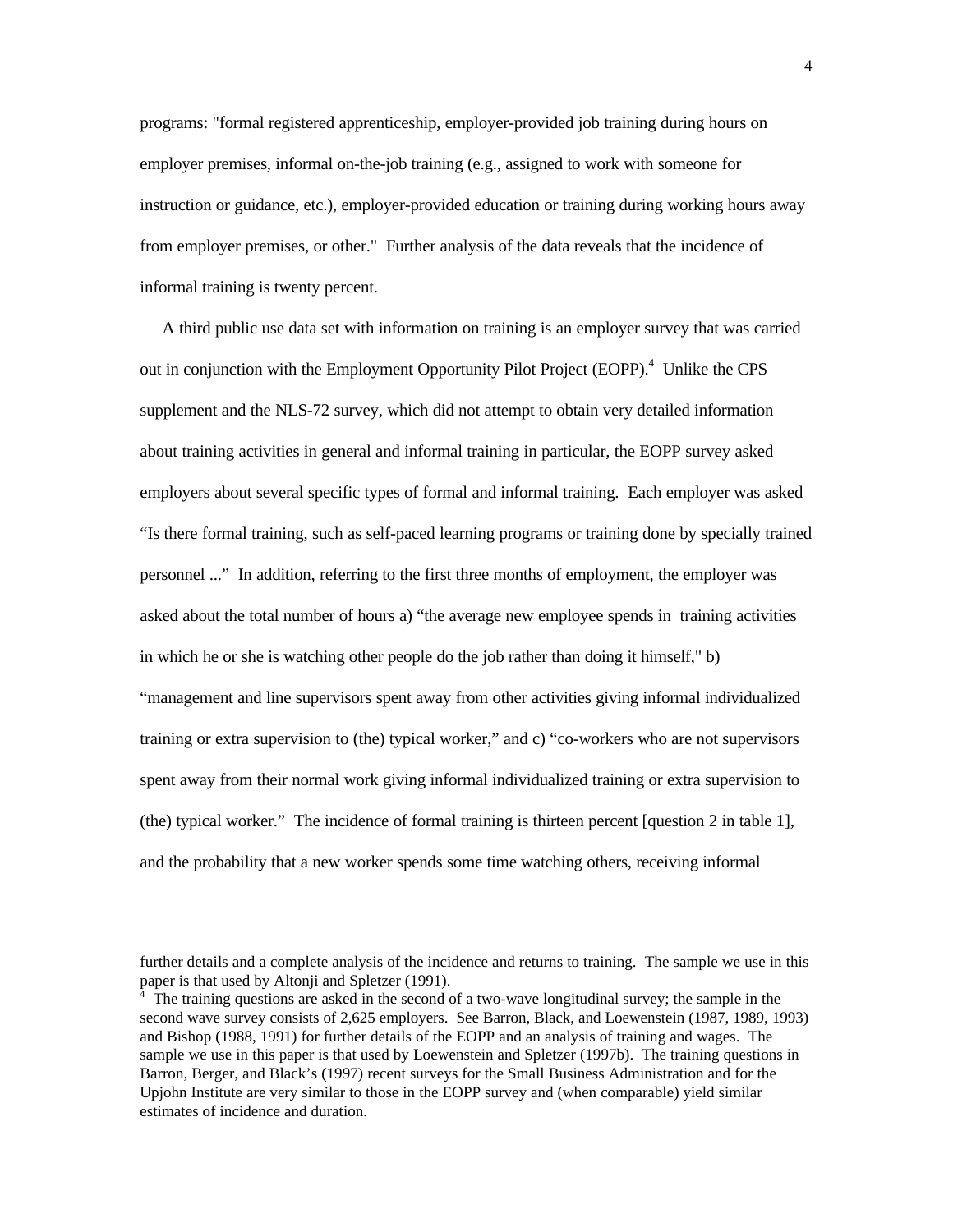programs: "formal registered apprenticeship, employer-provided job training during hours on employer premises, informal on-the-job training (e.g., assigned to work with someone for instruction or guidance, etc.), employer-provided education or training during working hours away from employer premises, or other." Further analysis of the data reveals that the incidence of informal training is twenty percent.

 A third public use data set with information on training is an employer survey that was carried out in conjunction with the Employment Opportunity Pilot Project (EOPP).<sup>4</sup> Unlike the CPS supplement and the NLS-72 survey, which did not attempt to obtain very detailed information about training activities in general and informal training in particular, the EOPP survey asked employers about several specific types of formal and informal training. Each employer was asked "Is there formal training, such as self-paced learning programs or training done by specially trained personnel ..." In addition, referring to the first three months of employment, the employer was asked about the total number of hours a) "the average new employee spends in training activities in which he or she is watching other people do the job rather than doing it himself," b) "management and line supervisors spent away from other activities giving informal individualized training or extra supervision to (the) typical worker," and c) "co-workers who are not supervisors spent away from their normal work giving informal individualized training or extra supervision to (the) typical worker." The incidence of formal training is thirteen percent [question 2 in table 1], and the probability that a new worker spends some time watching others, receiving informal

-

further details and a complete analysis of the incidence and returns to training. The sample we use in this paper is that used by Altonji and Spletzer (1991).

<sup>4</sup> The training questions are asked in the second of a two-wave longitudinal survey; the sample in the second wave survey consists of 2,625 employers. See Barron, Black, and Loewenstein (1987, 1989, 1993) and Bishop (1988, 1991) for further details of the EOPP and an analysis of training and wages. The sample we use in this paper is that used by Loewenstein and Spletzer (1997b). The training questions in Barron, Berger, and Black's (1997) recent surveys for the Small Business Administration and for the Upjohn Institute are very similar to those in the EOPP survey and (when comparable) yield similar estimates of incidence and duration.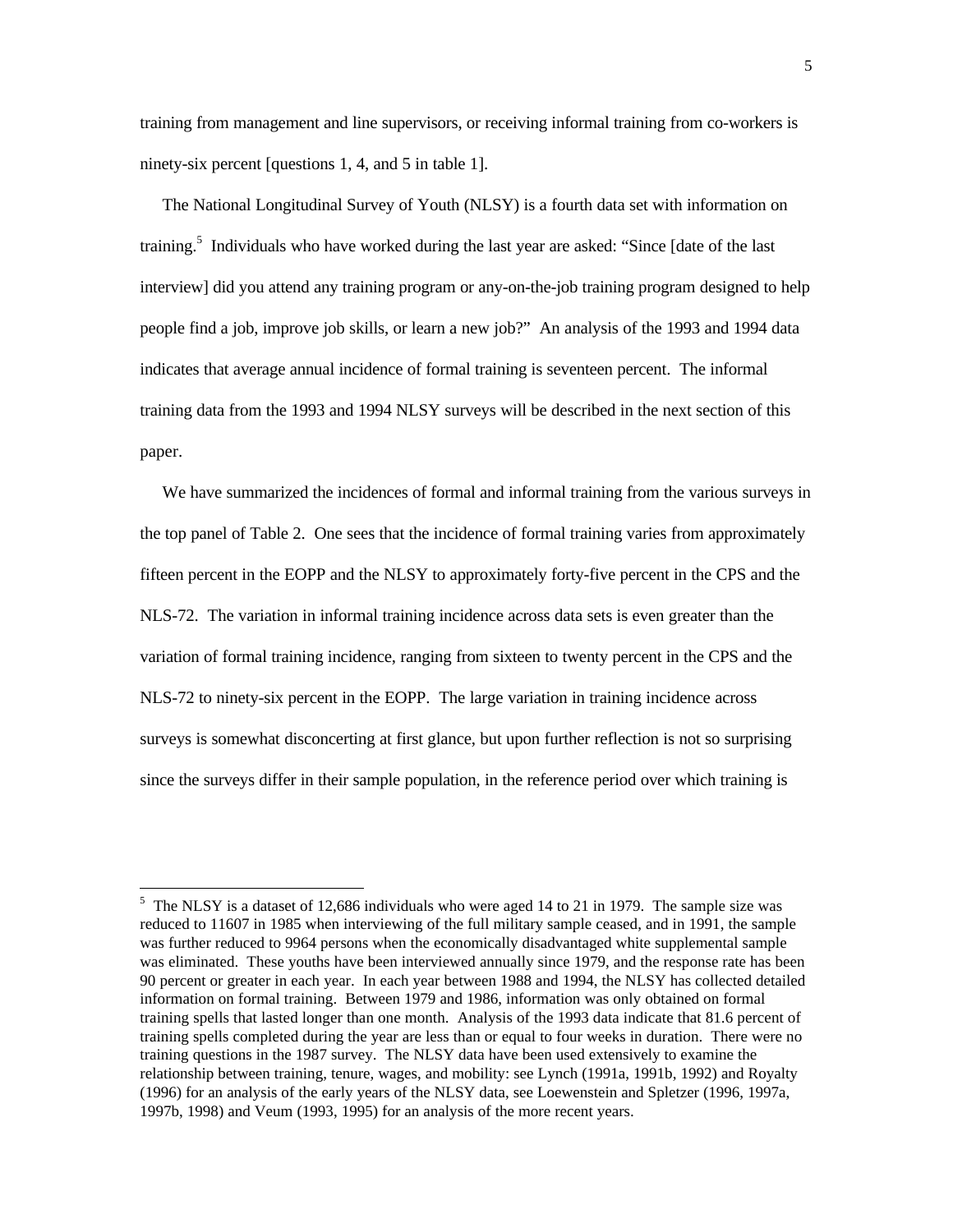training from management and line supervisors, or receiving informal training from co-workers is ninety-six percent [questions 1, 4, and 5 in table 1].

 The National Longitudinal Survey of Youth (NLSY) is a fourth data set with information on training.<sup>5</sup> Individuals who have worked during the last year are asked: "Since [date of the last interview] did you attend any training program or any-on-the-job training program designed to help people find a job, improve job skills, or learn a new job?" An analysis of the 1993 and 1994 data indicates that average annual incidence of formal training is seventeen percent. The informal training data from the 1993 and 1994 NLSY surveys will be described in the next section of this paper.

 We have summarized the incidences of formal and informal training from the various surveys in the top panel of Table 2. One sees that the incidence of formal training varies from approximately fifteen percent in the EOPP and the NLSY to approximately forty-five percent in the CPS and the NLS-72. The variation in informal training incidence across data sets is even greater than the variation of formal training incidence, ranging from sixteen to twenty percent in the CPS and the NLS-72 to ninety-six percent in the EOPP. The large variation in training incidence across surveys is somewhat disconcerting at first glance, but upon further reflection is not so surprising since the surveys differ in their sample population, in the reference period over which training is

 $5$  The NLSY is a dataset of 12,686 individuals who were aged 14 to 21 in 1979. The sample size was reduced to 11607 in 1985 when interviewing of the full military sample ceased, and in 1991, the sample was further reduced to 9964 persons when the economically disadvantaged white supplemental sample was eliminated. These youths have been interviewed annually since 1979, and the response rate has been 90 percent or greater in each year. In each year between 1988 and 1994, the NLSY has collected detailed information on formal training. Between 1979 and 1986, information was only obtained on formal training spells that lasted longer than one month. Analysis of the 1993 data indicate that 81.6 percent of training spells completed during the year are less than or equal to four weeks in duration. There were no training questions in the 1987 survey. The NLSY data have been used extensively to examine the relationship between training, tenure, wages, and mobility: see Lynch (1991a, 1991b, 1992) and Royalty (1996) for an analysis of the early years of the NLSY data, see Loewenstein and Spletzer (1996, 1997a, 1997b, 1998) and Veum (1993, 1995) for an analysis of the more recent years.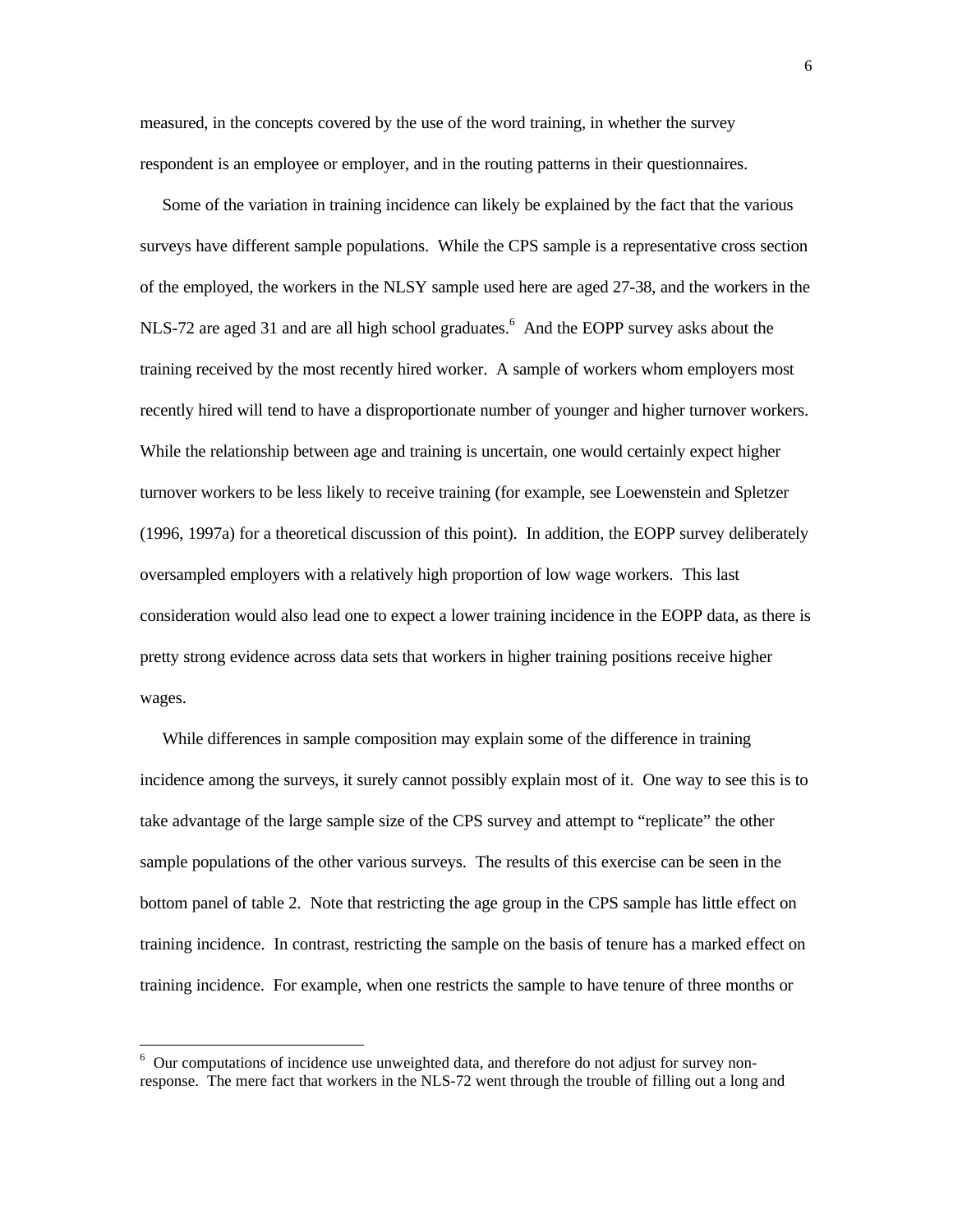measured, in the concepts covered by the use of the word training, in whether the survey respondent is an employee or employer, and in the routing patterns in their questionnaires.

 Some of the variation in training incidence can likely be explained by the fact that the various surveys have different sample populations. While the CPS sample is a representative cross section of the employed, the workers in the NLSY sample used here are aged 27-38, and the workers in the NLS-72 are aged 31 and are all high school graduates.<sup>6</sup> And the EOPP survey asks about the training received by the most recently hired worker. A sample of workers whom employers most recently hired will tend to have a disproportionate number of younger and higher turnover workers. While the relationship between age and training is uncertain, one would certainly expect higher turnover workers to be less likely to receive training (for example, see Loewenstein and Spletzer (1996, 1997a) for a theoretical discussion of this point). In addition, the EOPP survey deliberately oversampled employers with a relatively high proportion of low wage workers. This last consideration would also lead one to expect a lower training incidence in the EOPP data, as there is pretty strong evidence across data sets that workers in higher training positions receive higher wages.

 While differences in sample composition may explain some of the difference in training incidence among the surveys, it surely cannot possibly explain most of it. One way to see this is to take advantage of the large sample size of the CPS survey and attempt to "replicate" the other sample populations of the other various surveys. The results of this exercise can be seen in the bottom panel of table 2. Note that restricting the age group in the CPS sample has little effect on training incidence. In contrast, restricting the sample on the basis of tenure has a marked effect on training incidence. For example, when one restricts the sample to have tenure of three months or

<sup>&</sup>lt;sup>6</sup> Our computations of incidence use unweighted data, and therefore do not adjust for survey nonresponse. The mere fact that workers in the NLS-72 went through the trouble of filling out a long and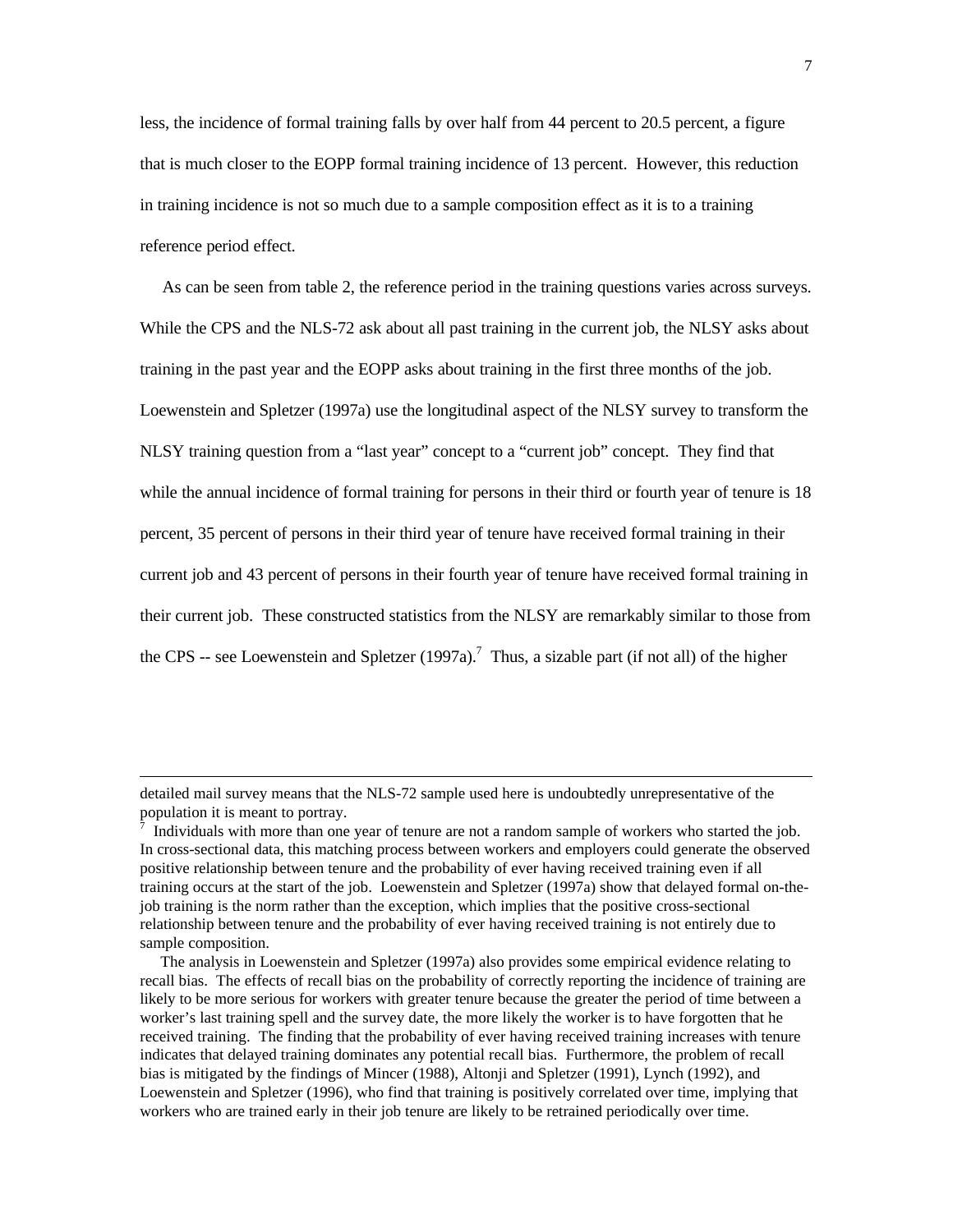less, the incidence of formal training falls by over half from 44 percent to 20.5 percent, a figure that is much closer to the EOPP formal training incidence of 13 percent. However, this reduction in training incidence is not so much due to a sample composition effect as it is to a training reference period effect.

 As can be seen from table 2, the reference period in the training questions varies across surveys. While the CPS and the NLS-72 ask about all past training in the current job, the NLSY asks about training in the past year and the EOPP asks about training in the first three months of the job. Loewenstein and Spletzer (1997a) use the longitudinal aspect of the NLSY survey to transform the NLSY training question from a "last year" concept to a "current job" concept. They find that while the annual incidence of formal training for persons in their third or fourth year of tenure is 18 percent, 35 percent of persons in their third year of tenure have received formal training in their current job and 43 percent of persons in their fourth year of tenure have received formal training in their current job. These constructed statistics from the NLSY are remarkably similar to those from the CPS -- see Loewenstein and Spletzer  $(1997a)$ .<sup>7</sup> Thus, a sizable part (if not all) of the higher

detailed mail survey means that the NLS-72 sample used here is undoubtedly unrepresentative of the population it is meant to portray.

Individuals with more than one year of tenure are not a random sample of workers who started the job. In cross-sectional data, this matching process between workers and employers could generate the observed positive relationship between tenure and the probability of ever having received training even if all training occurs at the start of the job. Loewenstein and Spletzer (1997a) show that delayed formal on-thejob training is the norm rather than the exception, which implies that the positive cross-sectional relationship between tenure and the probability of ever having received training is not entirely due to sample composition.

The analysis in Loewenstein and Spletzer (1997a) also provides some empirical evidence relating to recall bias. The effects of recall bias on the probability of correctly reporting the incidence of training are likely to be more serious for workers with greater tenure because the greater the period of time between a worker's last training spell and the survey date, the more likely the worker is to have forgotten that he received training. The finding that the probability of ever having received training increases with tenure indicates that delayed training dominates any potential recall bias. Furthermore, the problem of recall bias is mitigated by the findings of Mincer (1988), Altonji and Spletzer (1991), Lynch (1992), and Loewenstein and Spletzer (1996), who find that training is positively correlated over time, implying that workers who are trained early in their job tenure are likely to be retrained periodically over time.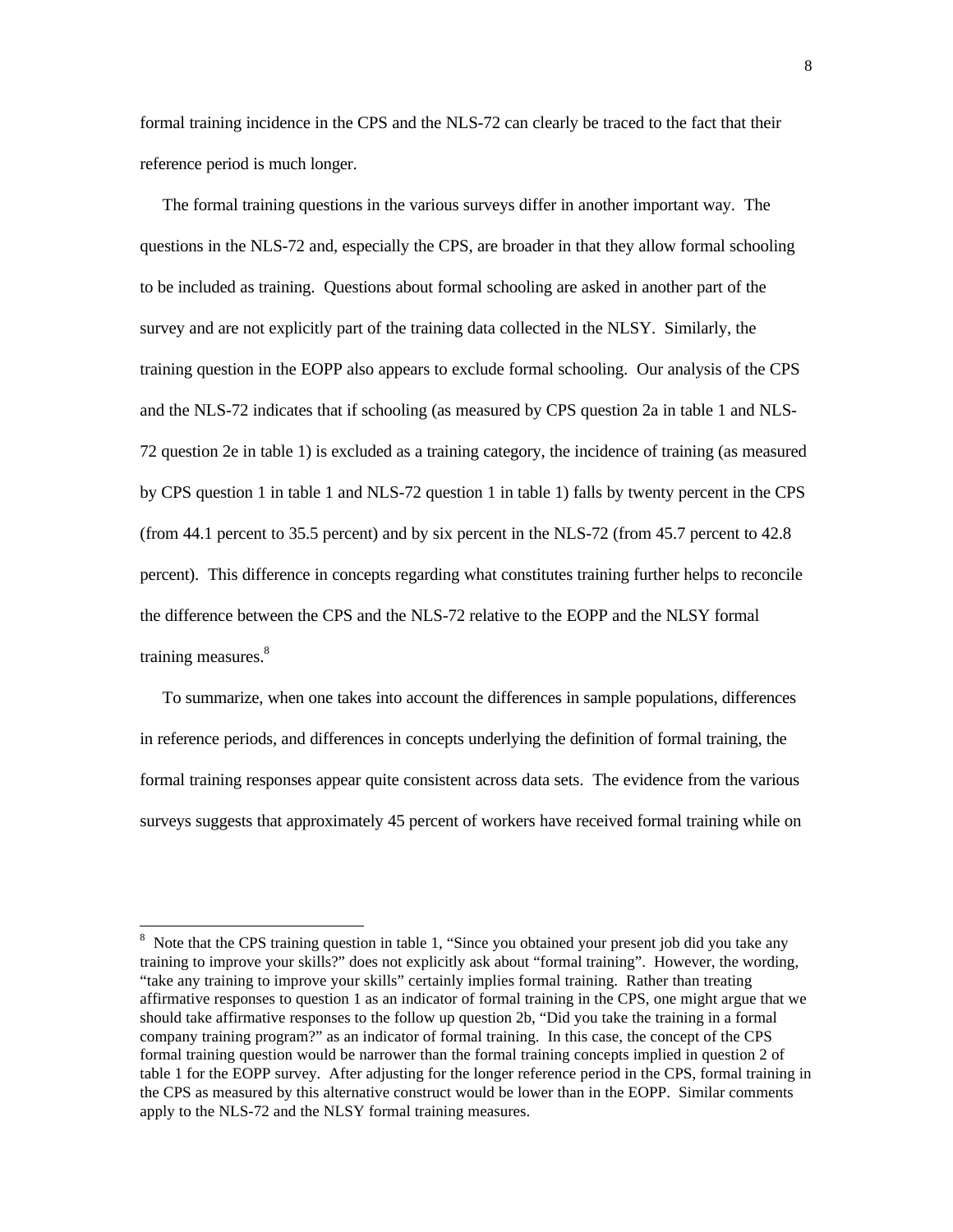formal training incidence in the CPS and the NLS-72 can clearly be traced to the fact that their reference period is much longer.

 The formal training questions in the various surveys differ in another important way. The questions in the NLS-72 and, especially the CPS, are broader in that they allow formal schooling to be included as training. Questions about formal schooling are asked in another part of the survey and are not explicitly part of the training data collected in the NLSY. Similarly, the training question in the EOPP also appears to exclude formal schooling. Our analysis of the CPS and the NLS-72 indicates that if schooling (as measured by CPS question 2a in table 1 and NLS-72 question 2e in table 1) is excluded as a training category, the incidence of training (as measured by CPS question 1 in table 1 and NLS-72 question 1 in table 1) falls by twenty percent in the CPS (from 44.1 percent to 35.5 percent) and by six percent in the NLS-72 (from 45.7 percent to 42.8 percent). This difference in concepts regarding what constitutes training further helps to reconcile the difference between the CPS and the NLS-72 relative to the EOPP and the NLSY formal training measures.<sup>8</sup>

 To summarize, when one takes into account the differences in sample populations, differences in reference periods, and differences in concepts underlying the definition of formal training, the formal training responses appear quite consistent across data sets. The evidence from the various surveys suggests that approximately 45 percent of workers have received formal training while on

<sup>&</sup>lt;sup>8</sup> Note that the CPS training question in table 1, "Since you obtained your present job did you take any training to improve your skills?" does not explicitly ask about "formal training". However, the wording, "take any training to improve your skills" certainly implies formal training. Rather than treating affirmative responses to question 1 as an indicator of formal training in the CPS, one might argue that we should take affirmative responses to the follow up question 2b, "Did you take the training in a formal company training program?" as an indicator of formal training. In this case, the concept of the CPS formal training question would be narrower than the formal training concepts implied in question 2 of table 1 for the EOPP survey. After adjusting for the longer reference period in the CPS, formal training in the CPS as measured by this alternative construct would be lower than in the EOPP. Similar comments apply to the NLS-72 and the NLSY formal training measures.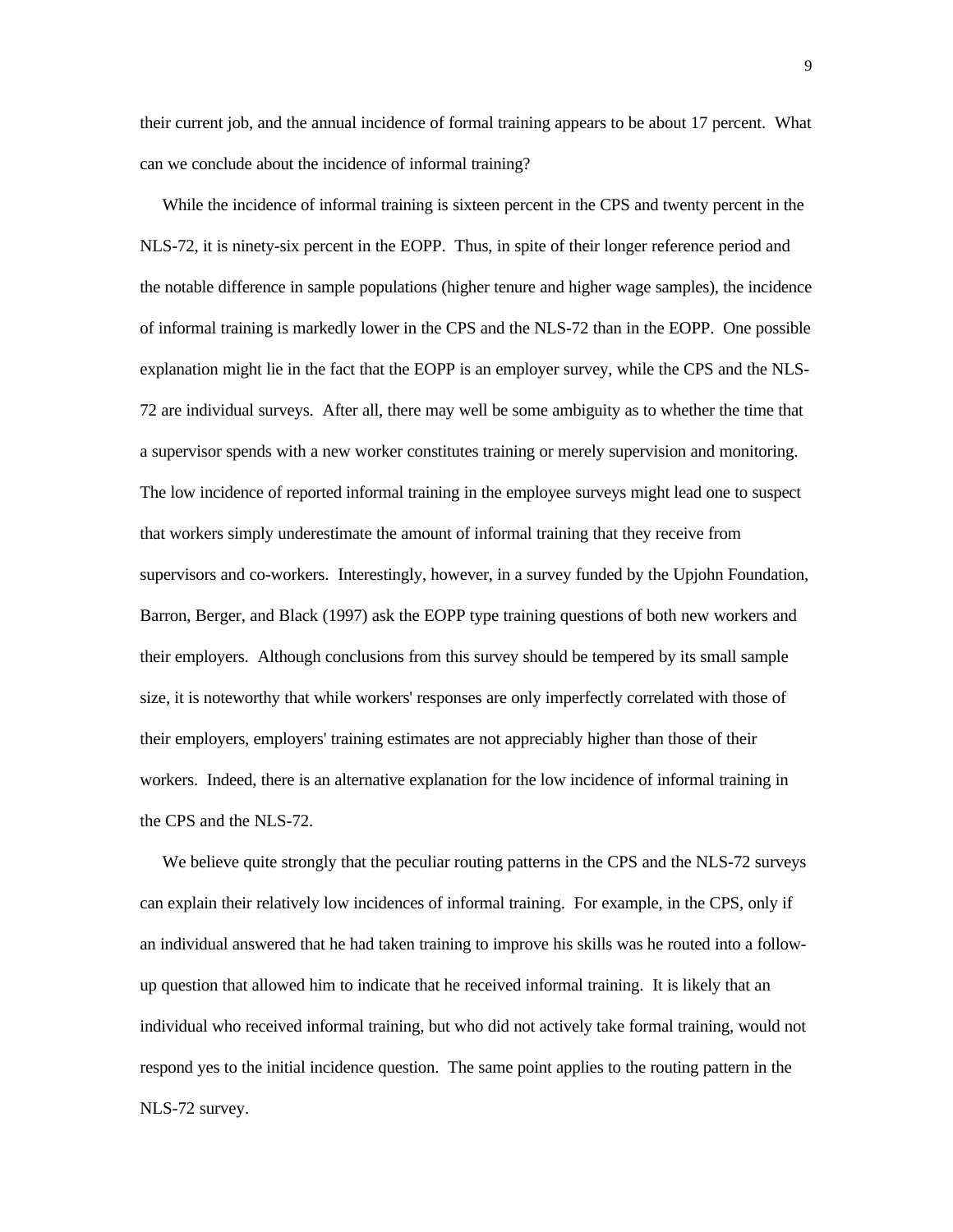their current job, and the annual incidence of formal training appears to be about 17 percent. What can we conclude about the incidence of informal training?

 While the incidence of informal training is sixteen percent in the CPS and twenty percent in the NLS-72, it is ninety-six percent in the EOPP. Thus, in spite of their longer reference period and the notable difference in sample populations (higher tenure and higher wage samples), the incidence of informal training is markedly lower in the CPS and the NLS-72 than in the EOPP. One possible explanation might lie in the fact that the EOPP is an employer survey, while the CPS and the NLS-72 are individual surveys. After all, there may well be some ambiguity as to whether the time that a supervisor spends with a new worker constitutes training or merely supervision and monitoring. The low incidence of reported informal training in the employee surveys might lead one to suspect that workers simply underestimate the amount of informal training that they receive from supervisors and co-workers. Interestingly, however, in a survey funded by the Upjohn Foundation, Barron, Berger, and Black (1997) ask the EOPP type training questions of both new workers and their employers. Although conclusions from this survey should be tempered by its small sample size, it is noteworthy that while workers' responses are only imperfectly correlated with those of their employers, employers' training estimates are not appreciably higher than those of their workers. Indeed, there is an alternative explanation for the low incidence of informal training in the CPS and the NLS-72.

We believe quite strongly that the peculiar routing patterns in the CPS and the NLS-72 surveys can explain their relatively low incidences of informal training. For example, in the CPS, only if an individual answered that he had taken training to improve his skills was he routed into a followup question that allowed him to indicate that he received informal training. It is likely that an individual who received informal training, but who did not actively take formal training, would not respond yes to the initial incidence question. The same point applies to the routing pattern in the NLS-72 survey.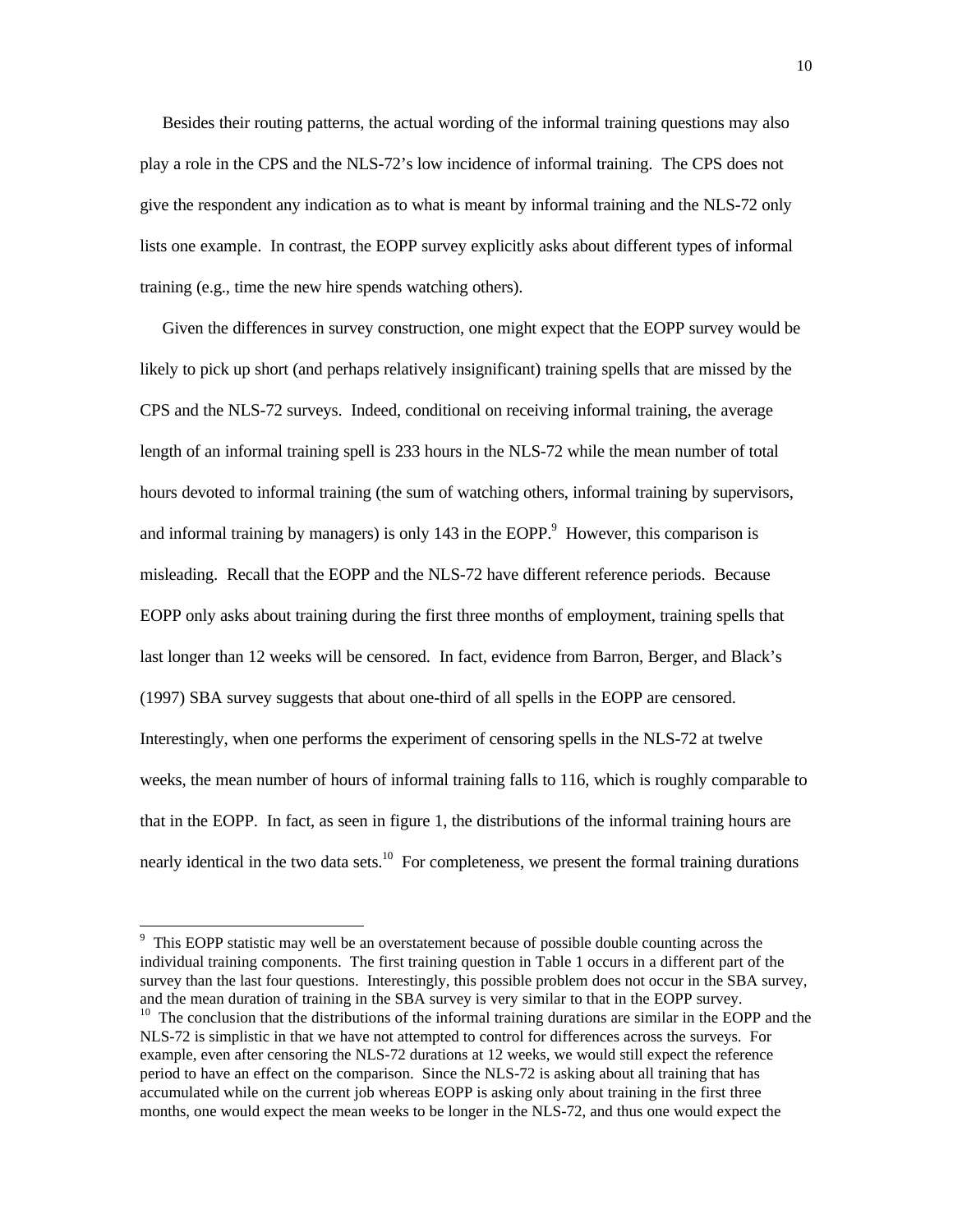Besides their routing patterns, the actual wording of the informal training questions may also play a role in the CPS and the NLS-72's low incidence of informal training. The CPS does not give the respondent any indication as to what is meant by informal training and the NLS-72 only lists one example. In contrast, the EOPP survey explicitly asks about different types of informal training (e.g., time the new hire spends watching others).

 Given the differences in survey construction, one might expect that the EOPP survey would be likely to pick up short (and perhaps relatively insignificant) training spells that are missed by the CPS and the NLS-72 surveys. Indeed, conditional on receiving informal training, the average length of an informal training spell is 233 hours in the NLS-72 while the mean number of total hours devoted to informal training (the sum of watching others, informal training by supervisors, and informal training by managers) is only 143 in the EOPP. $9$  However, this comparison is misleading. Recall that the EOPP and the NLS-72 have different reference periods. Because EOPP only asks about training during the first three months of employment, training spells that last longer than 12 weeks will be censored. In fact, evidence from Barron, Berger, and Black's (1997) SBA survey suggests that about one-third of all spells in the EOPP are censored. Interestingly, when one performs the experiment of censoring spells in the NLS-72 at twelve weeks, the mean number of hours of informal training falls to 116, which is roughly comparable to that in the EOPP. In fact, as seen in figure 1, the distributions of the informal training hours are nearly identical in the two data sets.<sup>10</sup> For completeness, we present the formal training durations

-

<sup>&</sup>lt;sup>9</sup> This EOPP statistic may well be an overstatement because of possible double counting across the individual training components. The first training question in Table 1 occurs in a different part of the survey than the last four questions. Interestingly, this possible problem does not occur in the SBA survey, and the mean duration of training in the SBA survey is very similar to that in the EOPP survey.

<sup>&</sup>lt;sup>10</sup> The conclusion that the distributions of the informal training durations are similar in the EOPP and the NLS-72 is simplistic in that we have not attempted to control for differences across the surveys. For example, even after censoring the NLS-72 durations at 12 weeks, we would still expect the reference period to have an effect on the comparison. Since the NLS-72 is asking about all training that has accumulated while on the current job whereas EOPP is asking only about training in the first three months, one would expect the mean weeks to be longer in the NLS-72, and thus one would expect the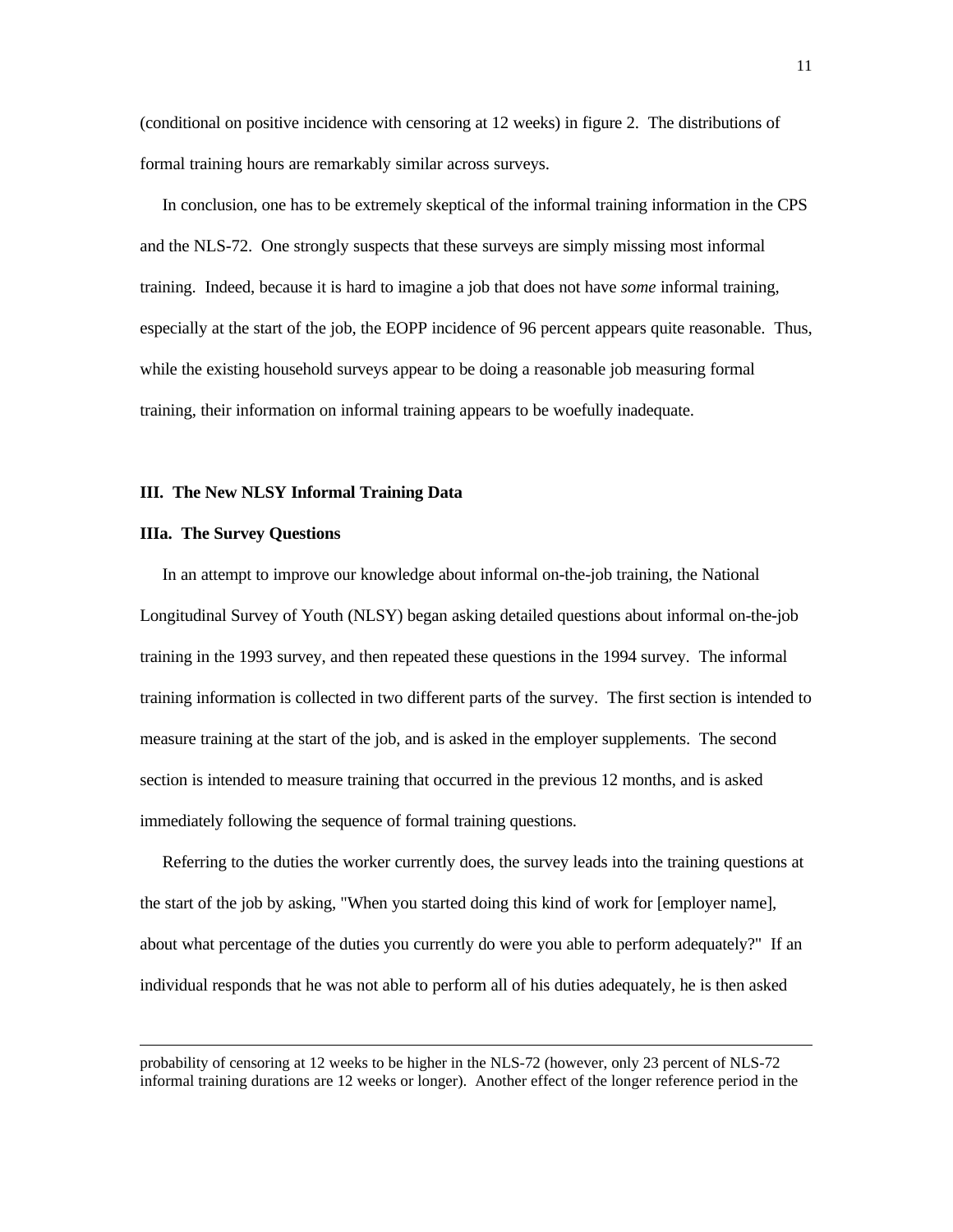(conditional on positive incidence with censoring at 12 weeks) in figure 2. The distributions of formal training hours are remarkably similar across surveys.

 In conclusion, one has to be extremely skeptical of the informal training information in the CPS and the NLS-72. One strongly suspects that these surveys are simply missing most informal training. Indeed, because it is hard to imagine a job that does not have *some* informal training, especially at the start of the job, the EOPP incidence of 96 percent appears quite reasonable. Thus, while the existing household surveys appear to be doing a reasonable job measuring formal training, their information on informal training appears to be woefully inadequate.

#### **III. The New NLSY Informal Training Data**

### **IIIa. The Survey Questions**

 $\overline{a}$ 

 In an attempt to improve our knowledge about informal on-the-job training, the National Longitudinal Survey of Youth (NLSY) began asking detailed questions about informal on-the-job training in the 1993 survey, and then repeated these questions in the 1994 survey. The informal training information is collected in two different parts of the survey. The first section is intended to measure training at the start of the job, and is asked in the employer supplements. The second section is intended to measure training that occurred in the previous 12 months, and is asked immediately following the sequence of formal training questions.

 Referring to the duties the worker currently does, the survey leads into the training questions at the start of the job by asking, "When you started doing this kind of work for [employer name], about what percentage of the duties you currently do were you able to perform adequately?" If an individual responds that he was not able to perform all of his duties adequately, he is then asked

probability of censoring at 12 weeks to be higher in the NLS-72 (however, only 23 percent of NLS-72 informal training durations are 12 weeks or longer). Another effect of the longer reference period in the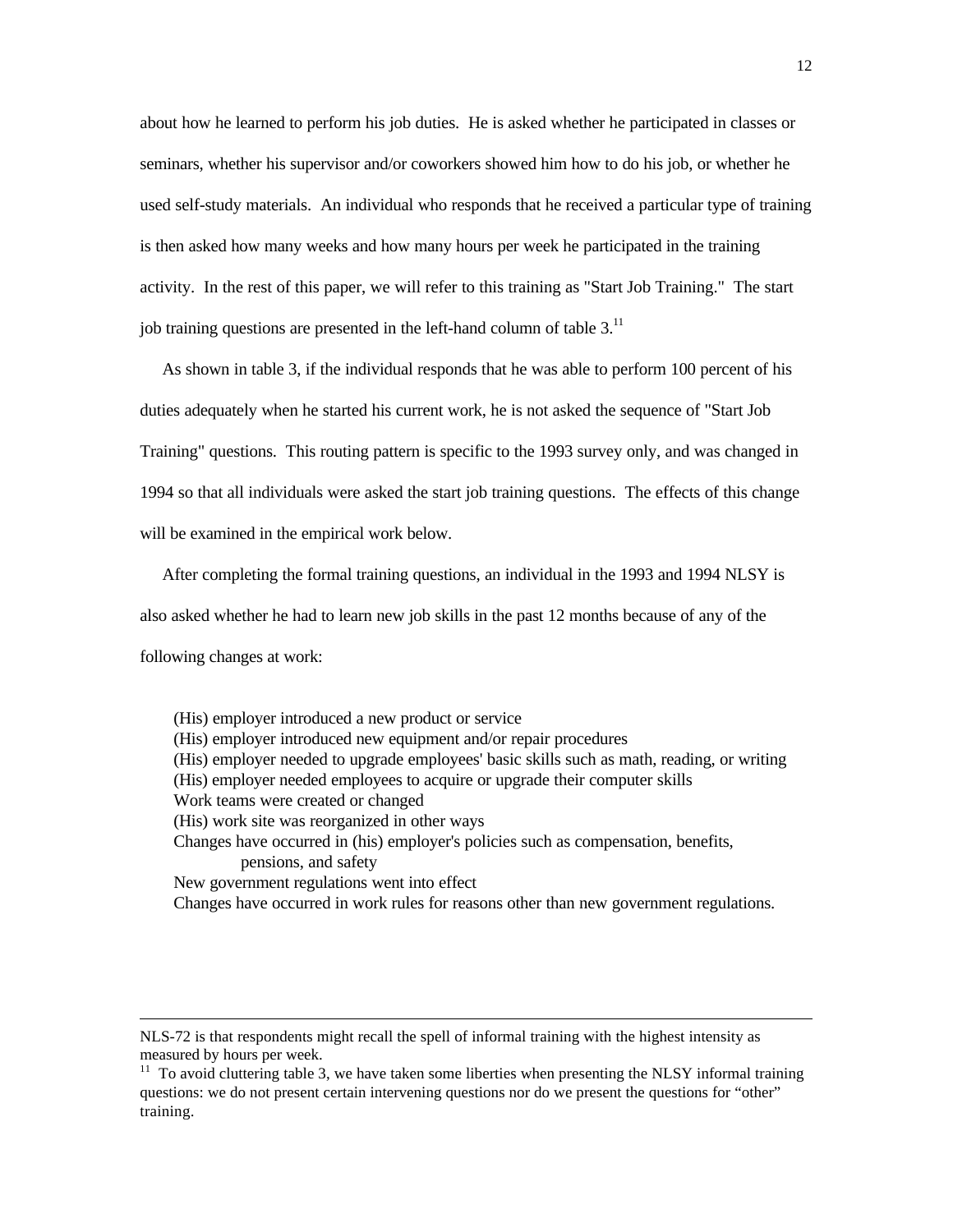about how he learned to perform his job duties. He is asked whether he participated in classes or seminars, whether his supervisor and/or coworkers showed him how to do his job, or whether he used self-study materials. An individual who responds that he received a particular type of training is then asked how many weeks and how many hours per week he participated in the training activity. In the rest of this paper, we will refer to this training as "Start Job Training." The start job training questions are presented in the left-hand column of table  $3$ .<sup>11</sup>

 As shown in table 3, if the individual responds that he was able to perform 100 percent of his duties adequately when he started his current work, he is not asked the sequence of "Start Job Training" questions. This routing pattern is specific to the 1993 survey only, and was changed in 1994 so that all individuals were asked the start job training questions. The effects of this change will be examined in the empirical work below.

 After completing the formal training questions, an individual in the 1993 and 1994 NLSY is also asked whether he had to learn new job skills in the past 12 months because of any of the following changes at work:

(His) employer introduced a new product or service (His) employer introduced new equipment and/or repair procedures (His) employer needed to upgrade employees' basic skills such as math, reading, or writing (His) employer needed employees to acquire or upgrade their computer skills Work teams were created or changed (His) work site was reorganized in other ways Changes have occurred in (his) employer's policies such as compensation, benefits, pensions, and safety New government regulations went into effect Changes have occurred in work rules for reasons other than new government regulations.

-

NLS-72 is that respondents might recall the spell of informal training with the highest intensity as measured by hours per week.

 $11$  To avoid cluttering table 3, we have taken some liberties when presenting the NLSY informal training questions: we do not present certain intervening questions nor do we present the questions for "other" training.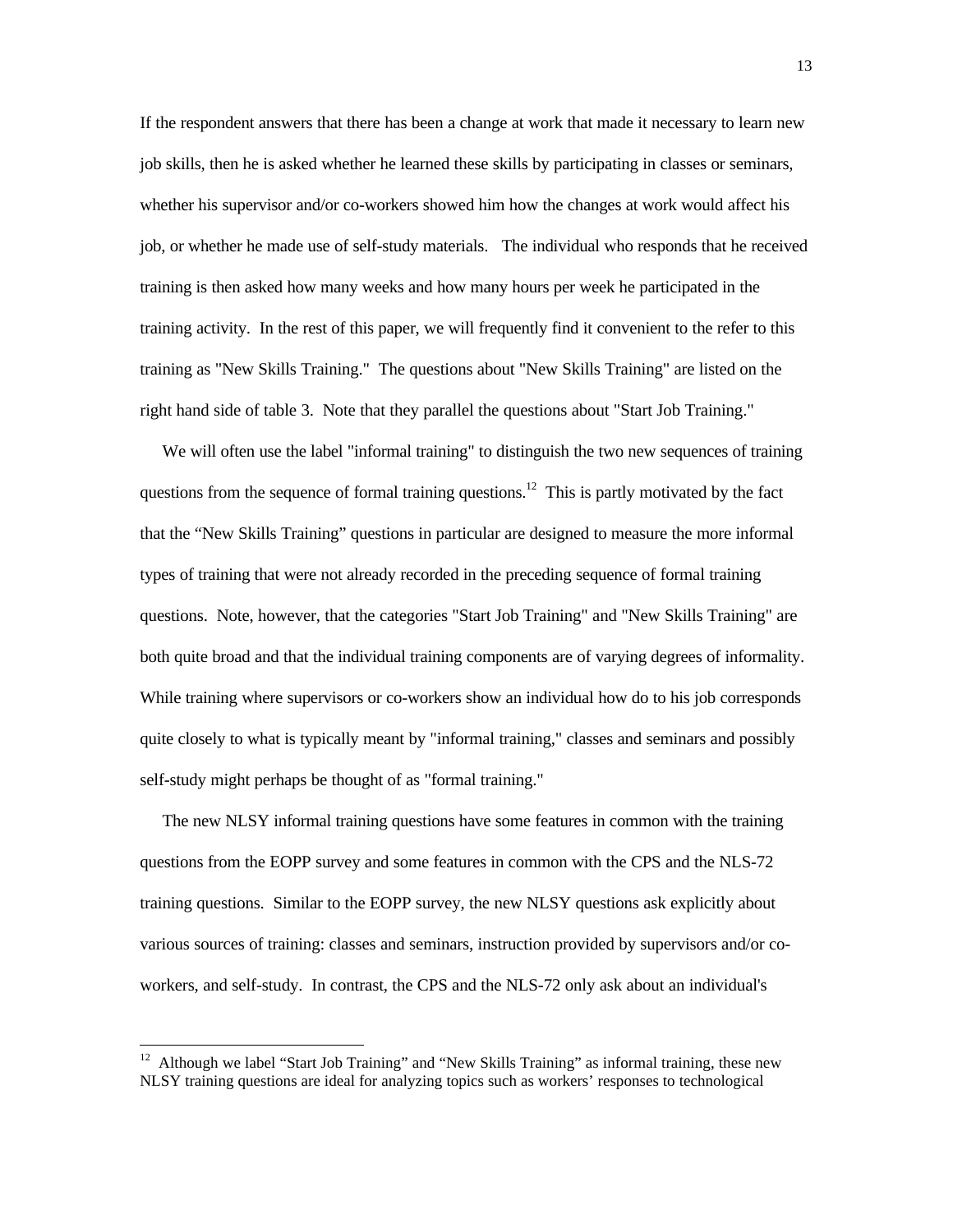If the respondent answers that there has been a change at work that made it necessary to learn new job skills, then he is asked whether he learned these skills by participating in classes or seminars, whether his supervisor and/or co-workers showed him how the changes at work would affect his job, or whether he made use of self-study materials. The individual who responds that he received training is then asked how many weeks and how many hours per week he participated in the training activity. In the rest of this paper, we will frequently find it convenient to the refer to this training as "New Skills Training." The questions about "New Skills Training" are listed on the right hand side of table 3. Note that they parallel the questions about "Start Job Training."

 We will often use the label "informal training" to distinguish the two new sequences of training questions from the sequence of formal training questions.<sup>12</sup> This is partly motivated by the fact that the "New Skills Training" questions in particular are designed to measure the more informal types of training that were not already recorded in the preceding sequence of formal training questions. Note, however, that the categories "Start Job Training" and "New Skills Training" are both quite broad and that the individual training components are of varying degrees of informality. While training where supervisors or co-workers show an individual how do to his job corresponds quite closely to what is typically meant by "informal training," classes and seminars and possibly self-study might perhaps be thought of as "formal training."

 The new NLSY informal training questions have some features in common with the training questions from the EOPP survey and some features in common with the CPS and the NLS-72 training questions. Similar to the EOPP survey, the new NLSY questions ask explicitly about various sources of training: classes and seminars, instruction provided by supervisors and/or coworkers, and self-study. In contrast, the CPS and the NLS-72 only ask about an individual's

 $12$  Although we label "Start Job Training" and "New Skills Training" as informal training, these new NLSY training questions are ideal for analyzing topics such as workers' responses to technological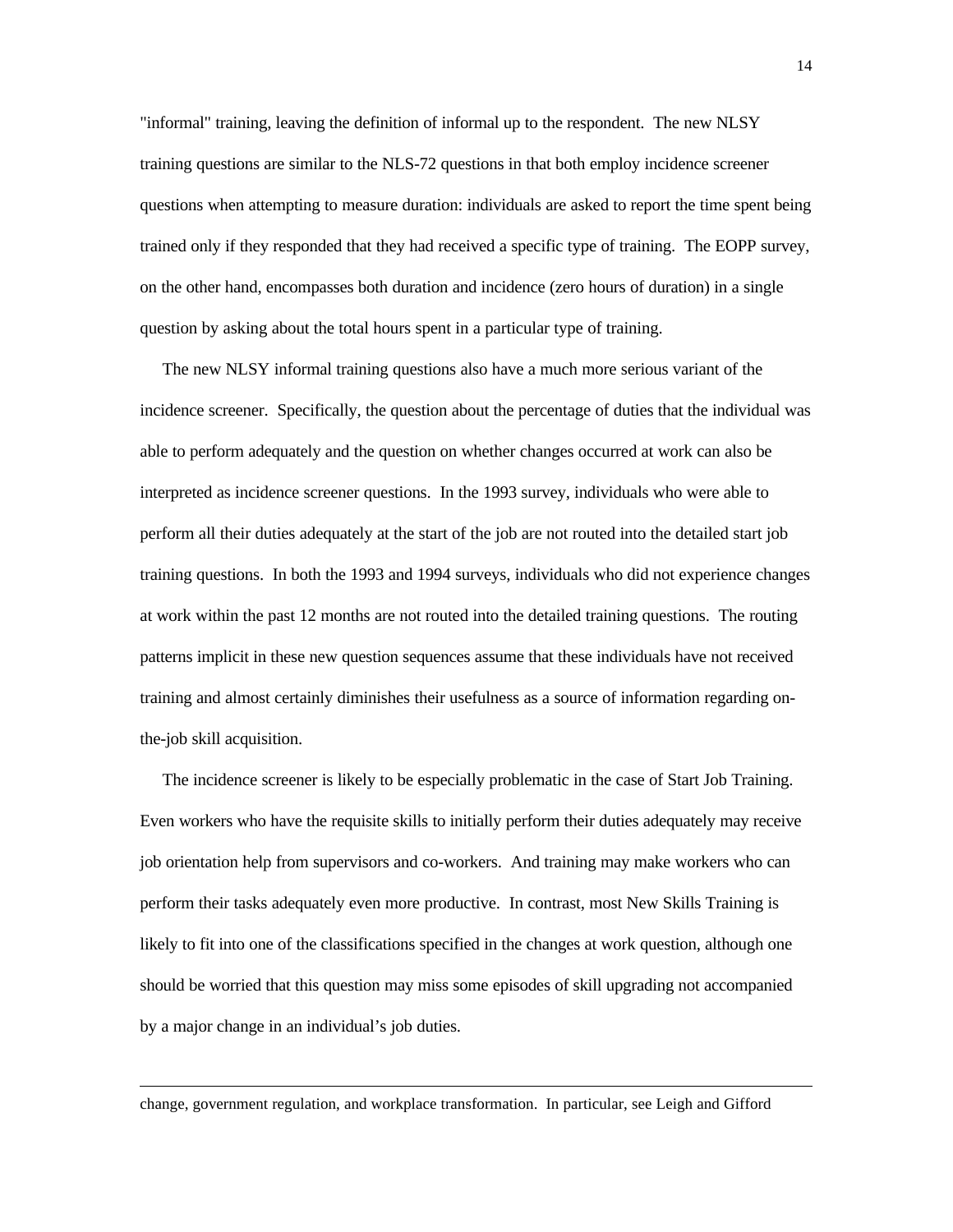"informal" training, leaving the definition of informal up to the respondent. The new NLSY training questions are similar to the NLS-72 questions in that both employ incidence screener questions when attempting to measure duration: individuals are asked to report the time spent being trained only if they responded that they had received a specific type of training. The EOPP survey, on the other hand, encompasses both duration and incidence (zero hours of duration) in a single question by asking about the total hours spent in a particular type of training.

 The new NLSY informal training questions also have a much more serious variant of the incidence screener. Specifically, the question about the percentage of duties that the individual was able to perform adequately and the question on whether changes occurred at work can also be interpreted as incidence screener questions. In the 1993 survey, individuals who were able to perform all their duties adequately at the start of the job are not routed into the detailed start job training questions. In both the 1993 and 1994 surveys, individuals who did not experience changes at work within the past 12 months are not routed into the detailed training questions. The routing patterns implicit in these new question sequences assume that these individuals have not received training and almost certainly diminishes their usefulness as a source of information regarding onthe-job skill acquisition.

 The incidence screener is likely to be especially problematic in the case of Start Job Training. Even workers who have the requisite skills to initially perform their duties adequately may receive job orientation help from supervisors and co-workers. And training may make workers who can perform their tasks adequately even more productive. In contrast, most New Skills Training is likely to fit into one of the classifications specified in the changes at work question, although one should be worried that this question may miss some episodes of skill upgrading not accompanied by a major change in an individual's job duties.

change, government regulation, and workplace transformation. In particular, see Leigh and Gifford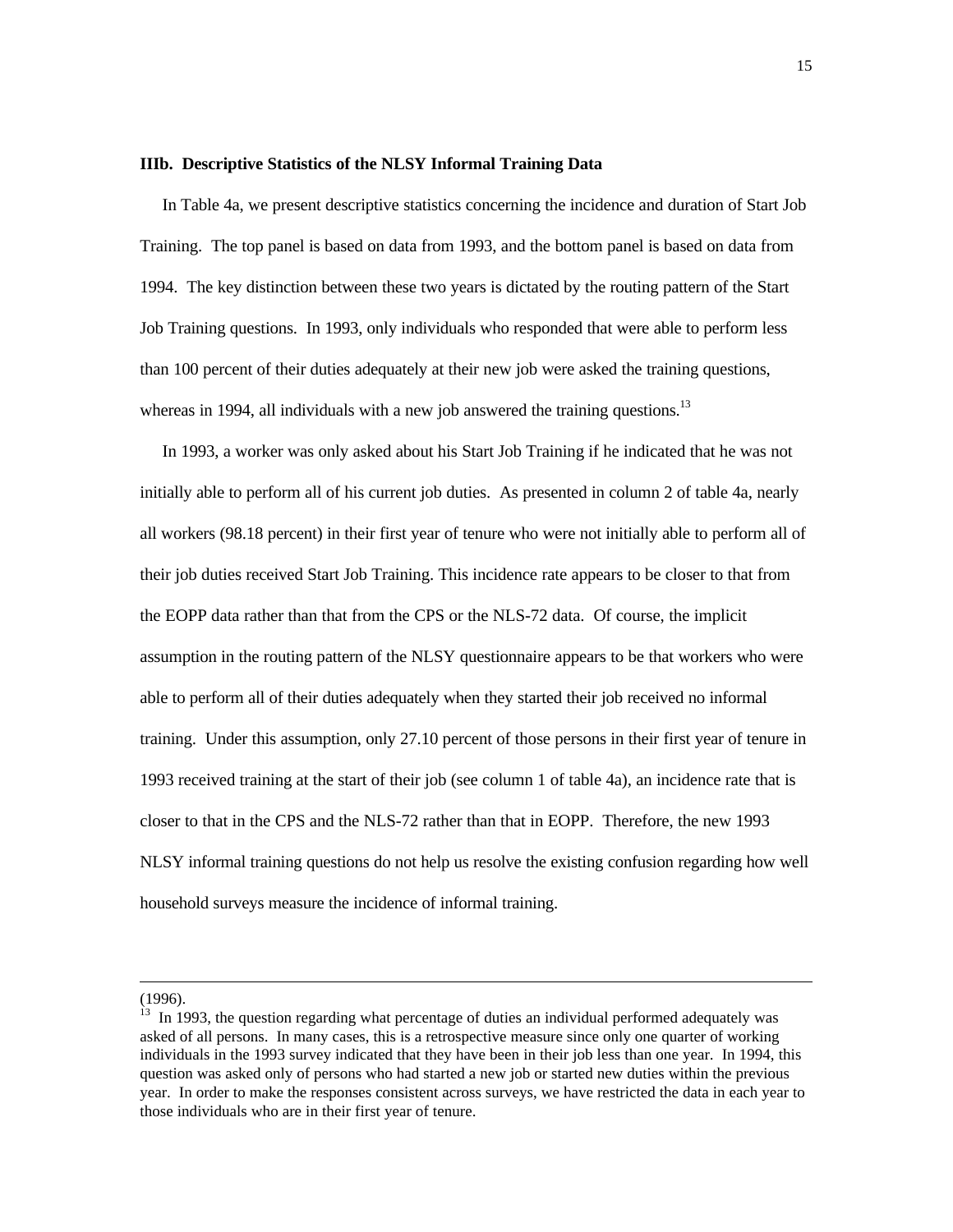#### **IIIb. Descriptive Statistics of the NLSY Informal Training Data**

 In Table 4a, we present descriptive statistics concerning the incidence and duration of Start Job Training. The top panel is based on data from 1993, and the bottom panel is based on data from 1994. The key distinction between these two years is dictated by the routing pattern of the Start Job Training questions. In 1993, only individuals who responded that were able to perform less than 100 percent of their duties adequately at their new job were asked the training questions, whereas in 1994, all individuals with a new job answered the training questions.<sup>13</sup>

 In 1993, a worker was only asked about his Start Job Training if he indicated that he was not initially able to perform all of his current job duties. As presented in column 2 of table 4a, nearly all workers (98.18 percent) in their first year of tenure who were not initially able to perform all of their job duties received Start Job Training. This incidence rate appears to be closer to that from the EOPP data rather than that from the CPS or the NLS-72 data. Of course, the implicit assumption in the routing pattern of the NLSY questionnaire appears to be that workers who were able to perform all of their duties adequately when they started their job received no informal training. Under this assumption, only 27.10 percent of those persons in their first year of tenure in 1993 received training at the start of their job (see column 1 of table 4a), an incidence rate that is closer to that in the CPS and the NLS-72 rather than that in EOPP. Therefore, the new 1993 NLSY informal training questions do not help us resolve the existing confusion regarding how well household surveys measure the incidence of informal training.

<sup>(1996).</sup>

 $13$  In 1993, the question regarding what percentage of duties an individual performed adequately was asked of all persons. In many cases, this is a retrospective measure since only one quarter of working individuals in the 1993 survey indicated that they have been in their job less than one year. In 1994, this question was asked only of persons who had started a new job or started new duties within the previous year. In order to make the responses consistent across surveys, we have restricted the data in each year to those individuals who are in their first year of tenure.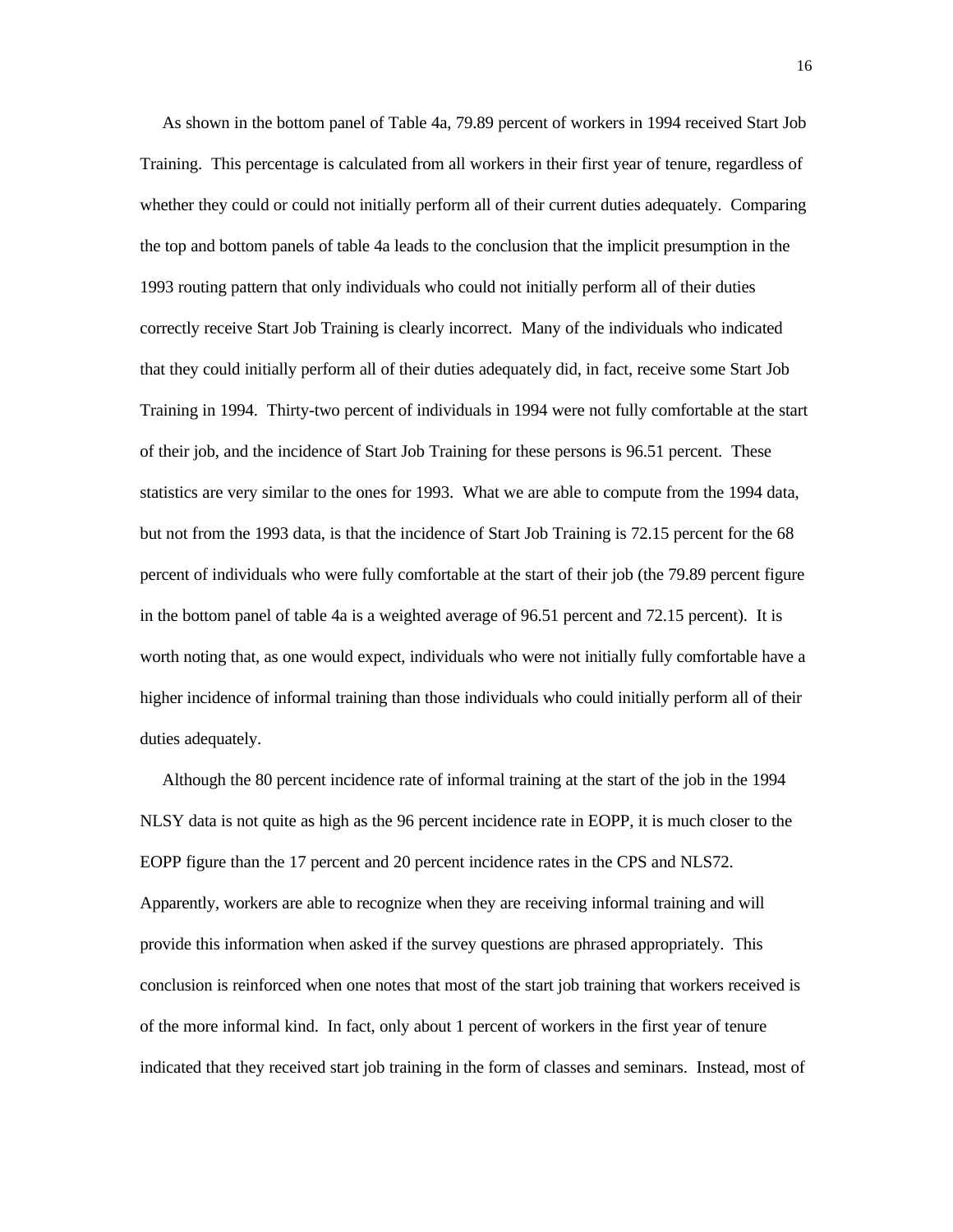As shown in the bottom panel of Table 4a, 79.89 percent of workers in 1994 received Start Job Training. This percentage is calculated from all workers in their first year of tenure, regardless of whether they could or could not initially perform all of their current duties adequately. Comparing the top and bottom panels of table 4a leads to the conclusion that the implicit presumption in the 1993 routing pattern that only individuals who could not initially perform all of their duties correctly receive Start Job Training is clearly incorrect. Many of the individuals who indicated that they could initially perform all of their duties adequately did, in fact, receive some Start Job Training in 1994. Thirty-two percent of individuals in 1994 were not fully comfortable at the start of their job, and the incidence of Start Job Training for these persons is 96.51 percent. These statistics are very similar to the ones for 1993. What we are able to compute from the 1994 data, but not from the 1993 data, is that the incidence of Start Job Training is 72.15 percent for the 68 percent of individuals who were fully comfortable at the start of their job (the 79.89 percent figure in the bottom panel of table 4a is a weighted average of 96.51 percent and 72.15 percent). It is worth noting that, as one would expect, individuals who were not initially fully comfortable have a higher incidence of informal training than those individuals who could initially perform all of their duties adequately.

 Although the 80 percent incidence rate of informal training at the start of the job in the 1994 NLSY data is not quite as high as the 96 percent incidence rate in EOPP, it is much closer to the EOPP figure than the 17 percent and 20 percent incidence rates in the CPS and NLS72. Apparently, workers are able to recognize when they are receiving informal training and will provide this information when asked if the survey questions are phrased appropriately. This conclusion is reinforced when one notes that most of the start job training that workers received is of the more informal kind. In fact, only about 1 percent of workers in the first year of tenure indicated that they received start job training in the form of classes and seminars. Instead, most of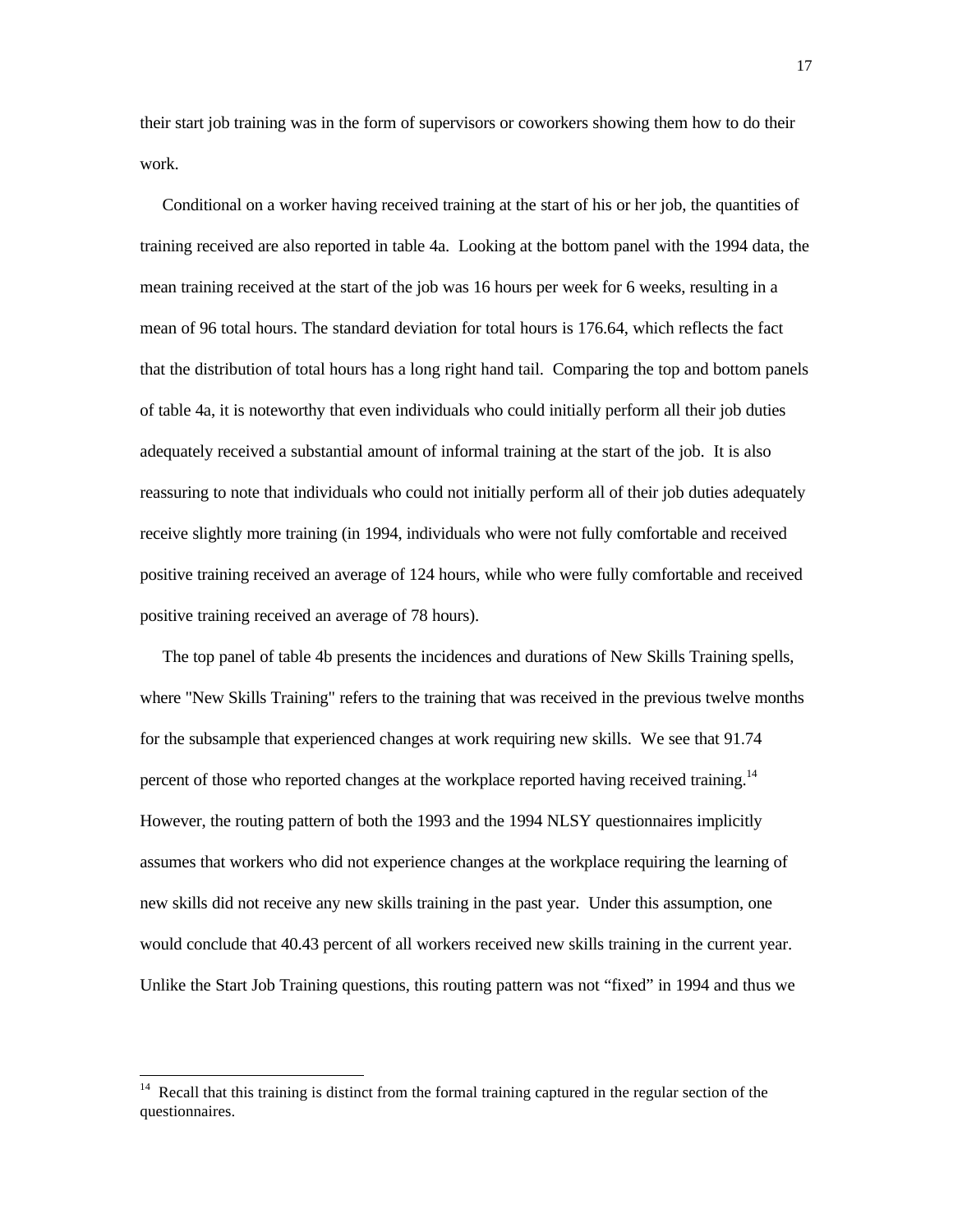their start job training was in the form of supervisors or coworkers showing them how to do their work.

 Conditional on a worker having received training at the start of his or her job, the quantities of training received are also reported in table 4a. Looking at the bottom panel with the 1994 data, the mean training received at the start of the job was 16 hours per week for 6 weeks, resulting in a mean of 96 total hours. The standard deviation for total hours is 176.64, which reflects the fact that the distribution of total hours has a long right hand tail. Comparing the top and bottom panels of table 4a, it is noteworthy that even individuals who could initially perform all their job duties adequately received a substantial amount of informal training at the start of the job. It is also reassuring to note that individuals who could not initially perform all of their job duties adequately receive slightly more training (in 1994, individuals who were not fully comfortable and received positive training received an average of 124 hours, while who were fully comfortable and received positive training received an average of 78 hours).

 The top panel of table 4b presents the incidences and durations of New Skills Training spells, where "New Skills Training" refers to the training that was received in the previous twelve months for the subsample that experienced changes at work requiring new skills. We see that 91.74 percent of those who reported changes at the workplace reported having received training.<sup>14</sup> However, the routing pattern of both the 1993 and the 1994 NLSY questionnaires implicitly assumes that workers who did not experience changes at the workplace requiring the learning of new skills did not receive any new skills training in the past year. Under this assumption, one would conclude that 40.43 percent of all workers received new skills training in the current year. Unlike the Start Job Training questions, this routing pattern was not "fixed" in 1994 and thus we

<sup>&</sup>lt;sup>14</sup> Recall that this training is distinct from the formal training captured in the regular section of the questionnaires.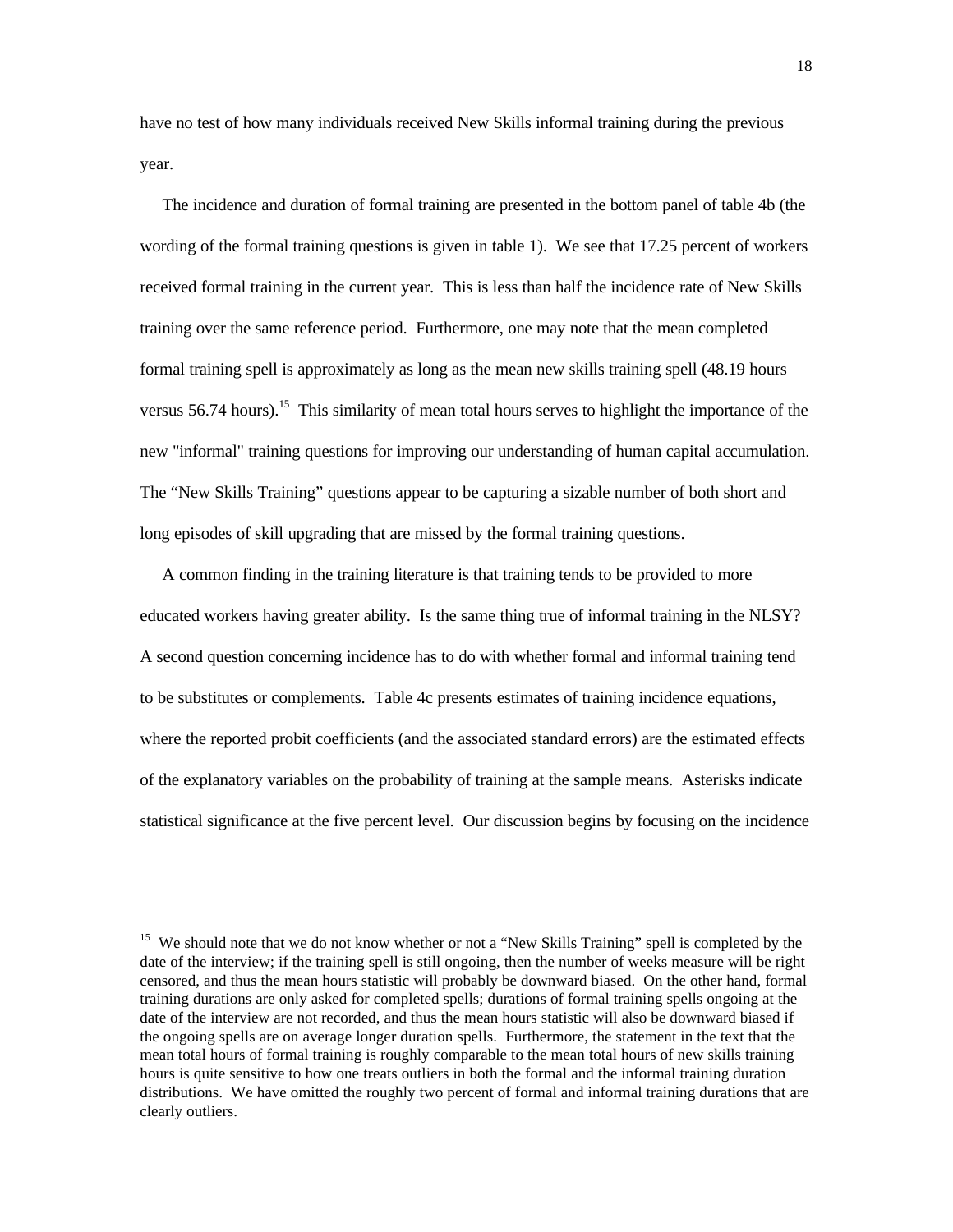have no test of how many individuals received New Skills informal training during the previous year.

 The incidence and duration of formal training are presented in the bottom panel of table 4b (the wording of the formal training questions is given in table 1). We see that 17.25 percent of workers received formal training in the current year. This is less than half the incidence rate of New Skills training over the same reference period. Furthermore, one may note that the mean completed formal training spell is approximately as long as the mean new skills training spell (48.19 hours versus 56.74 hours).<sup>15</sup> This similarity of mean total hours serves to highlight the importance of the new "informal" training questions for improving our understanding of human capital accumulation. The "New Skills Training" questions appear to be capturing a sizable number of both short and long episodes of skill upgrading that are missed by the formal training questions.

 A common finding in the training literature is that training tends to be provided to more educated workers having greater ability. Is the same thing true of informal training in the NLSY? A second question concerning incidence has to do with whether formal and informal training tend to be substitutes or complements. Table 4c presents estimates of training incidence equations, where the reported probit coefficients (and the associated standard errors) are the estimated effects of the explanatory variables on the probability of training at the sample means. Asterisks indicate statistical significance at the five percent level. Our discussion begins by focusing on the incidence

<sup>&</sup>lt;sup>15</sup> We should note that we do not know whether or not a "New Skills Training" spell is completed by the date of the interview; if the training spell is still ongoing, then the number of weeks measure will be right censored, and thus the mean hours statistic will probably be downward biased. On the other hand, formal training durations are only asked for completed spells; durations of formal training spells ongoing at the date of the interview are not recorded, and thus the mean hours statistic will also be downward biased if the ongoing spells are on average longer duration spells. Furthermore, the statement in the text that the mean total hours of formal training is roughly comparable to the mean total hours of new skills training hours is quite sensitive to how one treats outliers in both the formal and the informal training duration distributions. We have omitted the roughly two percent of formal and informal training durations that are clearly outliers.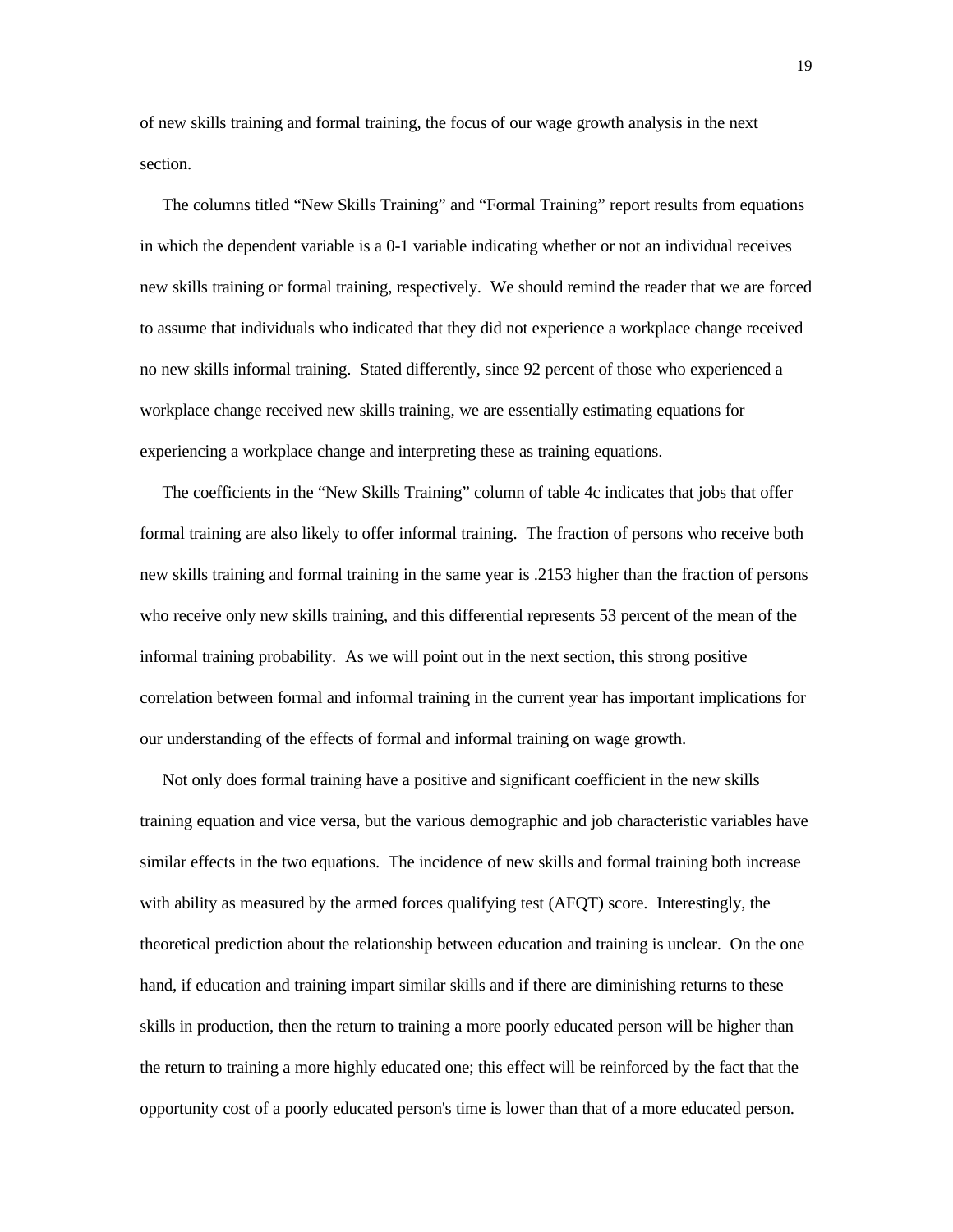of new skills training and formal training, the focus of our wage growth analysis in the next section.

 The columns titled "New Skills Training" and "Formal Training" report results from equations in which the dependent variable is a 0-1 variable indicating whether or not an individual receives new skills training or formal training, respectively. We should remind the reader that we are forced to assume that individuals who indicated that they did not experience a workplace change received no new skills informal training. Stated differently, since 92 percent of those who experienced a workplace change received new skills training, we are essentially estimating equations for experiencing a workplace change and interpreting these as training equations.

 The coefficients in the "New Skills Training" column of table 4c indicates that jobs that offer formal training are also likely to offer informal training. The fraction of persons who receive both new skills training and formal training in the same year is .2153 higher than the fraction of persons who receive only new skills training, and this differential represents 53 percent of the mean of the informal training probability. As we will point out in the next section, this strong positive correlation between formal and informal training in the current year has important implications for our understanding of the effects of formal and informal training on wage growth.

 Not only does formal training have a positive and significant coefficient in the new skills training equation and vice versa, but the various demographic and job characteristic variables have similar effects in the two equations. The incidence of new skills and formal training both increase with ability as measured by the armed forces qualifying test (AFQT) score. Interestingly, the theoretical prediction about the relationship between education and training is unclear. On the one hand, if education and training impart similar skills and if there are diminishing returns to these skills in production, then the return to training a more poorly educated person will be higher than the return to training a more highly educated one; this effect will be reinforced by the fact that the opportunity cost of a poorly educated person's time is lower than that of a more educated person.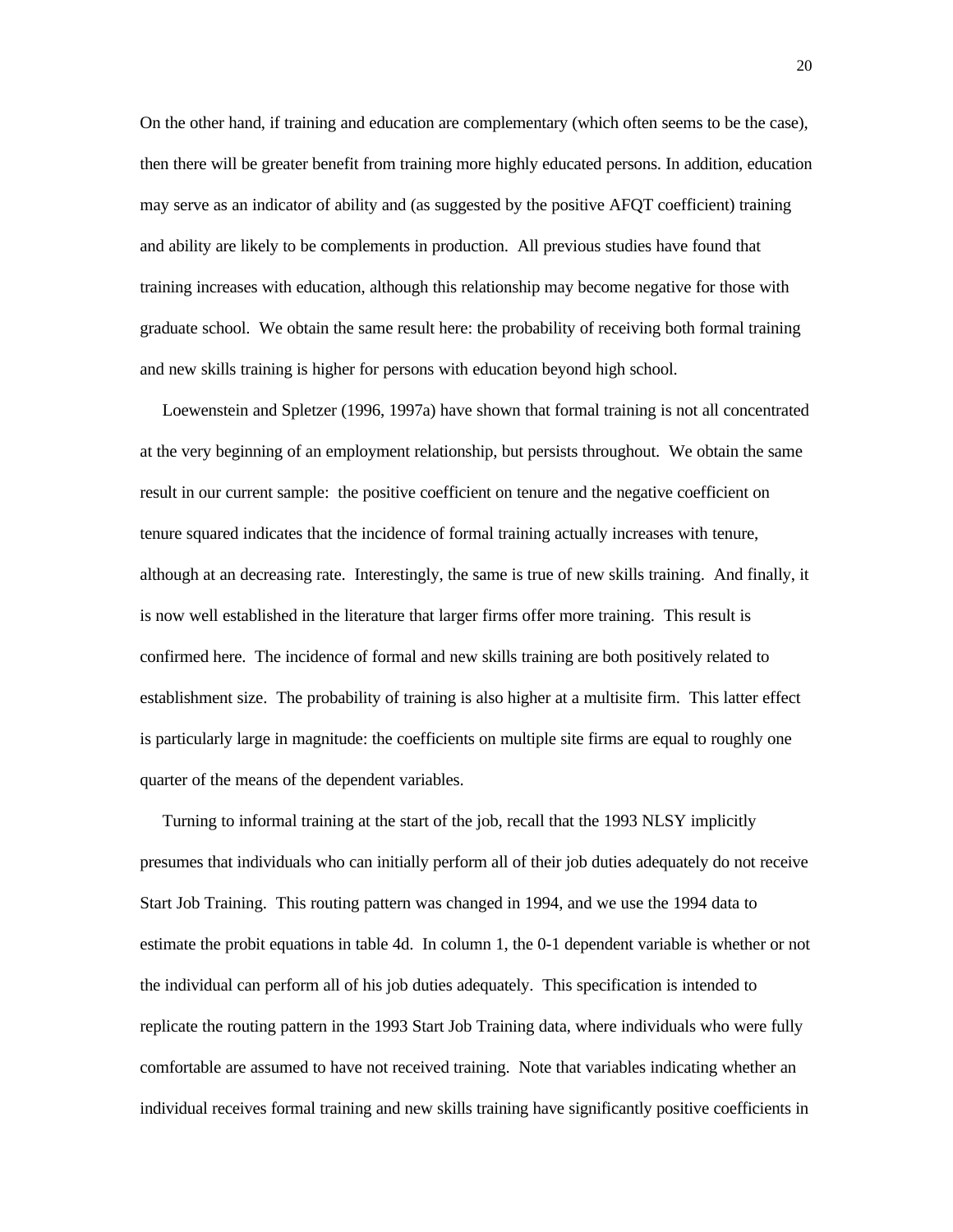On the other hand, if training and education are complementary (which often seems to be the case), then there will be greater benefit from training more highly educated persons. In addition, education may serve as an indicator of ability and (as suggested by the positive AFQT coefficient) training and ability are likely to be complements in production. All previous studies have found that training increases with education, although this relationship may become negative for those with graduate school. We obtain the same result here: the probability of receiving both formal training and new skills training is higher for persons with education beyond high school.

 Loewenstein and Spletzer (1996, 1997a) have shown that formal training is not all concentrated at the very beginning of an employment relationship, but persists throughout. We obtain the same result in our current sample: the positive coefficient on tenure and the negative coefficient on tenure squared indicates that the incidence of formal training actually increases with tenure, although at an decreasing rate. Interestingly, the same is true of new skills training. And finally, it is now well established in the literature that larger firms offer more training. This result is confirmed here. The incidence of formal and new skills training are both positively related to establishment size. The probability of training is also higher at a multisite firm. This latter effect is particularly large in magnitude: the coefficients on multiple site firms are equal to roughly one quarter of the means of the dependent variables.

 Turning to informal training at the start of the job, recall that the 1993 NLSY implicitly presumes that individuals who can initially perform all of their job duties adequately do not receive Start Job Training. This routing pattern was changed in 1994, and we use the 1994 data to estimate the probit equations in table 4d. In column 1, the 0-1 dependent variable is whether or not the individual can perform all of his job duties adequately. This specification is intended to replicate the routing pattern in the 1993 Start Job Training data, where individuals who were fully comfortable are assumed to have not received training. Note that variables indicating whether an individual receives formal training and new skills training have significantly positive coefficients in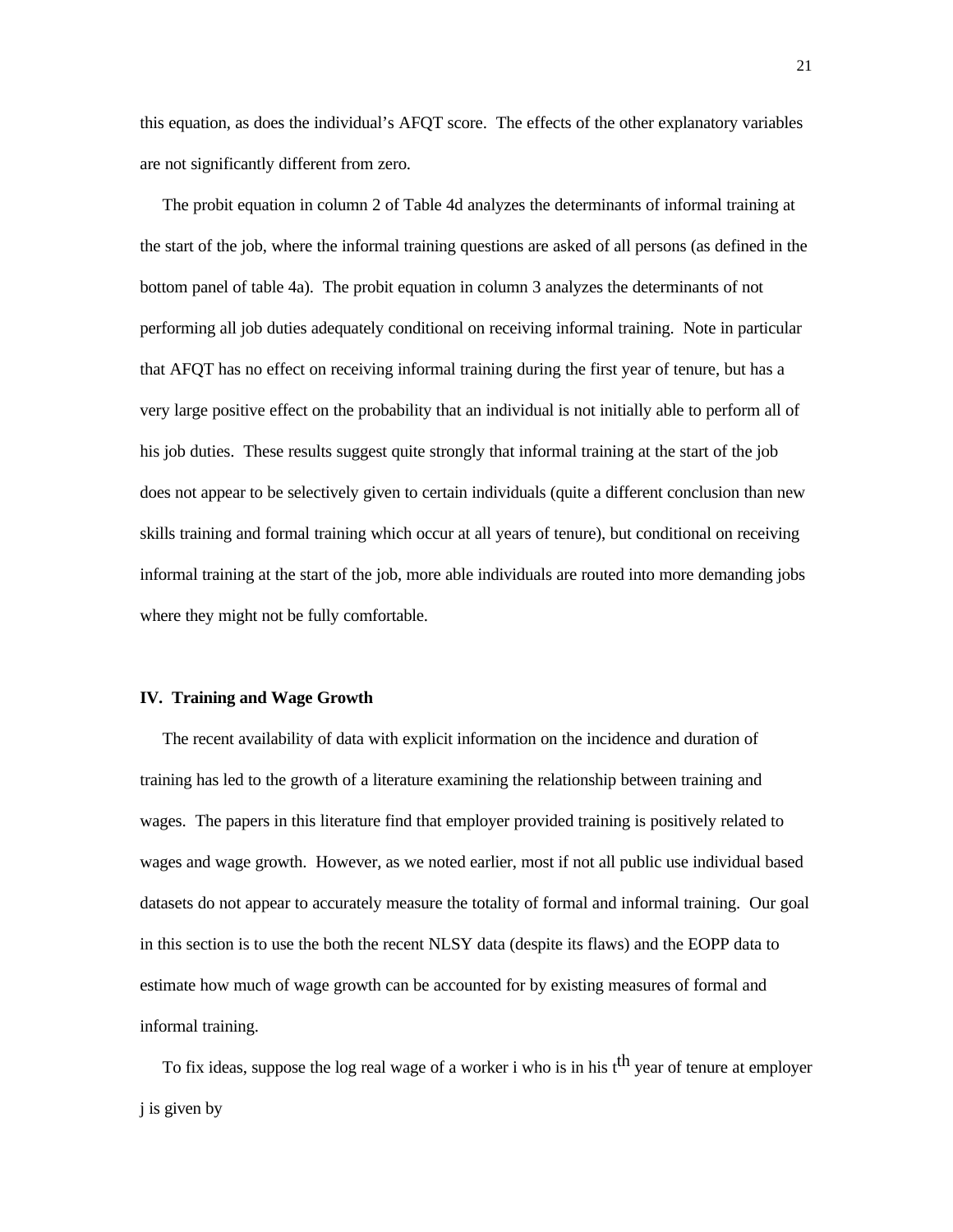this equation, as does the individual's AFQT score. The effects of the other explanatory variables are not significantly different from zero.

 The probit equation in column 2 of Table 4d analyzes the determinants of informal training at the start of the job, where the informal training questions are asked of all persons (as defined in the bottom panel of table 4a). The probit equation in column 3 analyzes the determinants of not performing all job duties adequately conditional on receiving informal training. Note in particular that AFQT has no effect on receiving informal training during the first year of tenure, but has a very large positive effect on the probability that an individual is not initially able to perform all of his job duties. These results suggest quite strongly that informal training at the start of the job does not appear to be selectively given to certain individuals (quite a different conclusion than new skills training and formal training which occur at all years of tenure), but conditional on receiving informal training at the start of the job, more able individuals are routed into more demanding jobs where they might not be fully comfortable.

### **IV. Training and Wage Growth**

 The recent availability of data with explicit information on the incidence and duration of training has led to the growth of a literature examining the relationship between training and wages. The papers in this literature find that employer provided training is positively related to wages and wage growth. However, as we noted earlier, most if not all public use individual based datasets do not appear to accurately measure the totality of formal and informal training. Our goal in this section is to use the both the recent NLSY data (despite its flaws) and the EOPP data to estimate how much of wage growth can be accounted for by existing measures of formal and informal training.

To fix ideas, suppose the log real wage of a worker i who is in his  $t<sup>th</sup>$  year of tenure at employer j is given by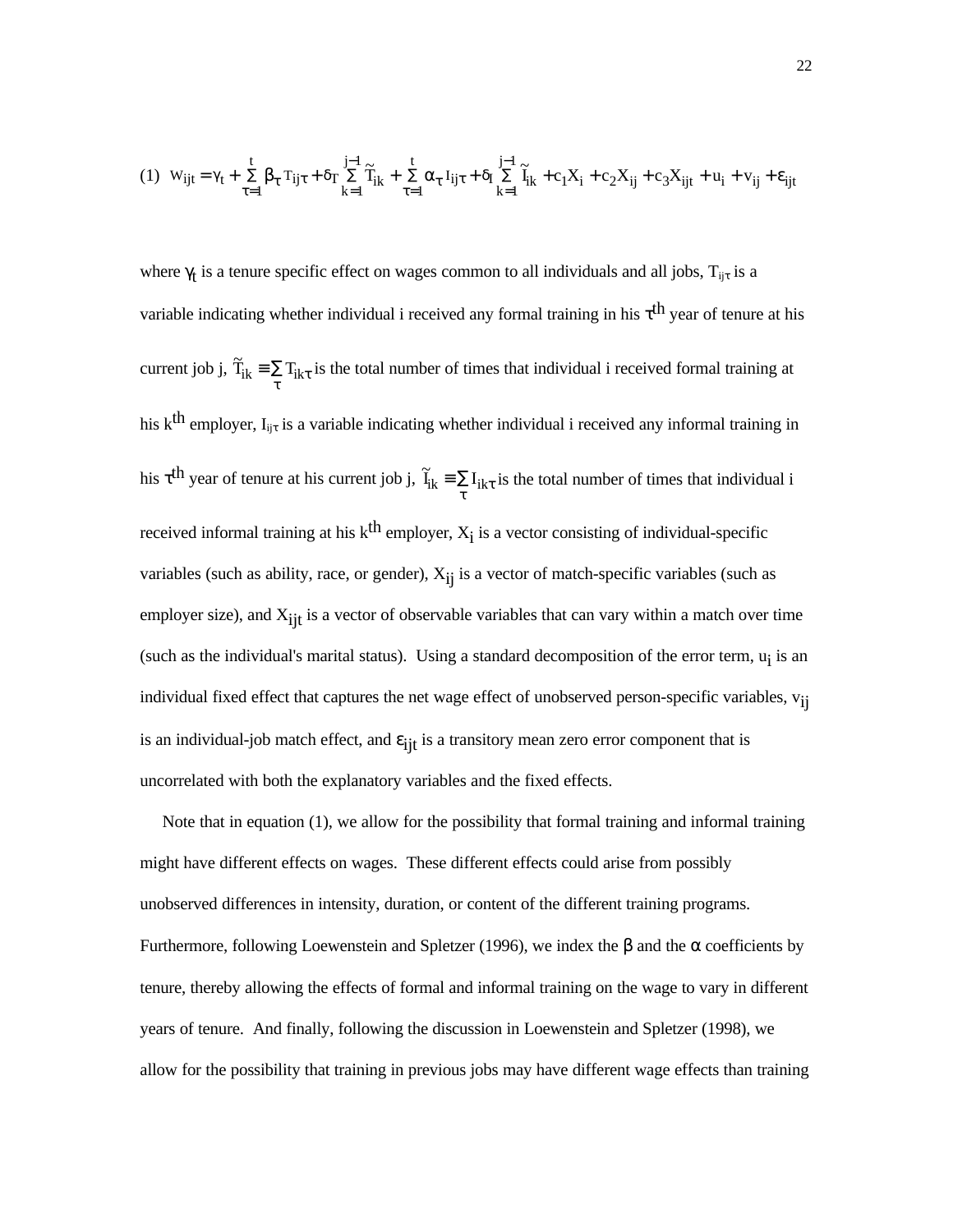$$
(1) \quad W_{ijt} = \gamma_t + \sum_{\tau=1}^t \beta_\tau \, T_{ij\tau} + \delta_T \sum_{k=1}^{j-1} \widetilde{T}_{ik} + \sum_{\tau=1}^t \alpha_\tau \, I_{ij\tau} + \delta_T \sum_{k=1}^{j-1} \widetilde{I}_{ik} + c_1 X_i + c_2 X_{ij} + c_3 X_{ijt} + u_i + v_{ij} + \epsilon_{ijt}
$$

where  $\gamma_t$  is a tenure specific effect on wages common to all individuals and all jobs,  $T_{ij\tau}$  is a variable indicating whether individual i received any formal training in his  $\tau^{\text{th}}$  year of tenure at his current job j,  $\tilde{T}_{ik} = \sum_{\tau} T_{ik\tau}$ is the total number of times that individual i received formal training at his k<sup>th</sup> employer,  $I_{ijt}$  is a variable indicating whether individual i received any informal training in his  $\tau^{\text{th}}$  year of tenure at his current job j,  $\tilde{I}_{ik} \equiv \sum_{\tau} I_{ik\tau}$ is the total number of times that individual i received informal training at his  $k^{\text{th}}$  employer,  $X_{\text{i}}$  is a vector consisting of individual-specific variables (such as ability, race, or gender),  $X_{ij}$  is a vector of match-specific variables (such as employer size), and  $X_{ijt}$  is a vector of observable variables that can vary within a match over time (such as the individual's marital status). Using a standard decomposition of the error term,  $u_i$  is an individual fixed effect that captures the net wage effect of unobserved person-specific variables, v<sub>ij</sub> is an individual-job match effect, and  $\varepsilon_{ijt}$  is a transitory mean zero error component that is uncorrelated with both the explanatory variables and the fixed effects.

 Note that in equation (1), we allow for the possibility that formal training and informal training might have different effects on wages. These different effects could arise from possibly unobserved differences in intensity, duration, or content of the different training programs. Furthermore, following Loewenstein and Spletzer (1996), we index the β and the α coefficients by tenure, thereby allowing the effects of formal and informal training on the wage to vary in different years of tenure. And finally, following the discussion in Loewenstein and Spletzer (1998), we allow for the possibility that training in previous jobs may have different wage effects than training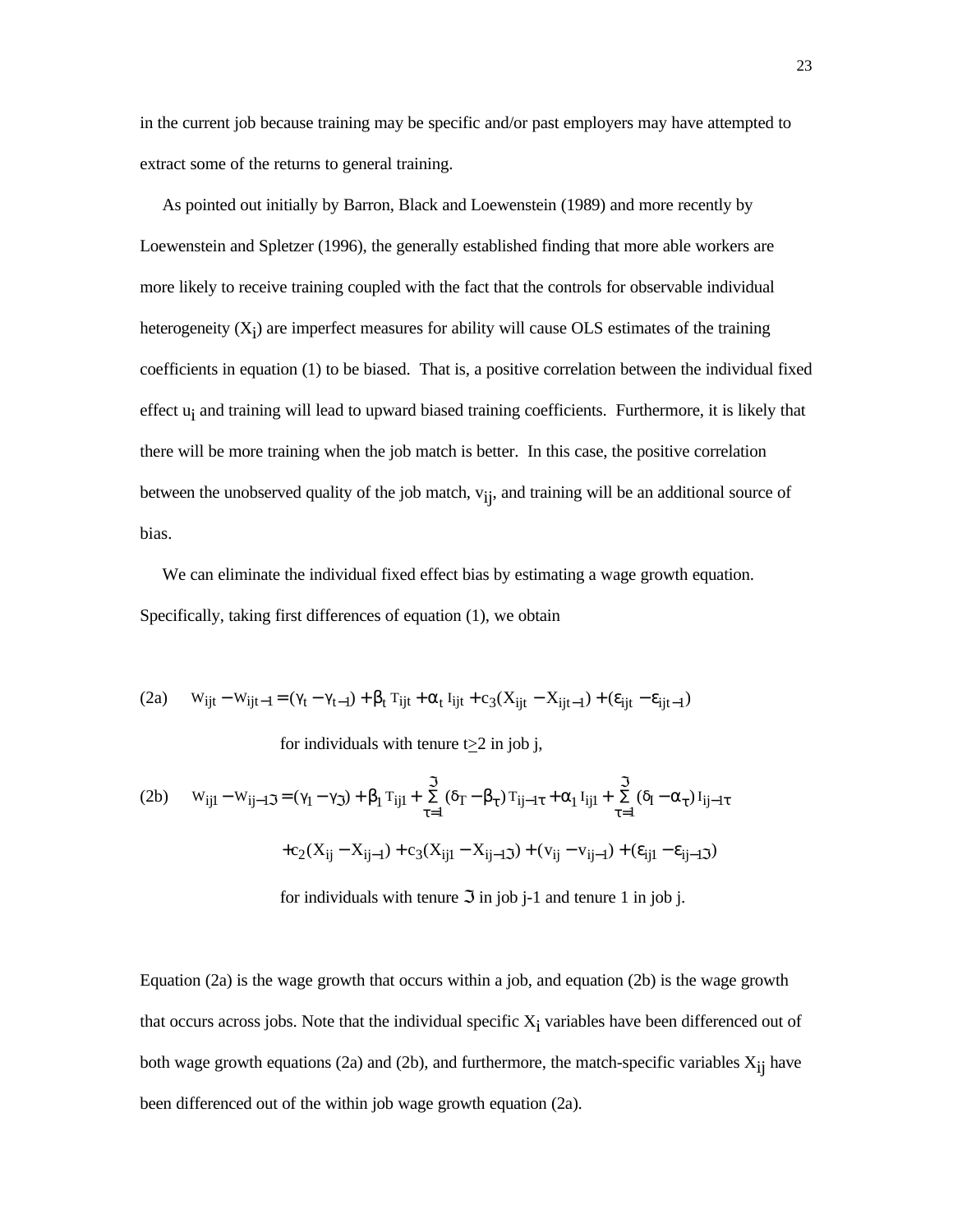in the current job because training may be specific and/or past employers may have attempted to extract some of the returns to general training.

 As pointed out initially by Barron, Black and Loewenstein (1989) and more recently by Loewenstein and Spletzer (1996), the generally established finding that more able workers are more likely to receive training coupled with the fact that the controls for observable individual heterogeneity  $(X_i)$  are imperfect measures for ability will cause OLS estimates of the training coefficients in equation (1) to be biased. That is, a positive correlation between the individual fixed effect u<sub>i</sub> and training will lead to upward biased training coefficients. Furthermore, it is likely that there will be more training when the job match is better. In this case, the positive correlation between the unobserved quality of the job match, v<sub>ij</sub>, and training will be an additional source of bias.

We can eliminate the individual fixed effect bias by estimating a wage growth equation. Specifically, taking first differences of equation (1), we obtain

(2a) 
$$
W_{ijt} - W_{ijt-1} = (\gamma_t - \gamma_{t-1}) + \beta_t T_{ijt} + \alpha_t I_{ijt} + c_3(X_{ijt} - X_{ijt-1}) + (\epsilon_{ijt} - \epsilon_{ijt-1})
$$

for individuals with tenure  $t\geq 2$  in job j,

(2b) 
$$
W_{ij1} - W_{ij-1}g = (\gamma_1 - \gamma_3) + \beta_1 T_{ij1} + \sum_{\tau=1}^{3} (\delta_T - \beta_\tau) T_{ij-1\tau} + \alpha_1 I_{ij1} + \sum_{\tau=1}^{3} (\delta_I - \alpha_\tau) I_{ij-1\tau}
$$

$$
+ c_2 (X_{ij} - X_{ij-1}) + c_3 (X_{ij1} - X_{ij-1}g) + (v_{ij} - v_{ij-1}) + (\epsilon_{ij1} - \epsilon_{ij-1}g)
$$

for individuals with tenure  $\Im$  in job j-1 and tenure 1 in job j.

Equation (2a) is the wage growth that occurs within a job, and equation (2b) is the wage growth that occurs across jobs. Note that the individual specific  $X_i$  variables have been differenced out of both wage growth equations (2a) and (2b), and furthermore, the match-specific variables  $X_{ij}$  have been differenced out of the within job wage growth equation (2a).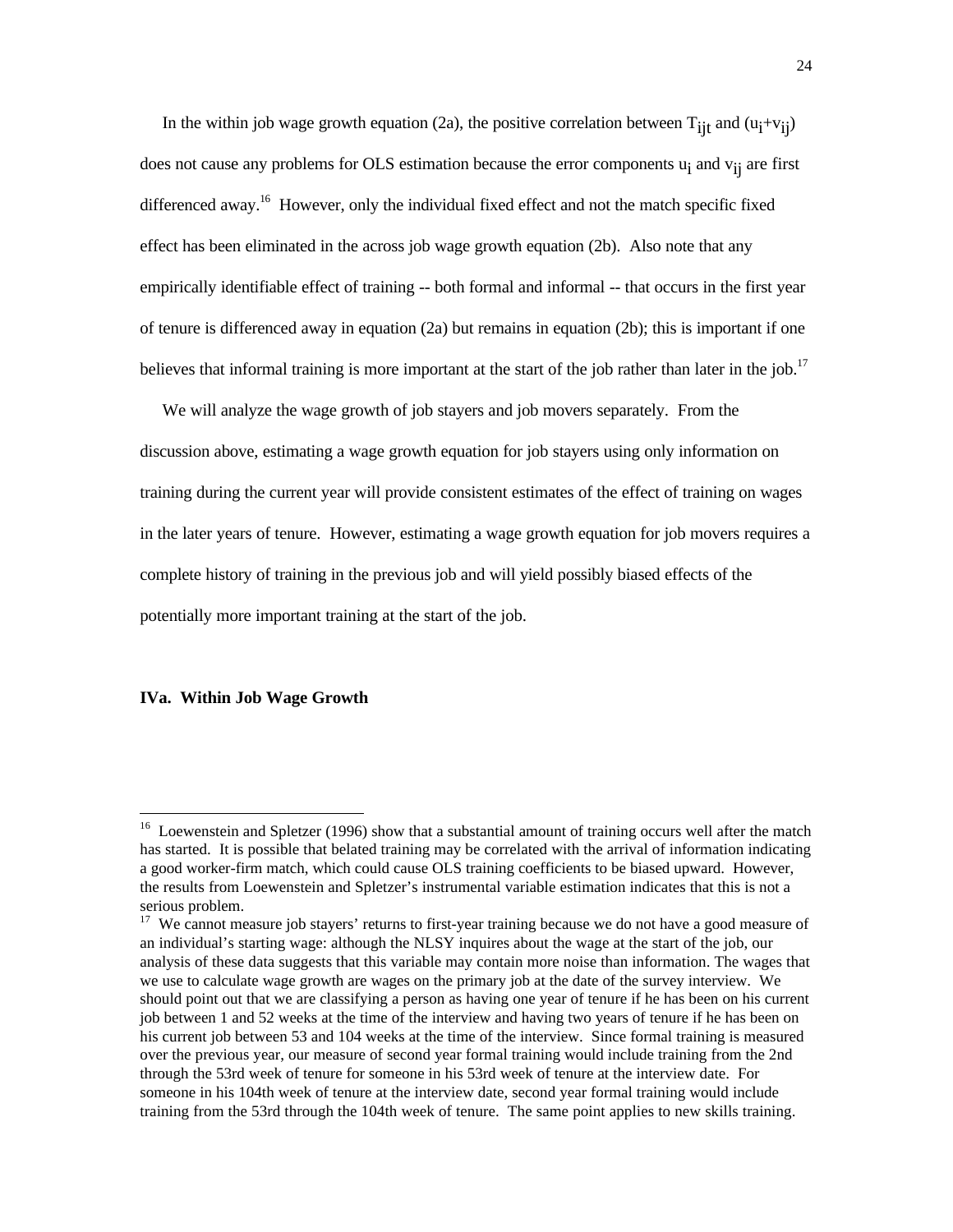In the within job wage growth equation (2a), the positive correlation between  $T_{ijt}$  and  $(u_i+v_{ij})$ does not cause any problems for OLS estimation because the error components u<sub>i</sub> and v<sub>ij</sub> are first differenced away.<sup>16</sup> However, only the individual fixed effect and not the match specific fixed effect has been eliminated in the across job wage growth equation (2b). Also note that any empirically identifiable effect of training -- both formal and informal -- that occurs in the first year of tenure is differenced away in equation (2a) but remains in equation (2b); this is important if one believes that informal training is more important at the start of the job rather than later in the job.<sup>17</sup>

 We will analyze the wage growth of job stayers and job movers separately. From the discussion above, estimating a wage growth equation for job stayers using only information on training during the current year will provide consistent estimates of the effect of training on wages in the later years of tenure. However, estimating a wage growth equation for job movers requires a complete history of training in the previous job and will yield possibly biased effects of the potentially more important training at the start of the job.

#### **IVa. Within Job Wage Growth**

 $16$  Loewenstein and Spletzer (1996) show that a substantial amount of training occurs well after the match has started. It is possible that belated training may be correlated with the arrival of information indicating a good worker-firm match, which could cause OLS training coefficients to be biased upward. However, the results from Loewenstein and Spletzer's instrumental variable estimation indicates that this is not a serious problem.

<sup>&</sup>lt;sup>17</sup> We cannot measure job stayers' returns to first-year training because we do not have a good measure of an individual's starting wage: although the NLSY inquires about the wage at the start of the job, our analysis of these data suggests that this variable may contain more noise than information. The wages that we use to calculate wage growth are wages on the primary job at the date of the survey interview. We should point out that we are classifying a person as having one year of tenure if he has been on his current job between 1 and 52 weeks at the time of the interview and having two years of tenure if he has been on his current job between 53 and 104 weeks at the time of the interview. Since formal training is measured over the previous year, our measure of second year formal training would include training from the 2nd through the 53rd week of tenure for someone in his 53rd week of tenure at the interview date. For someone in his 104th week of tenure at the interview date, second year formal training would include training from the 53rd through the 104th week of tenure. The same point applies to new skills training.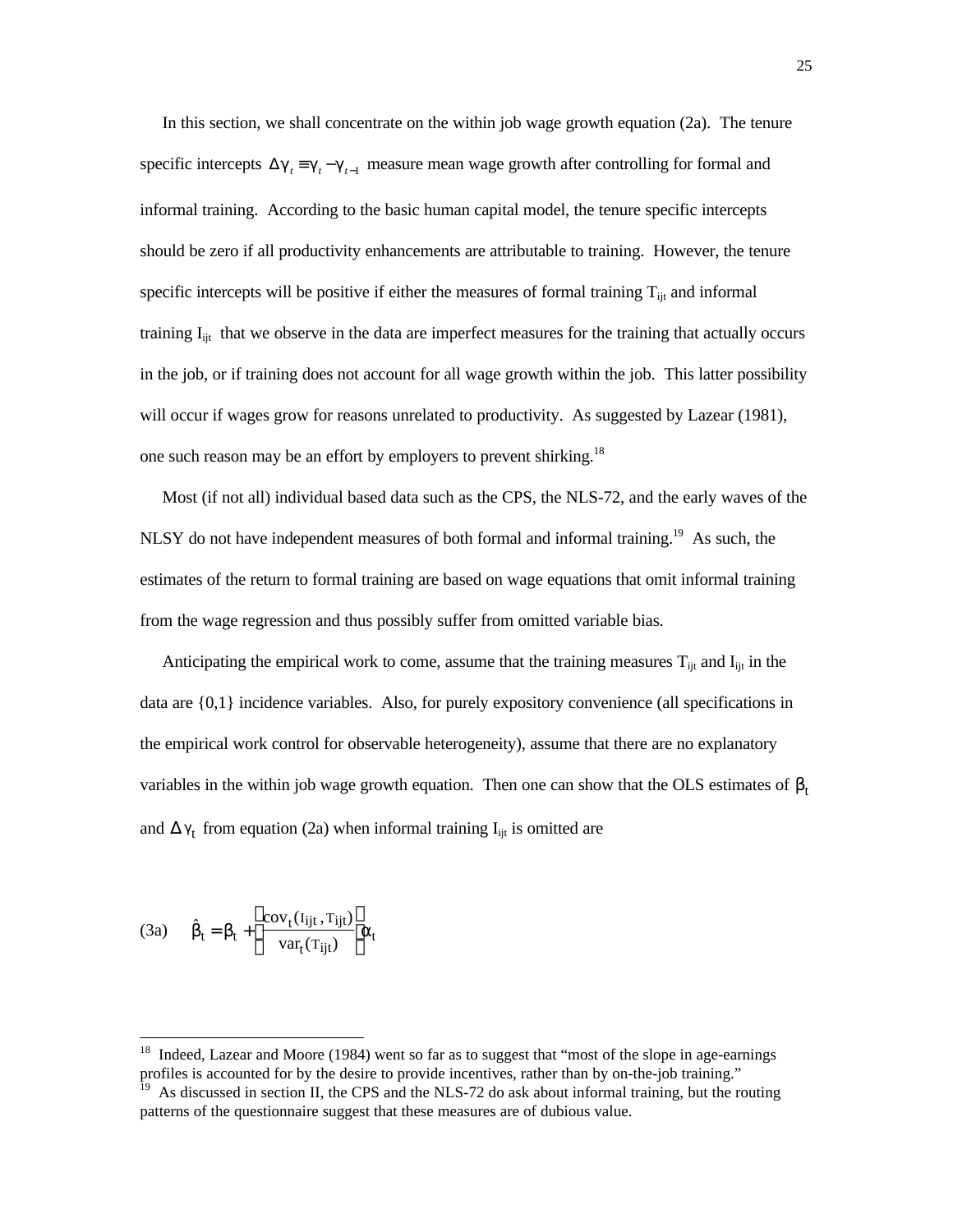In this section, we shall concentrate on the within job wage growth equation (2a). The tenure specific intercepts  $\Delta g_t = g_t - g_{t-1}$  measure mean wage growth after controlling for formal and informal training. According to the basic human capital model, the tenure specific intercepts should be zero if all productivity enhancements are attributable to training. However, the tenure specific intercepts will be positive if either the measures of formal training  $T_{\text{ij}}$  and informal training  $I_{\text{ijt}}$  that we observe in the data are imperfect measures for the training that actually occurs in the job, or if training does not account for all wage growth within the job. This latter possibility will occur if wages grow for reasons unrelated to productivity. As suggested by Lazear (1981), one such reason may be an effort by employers to prevent shirking.<sup>18</sup>

 Most (if not all) individual based data such as the CPS, the NLS-72, and the early waves of the NLSY do not have independent measures of both formal and informal training.<sup>19</sup> As such, the estimates of the return to formal training are based on wage equations that omit informal training from the wage regression and thus possibly suffer from omitted variable bias.

Anticipating the empirical work to come, assume that the training measures  $T_{ijt}$  and  $I_{ijt}$  in the data are {0,1} incidence variables. Also, for purely expository convenience (all specifications in the empirical work control for observable heterogeneity), assume that there are no explanatory variables in the within job wage growth equation. Then one can show that the OLS estimates of  $\beta_t$ and  $\Delta \gamma_t$  from equation (2a) when informal training  $I_{ijt}$  is omitted are

$$
(3a) \qquad \hat{\beta}_t = \beta_t + \left[ \frac{\mathrm{cov}_t(\mathrm{I}_{ijt}, \mathrm{T}_{ijt})}{\mathrm{var}_t(\mathrm{T}_{ijt})} \right] \!\! \alpha_t
$$

 $18$  Indeed, Lazear and Moore (1984) went so far as to suggest that "most of the slope in age-earnings profiles is accounted for by the desire to provide incentives, rather than by on-the-job training."

 $19$  As discussed in section II, the CPS and the NLS-72 do ask about informal training, but the routing patterns of the questionnaire suggest that these measures are of dubious value.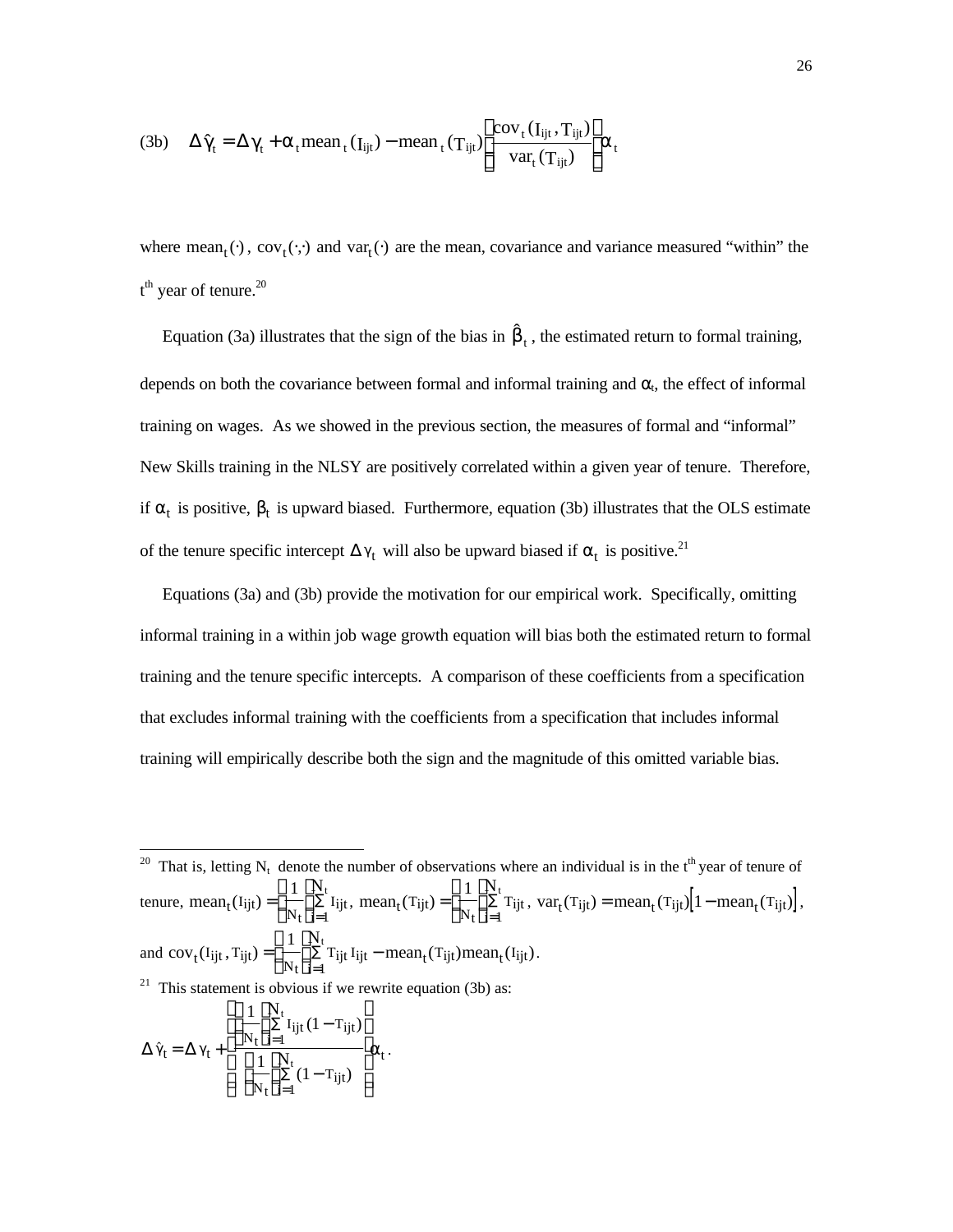(3b) 
$$
\Delta \hat{\gamma}_t = \Delta \gamma_t + \alpha_t \text{ mean }_{t} (I_{ijt}) - \text{ mean }_{t} (T_{ijt}) \left[ \frac{\text{cov}_t (I_{ijt}, T_{ijt})}{\text{var}_t (T_{ijt})} \right] \alpha_t
$$

where mean<sub>t</sub>(·),  $cov_t(\cdot)$  and var<sub>t</sub>(·) are the mean, covariance and variance measured "within" the  $t<sup>th</sup>$  year of tenure.<sup>20</sup>

Equation (3a) illustrates that the sign of the bias in  $\hat{\beta}_t$ , the estimated return to formal training, depends on both the covariance between formal and informal training and  $\alpha_t$ , the effect of informal training on wages. As we showed in the previous section, the measures of formal and "informal" New Skills training in the NLSY are positively correlated within a given year of tenure. Therefore, if  $\alpha_t$  is positive,  $\beta_t$  is upward biased. Furthermore, equation (3b) illustrates that the OLS estimate of the tenure specific intercept  $\Delta \gamma_t$  will also be upward biased if  $\alpha_t$  is positive.<sup>21</sup>

 Equations (3a) and (3b) provide the motivation for our empirical work. Specifically, omitting informal training in a within job wage growth equation will bias both the estimated return to formal training and the tenure specific intercepts. A comparison of these coefficients from a specification that excludes informal training with the coefficients from a specification that includes informal training will empirically describe both the sign and the magnitude of this omitted variable bias.

```
\overline{a}<sup>20</sup> That is, letting N<sub>t</sub> denote the number of observations where an individual is in the t<sup>th</sup> year of tenure of
tenure, mean
                                                                     N
                                   <sub>t</sub> (I<sub>ijt</sub>
                                                           N_{\text{t}}I<sub>ijt</sub>
                                                                     i
                                     (I_{ijt}) = \frac{1}{\sqrt{2}} \sum_{i=1}^{N_t}ſ
                                                       l
                                                                  \lambda\overline{a}=
                                                             \frac{1}{2}1
                                                                                     , mean
                                                                                                                                            N
                                                                                                        <sub>t</sub>(T<sub>ijt</sub>
                                                                                                                                  N_{\text{t}}Tijt
                                                                                                                                            i
                                                                                                          (T_{ijt}) = \frac{1}{\sqrt{2}} \sum_{i=1}^{N_t}ſ
                                                                                                                              l
                                                                                                                                         \lambda\overline{a}=
                                                                                                                                   \frac{1}{2}\sum_{i}^{T} T_{ijt}, var_{t}(T_{ijt}) = mean_{t}(T_{ijt})[1 - mean_{t}(T_{ijt})],and cov_t(I_{ijt}, T_{ijt}) = \frac{1}{N} \sum_{i} T_{ijt} I_{ijt} - \text{mean}_t(T_{ijt}) \text{mean}_t(I_{ijt})N_{t}T<sub>ijt</sub> I<sub>ijt</sub>
                                                                    \sum_{i=1} T<sub>ijt</sub> I<sub>ijt</sub> – mean<sub>t</sub>(T<sub>ijt</sub>)mean<sub>t</sub>(I<sub>ijt</sub>)
                                                                    \overline{\mathsf{N}}_t= \frac{1}{\sqrt{2}} \sum T_{ijt} I_{ijt} – mean<sub>t</sub> (T<sub>ijt</sub>) mean
                                                      ſ
                                                      \overline{\phantom{a}}\lambda\sum_{i=1}^{5} T_{ijt} I_{ijt} –
                                                                     =
                                                           \frac{1}{2}1
                                                                                                                                                                 .
<sup>21</sup> This statement is obvious if we rewrite equation (3b) as:
\Delta \hat{\gamma}_t = \Delta \gamma_t + \left| \frac{\sum_{t=1}^{N_t} \hat{\gamma}_t}{\sqrt{\frac{N_t}{N_t}}} \right|\sum_{i=1} I<sub>ijt</sub> (1 – T<sub>ijt</sub>
                                              N_{\text{t}}\sum_{i=1} (1 - T_{ijt})t
                                                         t
                                                             t
                                                   \overline{\mathsf{N}}\hat{\gamma}_t = \Delta \gamma_t + \frac{\Delta \gamma_t}{\Delta \gamma_t}(1 - T_{\text{ijt}})(1 - T_{ijt})\hat{\gamma}_t = \Delta \gamma_t + \frac{\Delta \gamma_t}{\Delta \gamma_t} \alphaſ
                                      \overline{\phantom{a}}\lambda\sum_{i=1}^{\infty} I_{ijt} (1 -ſ
                                          l
                                                     \lambda\sum_{i=1}^{5} (1 –
                                   L
                                   L
                                   L
                                   L
                                   L
                                   L
                                                                                           \mathbf{I}J
                                                                                           \mathbf{I}\overline{\phantom{a}}\overline{\phantom{a}}\overline{\phantom{a}}=
                                                     ∑
                                                         =
                                                         ∑
                                           1
                                                                     1
                                               1
                                                                 1
                                                        1
                                                            1
                                                                                                    .
```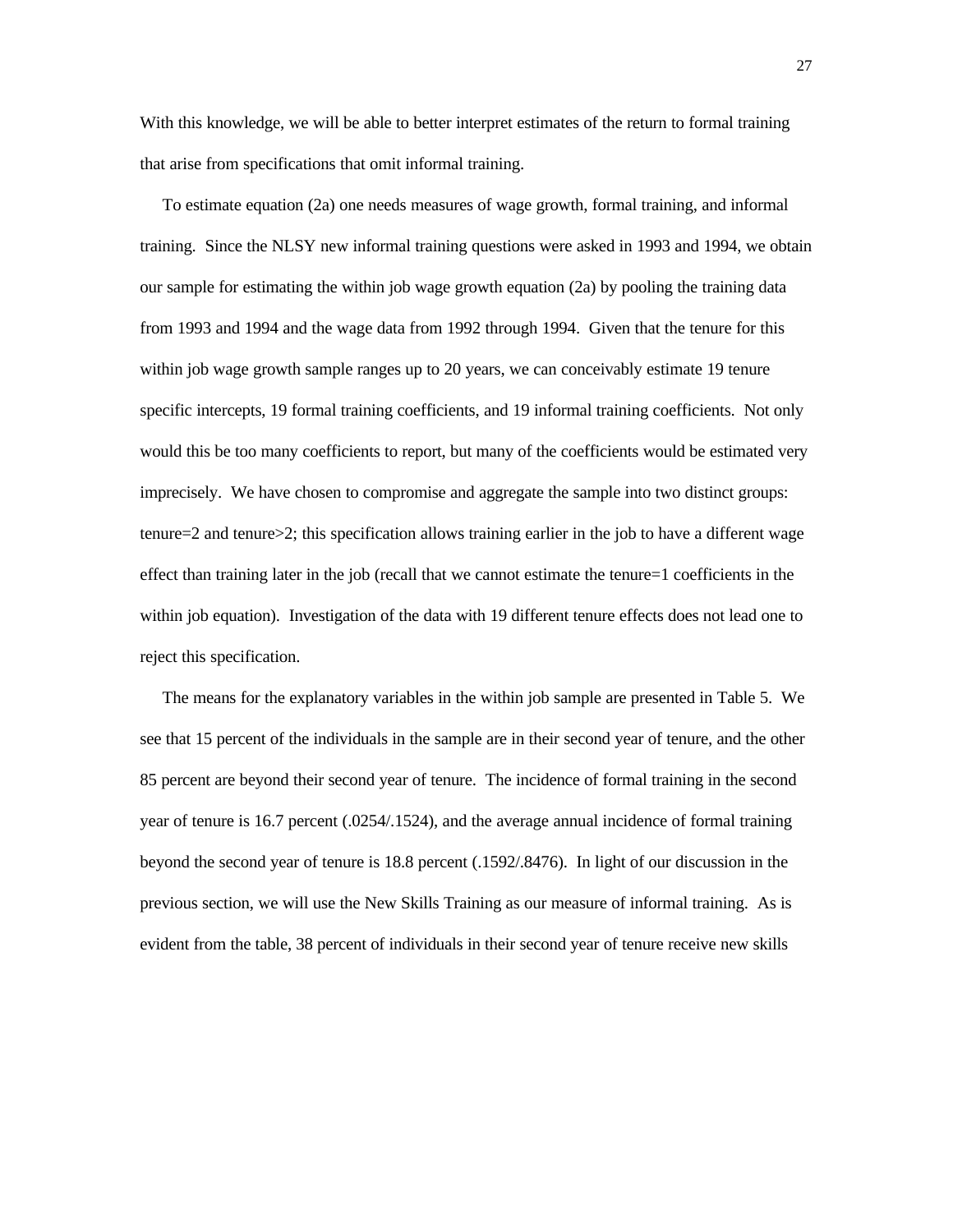With this knowledge, we will be able to better interpret estimates of the return to formal training that arise from specifications that omit informal training.

 To estimate equation (2a) one needs measures of wage growth, formal training, and informal training. Since the NLSY new informal training questions were asked in 1993 and 1994, we obtain our sample for estimating the within job wage growth equation (2a) by pooling the training data from 1993 and 1994 and the wage data from 1992 through 1994. Given that the tenure for this within job wage growth sample ranges up to 20 years, we can conceivably estimate 19 tenure specific intercepts, 19 formal training coefficients, and 19 informal training coefficients. Not only would this be too many coefficients to report, but many of the coefficients would be estimated very imprecisely. We have chosen to compromise and aggregate the sample into two distinct groups: tenure=2 and tenure>2; this specification allows training earlier in the job to have a different wage effect than training later in the job (recall that we cannot estimate the tenure=1 coefficients in the within job equation). Investigation of the data with 19 different tenure effects does not lead one to reject this specification.

 The means for the explanatory variables in the within job sample are presented in Table 5. We see that 15 percent of the individuals in the sample are in their second year of tenure, and the other 85 percent are beyond their second year of tenure. The incidence of formal training in the second year of tenure is 16.7 percent (.0254/.1524), and the average annual incidence of formal training beyond the second year of tenure is 18.8 percent (.1592/.8476). In light of our discussion in the previous section, we will use the New Skills Training as our measure of informal training. As is evident from the table, 38 percent of individuals in their second year of tenure receive new skills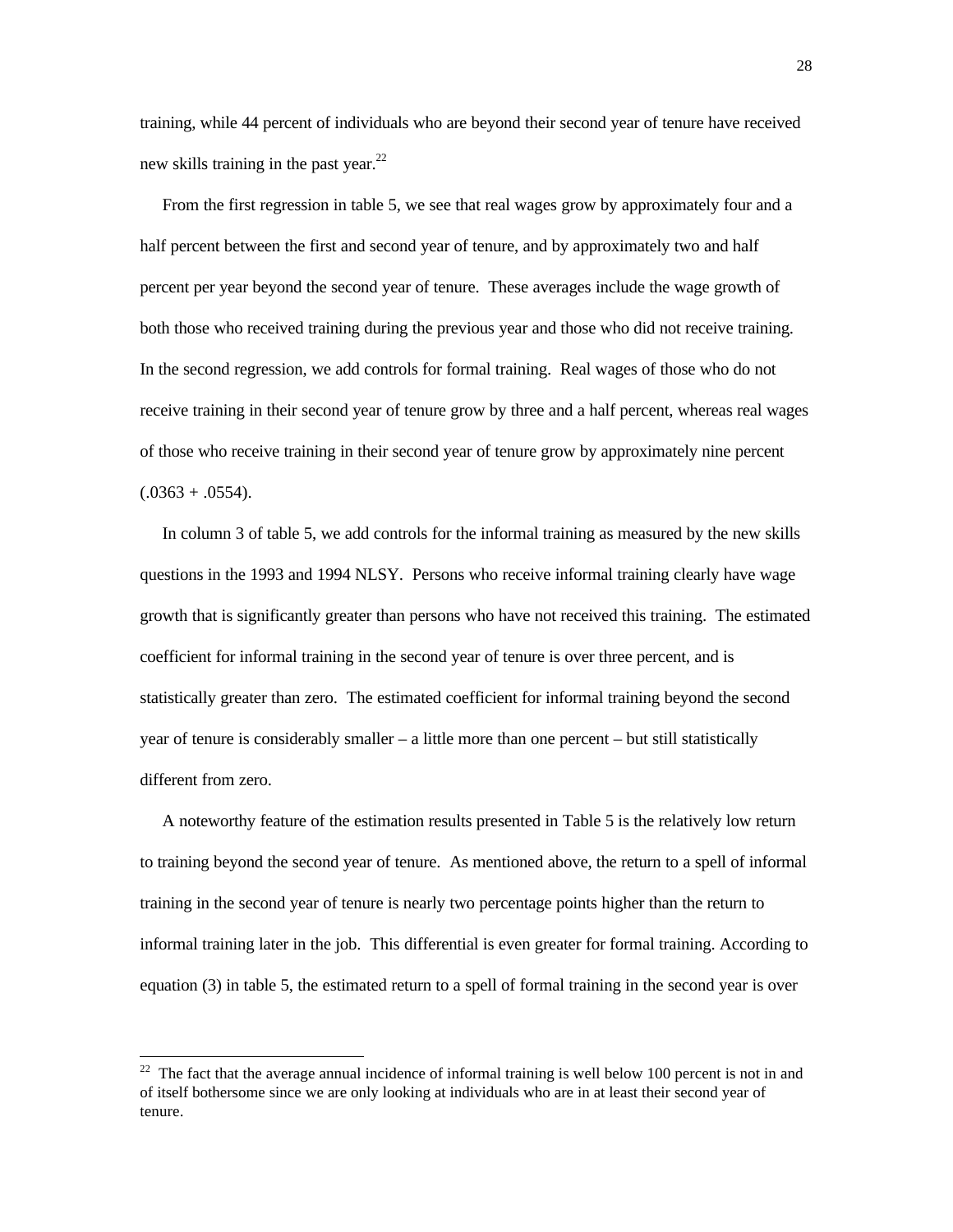training, while 44 percent of individuals who are beyond their second year of tenure have received new skills training in the past year. $^{22}$ 

 From the first regression in table 5, we see that real wages grow by approximately four and a half percent between the first and second year of tenure, and by approximately two and half percent per year beyond the second year of tenure. These averages include the wage growth of both those who received training during the previous year and those who did not receive training. In the second regression, we add controls for formal training. Real wages of those who do not receive training in their second year of tenure grow by three and a half percent, whereas real wages of those who receive training in their second year of tenure grow by approximately nine percent  $(.0363 + .0554).$ 

 In column 3 of table 5, we add controls for the informal training as measured by the new skills questions in the 1993 and 1994 NLSY. Persons who receive informal training clearly have wage growth that is significantly greater than persons who have not received this training. The estimated coefficient for informal training in the second year of tenure is over three percent, and is statistically greater than zero. The estimated coefficient for informal training beyond the second year of tenure is considerably smaller – a little more than one percent – but still statistically different from zero.

 A noteworthy feature of the estimation results presented in Table 5 is the relatively low return to training beyond the second year of tenure. As mentioned above, the return to a spell of informal training in the second year of tenure is nearly two percentage points higher than the return to informal training later in the job. This differential is even greater for formal training. According to equation (3) in table 5, the estimated return to a spell of formal training in the second year is over

 $22$  The fact that the average annual incidence of informal training is well below 100 percent is not in and of itself bothersome since we are only looking at individuals who are in at least their second year of tenure.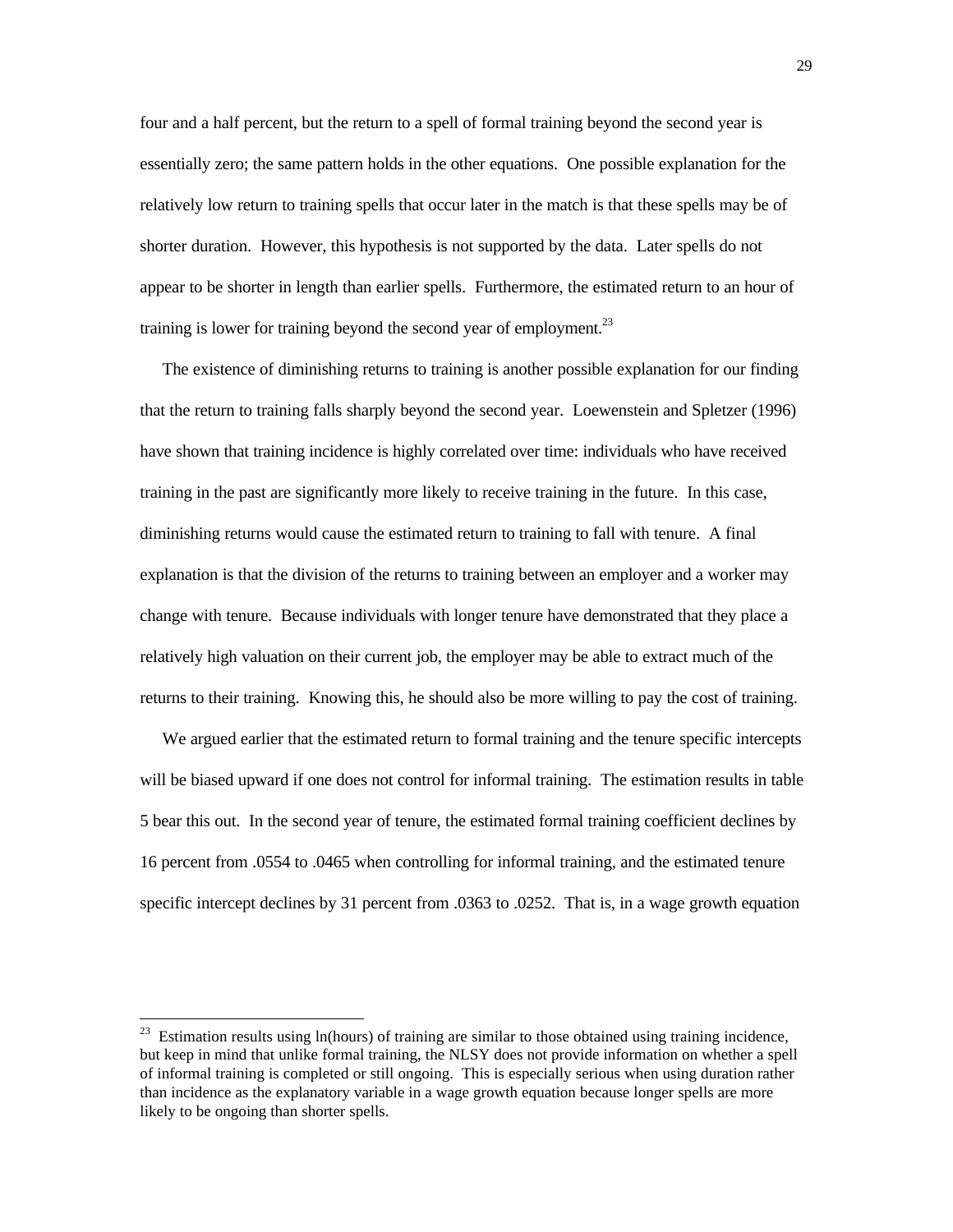four and a half percent, but the return to a spell of formal training beyond the second year is essentially zero; the same pattern holds in the other equations. One possible explanation for the relatively low return to training spells that occur later in the match is that these spells may be of shorter duration. However, this hypothesis is not supported by the data. Later spells do not appear to be shorter in length than earlier spells. Furthermore, the estimated return to an hour of training is lower for training beyond the second year of employment. $^{23}$ 

 The existence of diminishing returns to training is another possible explanation for our finding that the return to training falls sharply beyond the second year. Loewenstein and Spletzer (1996) have shown that training incidence is highly correlated over time: individuals who have received training in the past are significantly more likely to receive training in the future. In this case, diminishing returns would cause the estimated return to training to fall with tenure. A final explanation is that the division of the returns to training between an employer and a worker may change with tenure. Because individuals with longer tenure have demonstrated that they place a relatively high valuation on their current job, the employer may be able to extract much of the returns to their training. Knowing this, he should also be more willing to pay the cost of training.

 We argued earlier that the estimated return to formal training and the tenure specific intercepts will be biased upward if one does not control for informal training. The estimation results in table 5 bear this out. In the second year of tenure, the estimated formal training coefficient declines by 16 percent from .0554 to .0465 when controlling for informal training, and the estimated tenure specific intercept declines by 31 percent from .0363 to .0252. That is, in a wage growth equation

 $23$  Estimation results using ln(hours) of training are similar to those obtained using training incidence, but keep in mind that unlike formal training, the NLSY does not provide information on whether a spell of informal training is completed or still ongoing. This is especially serious when using duration rather than incidence as the explanatory variable in a wage growth equation because longer spells are more likely to be ongoing than shorter spells.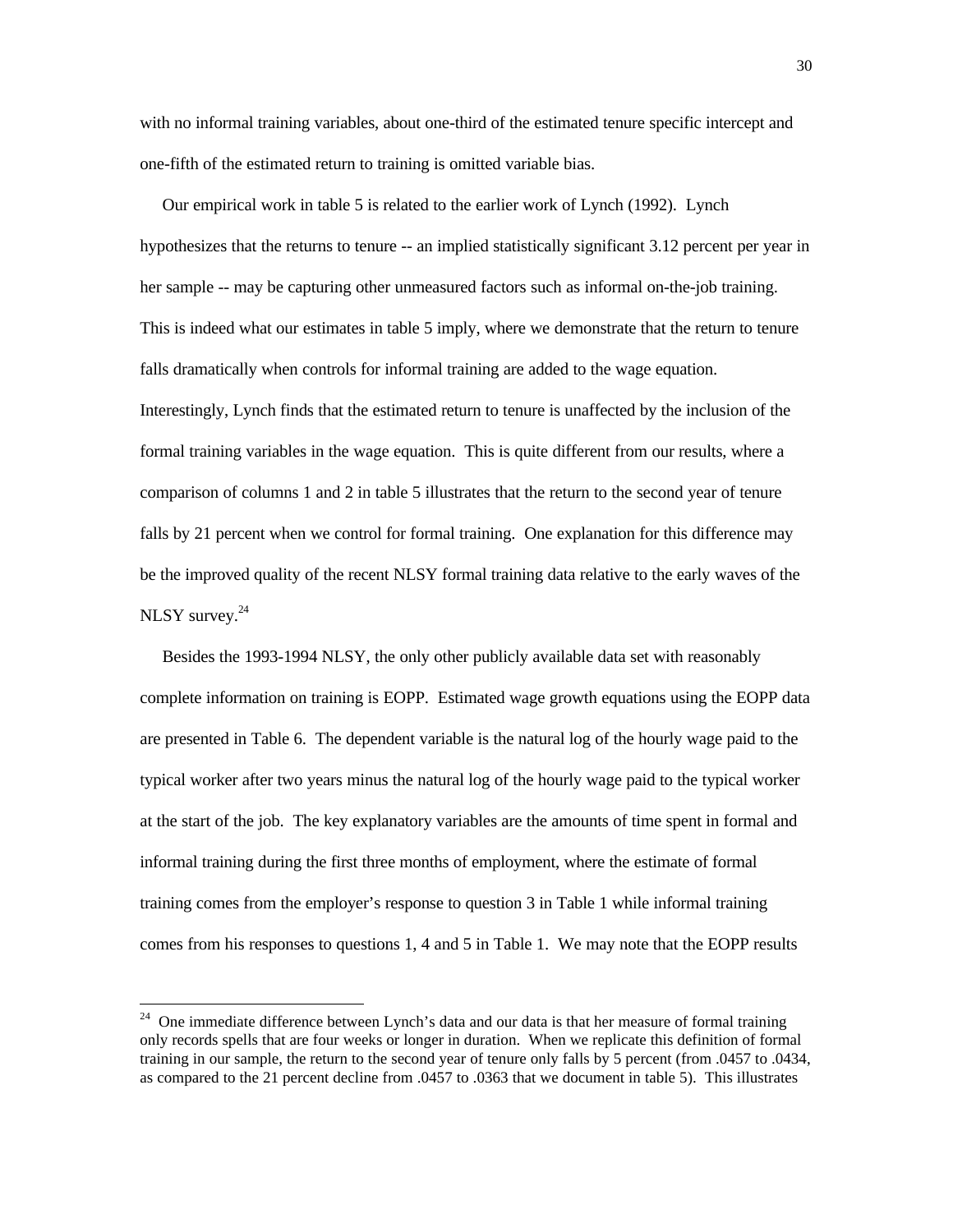with no informal training variables, about one-third of the estimated tenure specific intercept and one-fifth of the estimated return to training is omitted variable bias.

 Our empirical work in table 5 is related to the earlier work of Lynch (1992). Lynch hypothesizes that the returns to tenure -- an implied statistically significant 3.12 percent per year in her sample -- may be capturing other unmeasured factors such as informal on-the-job training. This is indeed what our estimates in table 5 imply, where we demonstrate that the return to tenure falls dramatically when controls for informal training are added to the wage equation. Interestingly, Lynch finds that the estimated return to tenure is unaffected by the inclusion of the formal training variables in the wage equation. This is quite different from our results, where a comparison of columns 1 and 2 in table 5 illustrates that the return to the second year of tenure falls by 21 percent when we control for formal training. One explanation for this difference may be the improved quality of the recent NLSY formal training data relative to the early waves of the NLSY survey. $^{24}$ 

 Besides the 1993-1994 NLSY, the only other publicly available data set with reasonably complete information on training is EOPP. Estimated wage growth equations using the EOPP data are presented in Table 6. The dependent variable is the natural log of the hourly wage paid to the typical worker after two years minus the natural log of the hourly wage paid to the typical worker at the start of the job. The key explanatory variables are the amounts of time spent in formal and informal training during the first three months of employment, where the estimate of formal training comes from the employer's response to question 3 in Table 1 while informal training comes from his responses to questions 1, 4 and 5 in Table 1. We may note that the EOPP results

 $24$  One immediate difference between Lynch's data and our data is that her measure of formal training only records spells that are four weeks or longer in duration. When we replicate this definition of formal training in our sample, the return to the second year of tenure only falls by 5 percent (from .0457 to .0434, as compared to the 21 percent decline from .0457 to .0363 that we document in table 5). This illustrates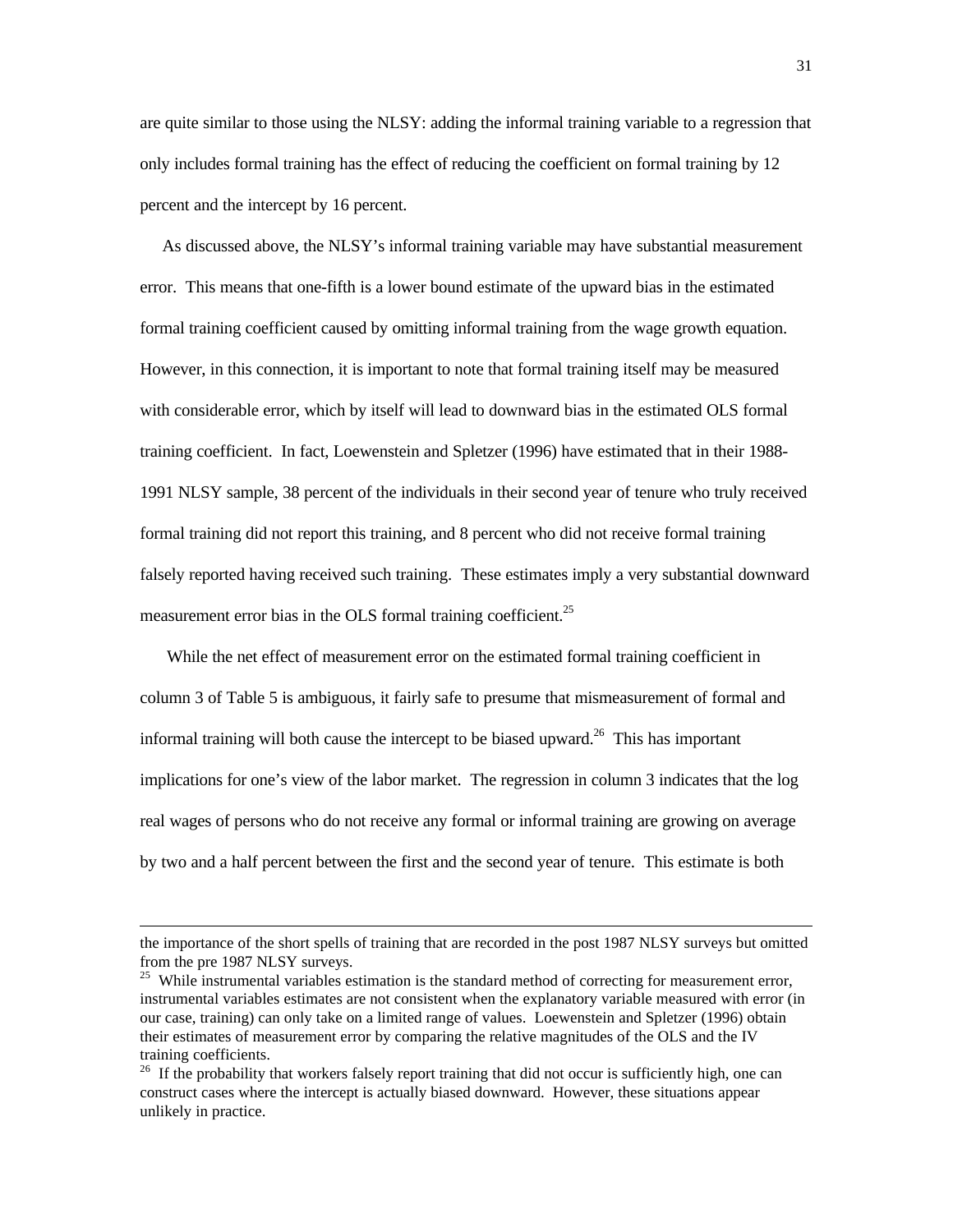are quite similar to those using the NLSY: adding the informal training variable to a regression that only includes formal training has the effect of reducing the coefficient on formal training by 12 percent and the intercept by 16 percent.

 As discussed above, the NLSY's informal training variable may have substantial measurement error. This means that one-fifth is a lower bound estimate of the upward bias in the estimated formal training coefficient caused by omitting informal training from the wage growth equation. However, in this connection, it is important to note that formal training itself may be measured with considerable error, which by itself will lead to downward bias in the estimated OLS formal training coefficient. In fact, Loewenstein and Spletzer (1996) have estimated that in their 1988- 1991 NLSY sample, 38 percent of the individuals in their second year of tenure who truly received formal training did not report this training, and 8 percent who did not receive formal training falsely reported having received such training. These estimates imply a very substantial downward measurement error bias in the OLS formal training coefficient.<sup>25</sup>

 While the net effect of measurement error on the estimated formal training coefficient in column 3 of Table 5 is ambiguous, it fairly safe to presume that mismeasurement of formal and informal training will both cause the intercept to be biased upward.<sup>26</sup> This has important implications for one's view of the labor market. The regression in column 3 indicates that the log real wages of persons who do not receive any formal or informal training are growing on average by two and a half percent between the first and the second year of tenure. This estimate is both

the importance of the short spells of training that are recorded in the post 1987 NLSY surveys but omitted from the pre 1987 NLSY surveys.

<sup>&</sup>lt;sup>25</sup> While instrumental variables estimation is the standard method of correcting for measurement error, instrumental variables estimates are not consistent when the explanatory variable measured with error (in our case, training) can only take on a limited range of values. Loewenstein and Spletzer (1996) obtain their estimates of measurement error by comparing the relative magnitudes of the OLS and the IV training coefficients.

<sup>&</sup>lt;sup>26</sup> If the probability that workers falsely report training that did not occur is sufficiently high, one can construct cases where the intercept is actually biased downward. However, these situations appear unlikely in practice.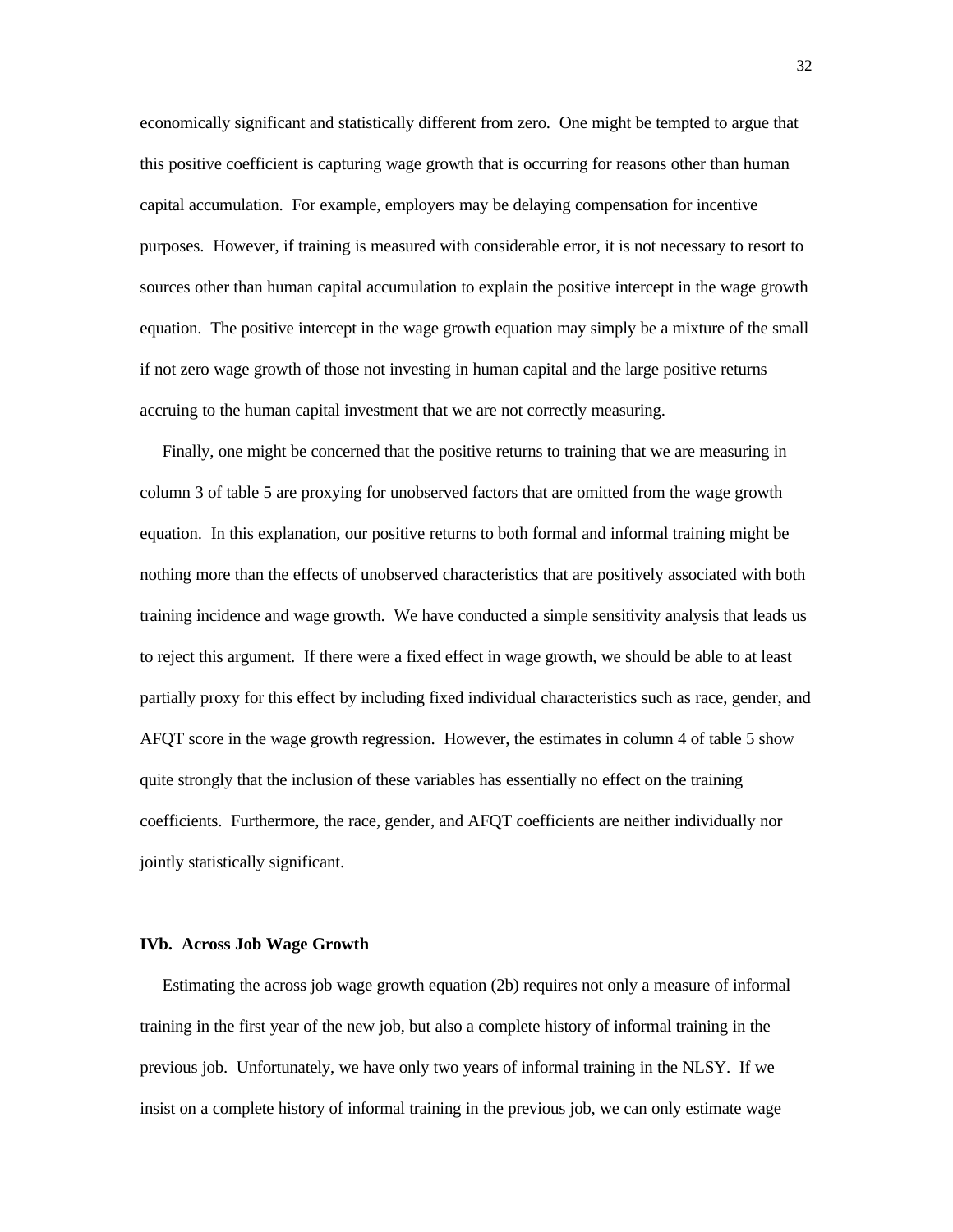economically significant and statistically different from zero. One might be tempted to argue that this positive coefficient is capturing wage growth that is occurring for reasons other than human capital accumulation. For example, employers may be delaying compensation for incentive purposes. However, if training is measured with considerable error, it is not necessary to resort to sources other than human capital accumulation to explain the positive intercept in the wage growth equation. The positive intercept in the wage growth equation may simply be a mixture of the small if not zero wage growth of those not investing in human capital and the large positive returns accruing to the human capital investment that we are not correctly measuring.

 Finally, one might be concerned that the positive returns to training that we are measuring in column 3 of table 5 are proxying for unobserved factors that are omitted from the wage growth equation. In this explanation, our positive returns to both formal and informal training might be nothing more than the effects of unobserved characteristics that are positively associated with both training incidence and wage growth. We have conducted a simple sensitivity analysis that leads us to reject this argument. If there were a fixed effect in wage growth, we should be able to at least partially proxy for this effect by including fixed individual characteristics such as race, gender, and AFQT score in the wage growth regression. However, the estimates in column 4 of table 5 show quite strongly that the inclusion of these variables has essentially no effect on the training coefficients. Furthermore, the race, gender, and AFQT coefficients are neither individually nor jointly statistically significant.

## **IVb. Across Job Wage Growth**

 Estimating the across job wage growth equation (2b) requires not only a measure of informal training in the first year of the new job, but also a complete history of informal training in the previous job. Unfortunately, we have only two years of informal training in the NLSY. If we insist on a complete history of informal training in the previous job, we can only estimate wage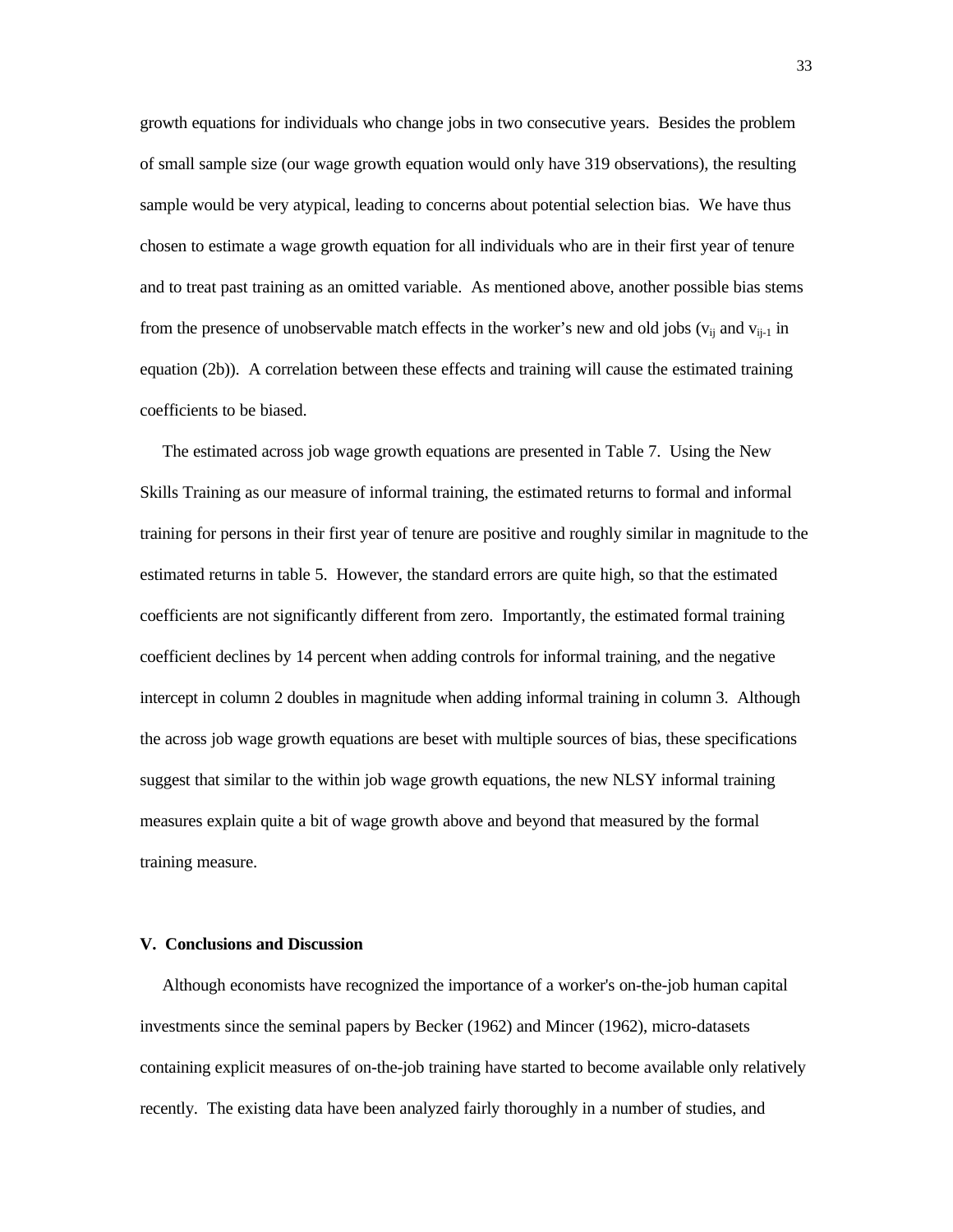growth equations for individuals who change jobs in two consecutive years. Besides the problem of small sample size (our wage growth equation would only have 319 observations), the resulting sample would be very atypical, leading to concerns about potential selection bias. We have thus chosen to estimate a wage growth equation for all individuals who are in their first year of tenure and to treat past training as an omitted variable. As mentioned above, another possible bias stems from the presence of unobservable match effects in the worker's new and old jobs ( $v_{ij}$  and  $v_{ij-1}$  in equation (2b)). A correlation between these effects and training will cause the estimated training coefficients to be biased.

 The estimated across job wage growth equations are presented in Table 7. Using the New Skills Training as our measure of informal training, the estimated returns to formal and informal training for persons in their first year of tenure are positive and roughly similar in magnitude to the estimated returns in table 5. However, the standard errors are quite high, so that the estimated coefficients are not significantly different from zero. Importantly, the estimated formal training coefficient declines by 14 percent when adding controls for informal training, and the negative intercept in column 2 doubles in magnitude when adding informal training in column 3. Although the across job wage growth equations are beset with multiple sources of bias, these specifications suggest that similar to the within job wage growth equations, the new NLSY informal training measures explain quite a bit of wage growth above and beyond that measured by the formal training measure.

### **V. Conclusions and Discussion**

 Although economists have recognized the importance of a worker's on-the-job human capital investments since the seminal papers by Becker (1962) and Mincer (1962), micro-datasets containing explicit measures of on-the-job training have started to become available only relatively recently. The existing data have been analyzed fairly thoroughly in a number of studies, and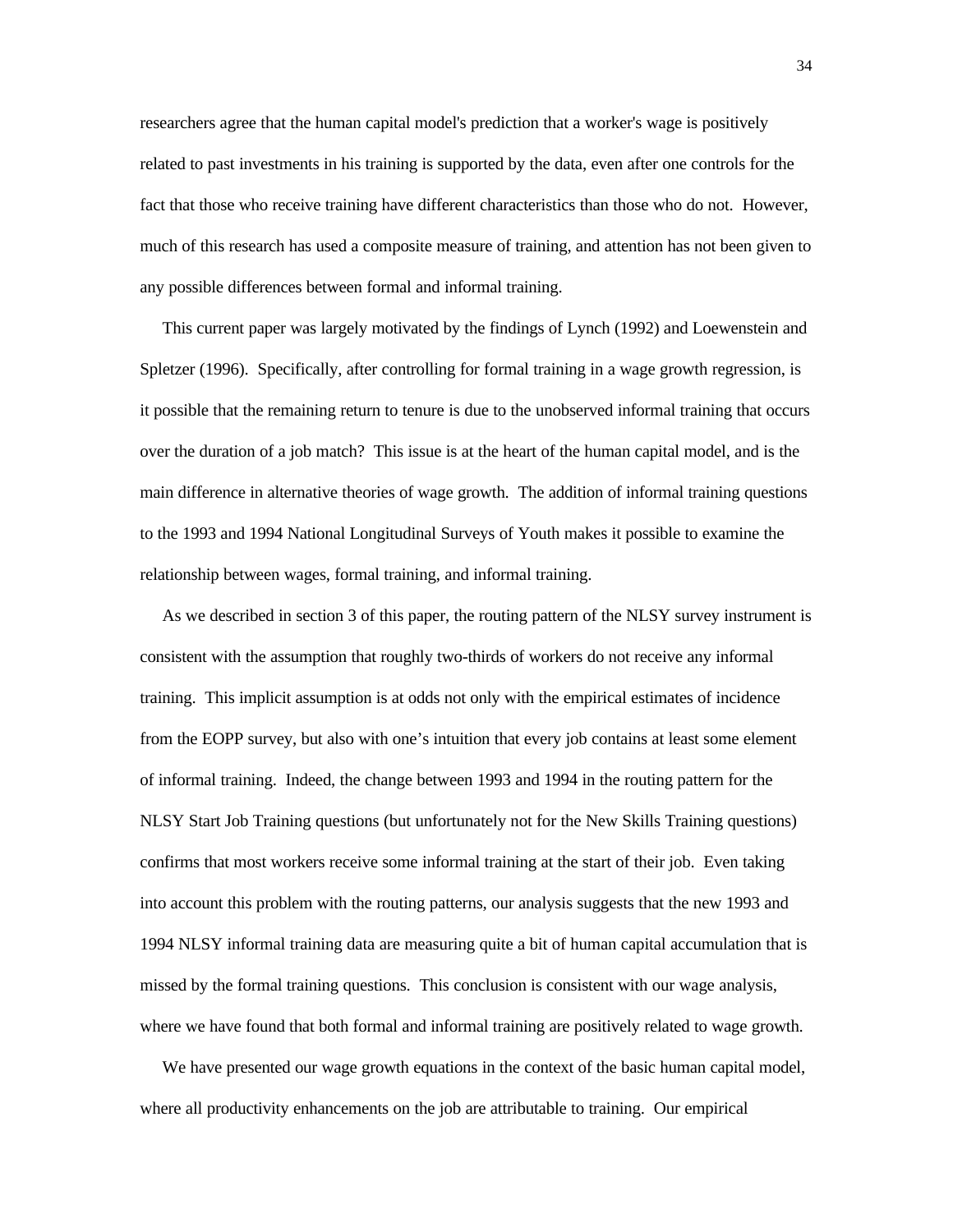researchers agree that the human capital model's prediction that a worker's wage is positively related to past investments in his training is supported by the data, even after one controls for the fact that those who receive training have different characteristics than those who do not. However, much of this research has used a composite measure of training, and attention has not been given to any possible differences between formal and informal training.

 This current paper was largely motivated by the findings of Lynch (1992) and Loewenstein and Spletzer (1996). Specifically, after controlling for formal training in a wage growth regression, is it possible that the remaining return to tenure is due to the unobserved informal training that occurs over the duration of a job match? This issue is at the heart of the human capital model, and is the main difference in alternative theories of wage growth. The addition of informal training questions to the 1993 and 1994 National Longitudinal Surveys of Youth makes it possible to examine the relationship between wages, formal training, and informal training.

 As we described in section 3 of this paper, the routing pattern of the NLSY survey instrument is consistent with the assumption that roughly two-thirds of workers do not receive any informal training. This implicit assumption is at odds not only with the empirical estimates of incidence from the EOPP survey, but also with one's intuition that every job contains at least some element of informal training. Indeed, the change between 1993 and 1994 in the routing pattern for the NLSY Start Job Training questions (but unfortunately not for the New Skills Training questions) confirms that most workers receive some informal training at the start of their job. Even taking into account this problem with the routing patterns, our analysis suggests that the new 1993 and 1994 NLSY informal training data are measuring quite a bit of human capital accumulation that is missed by the formal training questions. This conclusion is consistent with our wage analysis, where we have found that both formal and informal training are positively related to wage growth.

We have presented our wage growth equations in the context of the basic human capital model, where all productivity enhancements on the job are attributable to training. Our empirical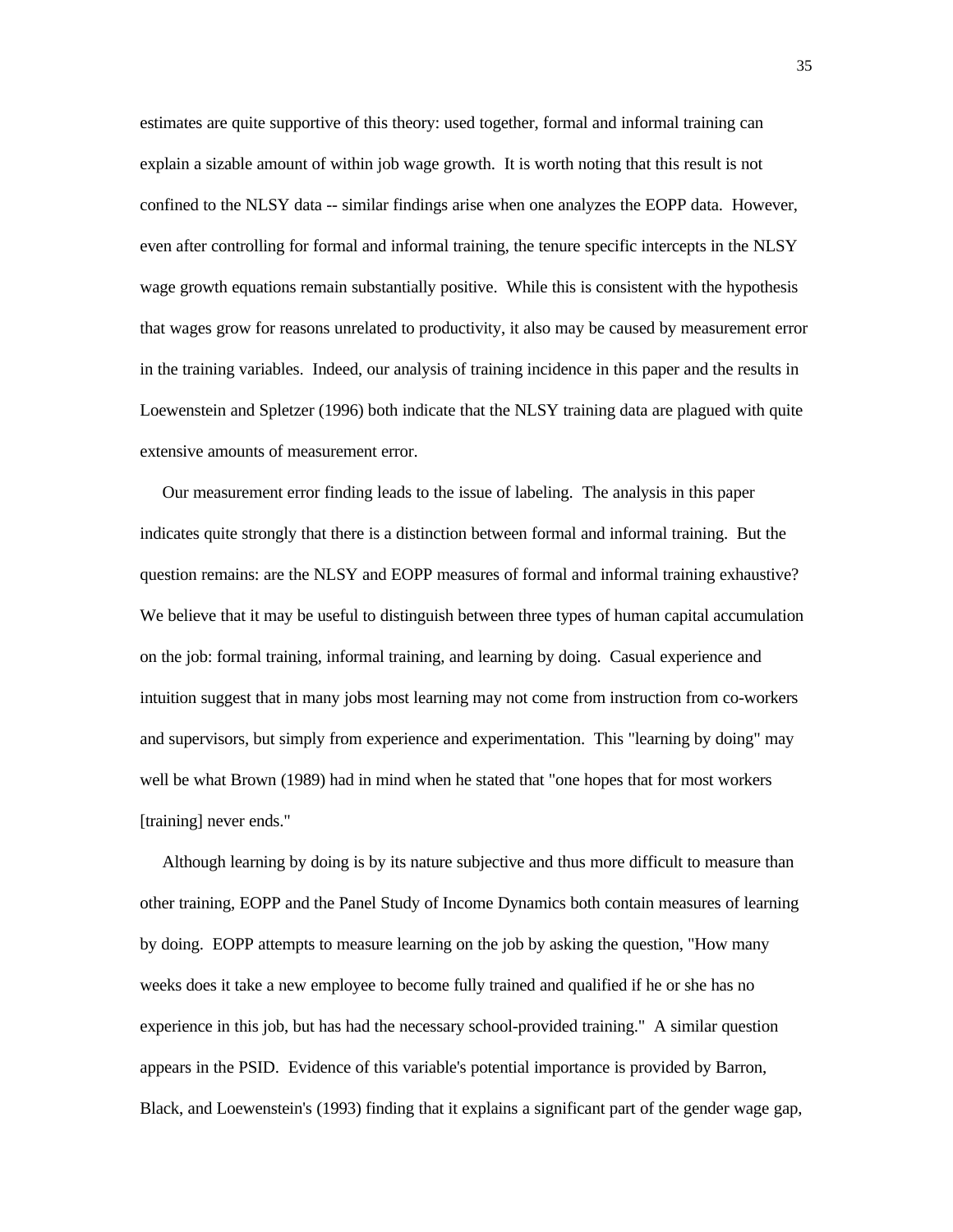estimates are quite supportive of this theory: used together, formal and informal training can explain a sizable amount of within job wage growth. It is worth noting that this result is not confined to the NLSY data -- similar findings arise when one analyzes the EOPP data. However, even after controlling for formal and informal training, the tenure specific intercepts in the NLSY wage growth equations remain substantially positive. While this is consistent with the hypothesis that wages grow for reasons unrelated to productivity, it also may be caused by measurement error in the training variables. Indeed, our analysis of training incidence in this paper and the results in Loewenstein and Spletzer (1996) both indicate that the NLSY training data are plagued with quite extensive amounts of measurement error.

 Our measurement error finding leads to the issue of labeling. The analysis in this paper indicates quite strongly that there is a distinction between formal and informal training. But the question remains: are the NLSY and EOPP measures of formal and informal training exhaustive? We believe that it may be useful to distinguish between three types of human capital accumulation on the job: formal training, informal training, and learning by doing. Casual experience and intuition suggest that in many jobs most learning may not come from instruction from co-workers and supervisors, but simply from experience and experimentation. This "learning by doing" may well be what Brown (1989) had in mind when he stated that "one hopes that for most workers [training] never ends."

 Although learning by doing is by its nature subjective and thus more difficult to measure than other training, EOPP and the Panel Study of Income Dynamics both contain measures of learning by doing. EOPP attempts to measure learning on the job by asking the question, "How many weeks does it take a new employee to become fully trained and qualified if he or she has no experience in this job, but has had the necessary school-provided training." A similar question appears in the PSID. Evidence of this variable's potential importance is provided by Barron, Black, and Loewenstein's (1993) finding that it explains a significant part of the gender wage gap,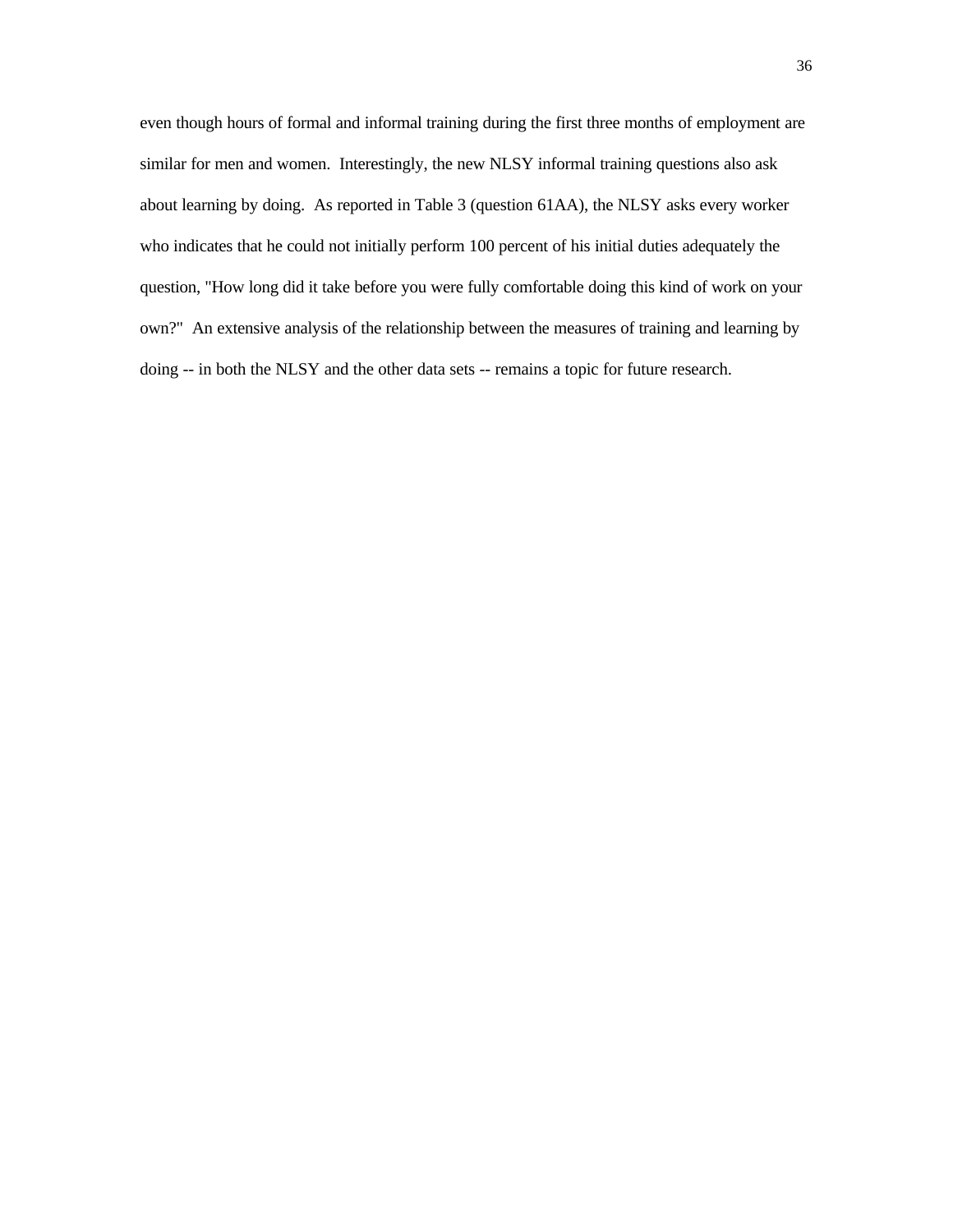even though hours of formal and informal training during the first three months of employment are similar for men and women. Interestingly, the new NLSY informal training questions also ask about learning by doing. As reported in Table 3 (question 61AA), the NLSY asks every worker who indicates that he could not initially perform 100 percent of his initial duties adequately the question, "How long did it take before you were fully comfortable doing this kind of work on your own?" An extensive analysis of the relationship between the measures of training and learning by doing -- in both the NLSY and the other data sets -- remains a topic for future research.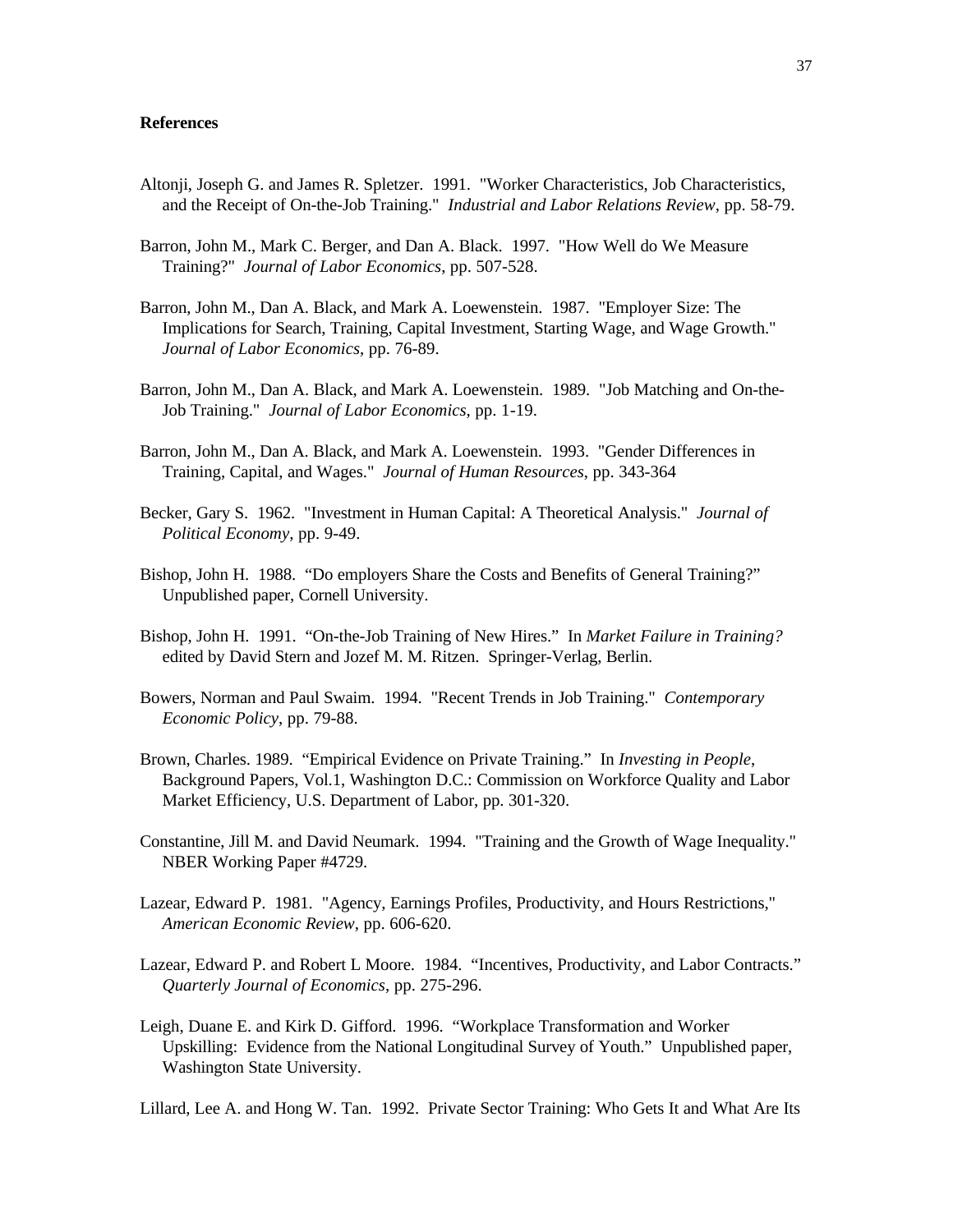#### **References**

- Altonji, Joseph G. and James R. Spletzer. 1991. "Worker Characteristics, Job Characteristics, and the Receipt of On-the-Job Training." *Industrial and Labor Relations Review*, pp. 58-79.
- Barron, John M., Mark C. Berger, and Dan A. Black. 1997. "How Well do We Measure Training?" *Journal of Labor Economics*, pp. 507-528.
- Barron, John M., Dan A. Black, and Mark A. Loewenstein. 1987. "Employer Size: The Implications for Search, Training, Capital Investment, Starting Wage, and Wage Growth." *Journal of Labor Economics*, pp. 76-89.
- Barron, John M., Dan A. Black, and Mark A. Loewenstein. 1989. "Job Matching and On-the- Job Training." *Journal of Labor Economics*, pp. 1-19.
- Barron, John M., Dan A. Black, and Mark A. Loewenstein. 1993. "Gender Differences in Training, Capital, and Wages." *Journal of Human Resources*, pp. 343-364
- Becker, Gary S. 1962. "Investment in Human Capital: A Theoretical Analysis." *Journal of Political Economy*, pp. 9-49.
- Bishop, John H. 1988. "Do employers Share the Costs and Benefits of General Training?" Unpublished paper, Cornell University.
- Bishop, John H. 1991. "On-the-Job Training of New Hires." In *Market Failure in Training?* edited by David Stern and Jozef M. M. Ritzen. Springer-Verlag, Berlin.
- Bowers, Norman and Paul Swaim. 1994. "Recent Trends in Job Training." *Contemporary Economic Policy*, pp. 79-88.
- Brown, Charles. 1989. "Empirical Evidence on Private Training." In *Investing in People*, Background Papers, Vol.1, Washington D.C.: Commission on Workforce Quality and Labor Market Efficiency, U.S. Department of Labor, pp. 301-320.
- Constantine, Jill M. and David Neumark. 1994. "Training and the Growth of Wage Inequality." NBER Working Paper #4729.
- Lazear, Edward P. 1981. "Agency, Earnings Profiles, Productivity, and Hours Restrictions," *American Economic Review*, pp. 606-620.
- Lazear, Edward P. and Robert L Moore. 1984. "Incentives, Productivity, and Labor Contracts." *Quarterly Journal of Economics*, pp. 275-296.
- Leigh, Duane E. and Kirk D. Gifford. 1996. "Workplace Transformation and Worker Upskilling: Evidence from the National Longitudinal Survey of Youth." Unpublished paper, Washington State University.

Lillard, Lee A. and Hong W. Tan. 1992. Private Sector Training: Who Gets It and What Are Its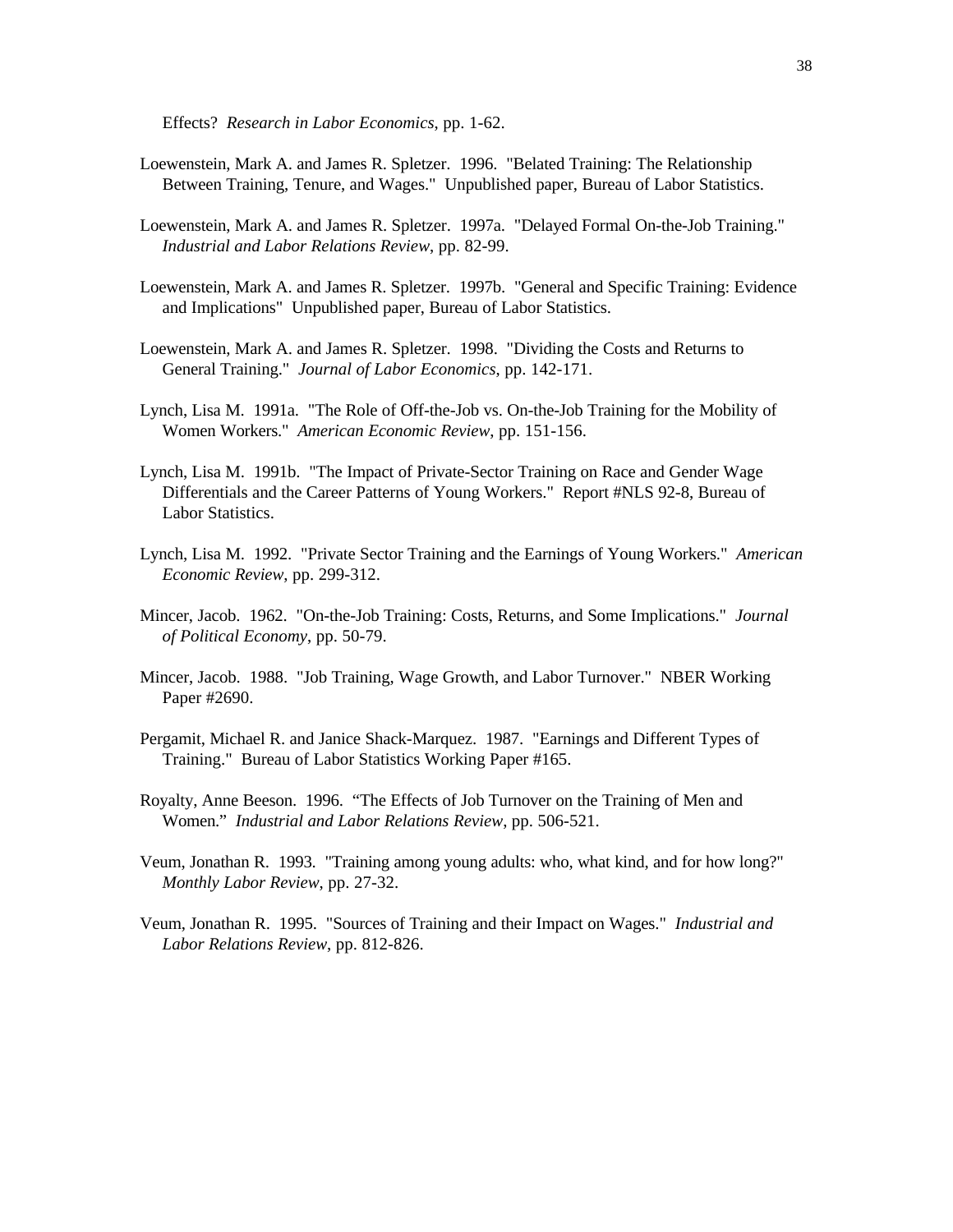Effects? *Research in Labor Economics*, pp. 1-62.

- Loewenstein, Mark A. and James R. Spletzer. 1996. "Belated Training: The Relationship Between Training, Tenure, and Wages." Unpublished paper, Bureau of Labor Statistics.
- Loewenstein, Mark A. and James R. Spletzer. 1997a. "Delayed Formal On-the-Job Training." *Industrial and Labor Relations Review*, pp. 82-99.
- Loewenstein, Mark A. and James R. Spletzer. 1997b. "General and Specific Training: Evidence and Implications" Unpublished paper, Bureau of Labor Statistics.
- Loewenstein, Mark A. and James R. Spletzer. 1998. "Dividing the Costs and Returns to General Training." *Journal of Labor Economics*, pp. 142-171.
- Lynch, Lisa M. 1991a. "The Role of Off-the-Job vs. On-the-Job Training for the Mobility of Women Workers." *American Economic Review*, pp. 151-156.
- Lynch, Lisa M. 1991b. "The Impact of Private-Sector Training on Race and Gender Wage Differentials and the Career Patterns of Young Workers." Report #NLS 92-8, Bureau of Labor Statistics.
- Lynch, Lisa M. 1992. "Private Sector Training and the Earnings of Young Workers." *American Economic Review*, pp. 299-312.
- Mincer, Jacob. 1962. "On-the-Job Training: Costs, Returns, and Some Implications." *Journal of Political Economy*, pp. 50-79.
- Mincer, Jacob. 1988. "Job Training, Wage Growth, and Labor Turnover." NBER Working Paper #2690.
- Pergamit, Michael R. and Janice Shack-Marquez. 1987. "Earnings and Different Types of Training." Bureau of Labor Statistics Working Paper #165.
- Royalty, Anne Beeson. 1996. "The Effects of Job Turnover on the Training of Men and Women." *Industrial and Labor Relations Review*, pp. 506-521.
- Veum, Jonathan R. 1993. "Training among young adults: who, what kind, and for how long?" *Monthly Labor Review*, pp. 27-32.
- Veum, Jonathan R. 1995. "Sources of Training and their Impact on Wages." *Industrial and Labor Relations Review*, pp. 812-826.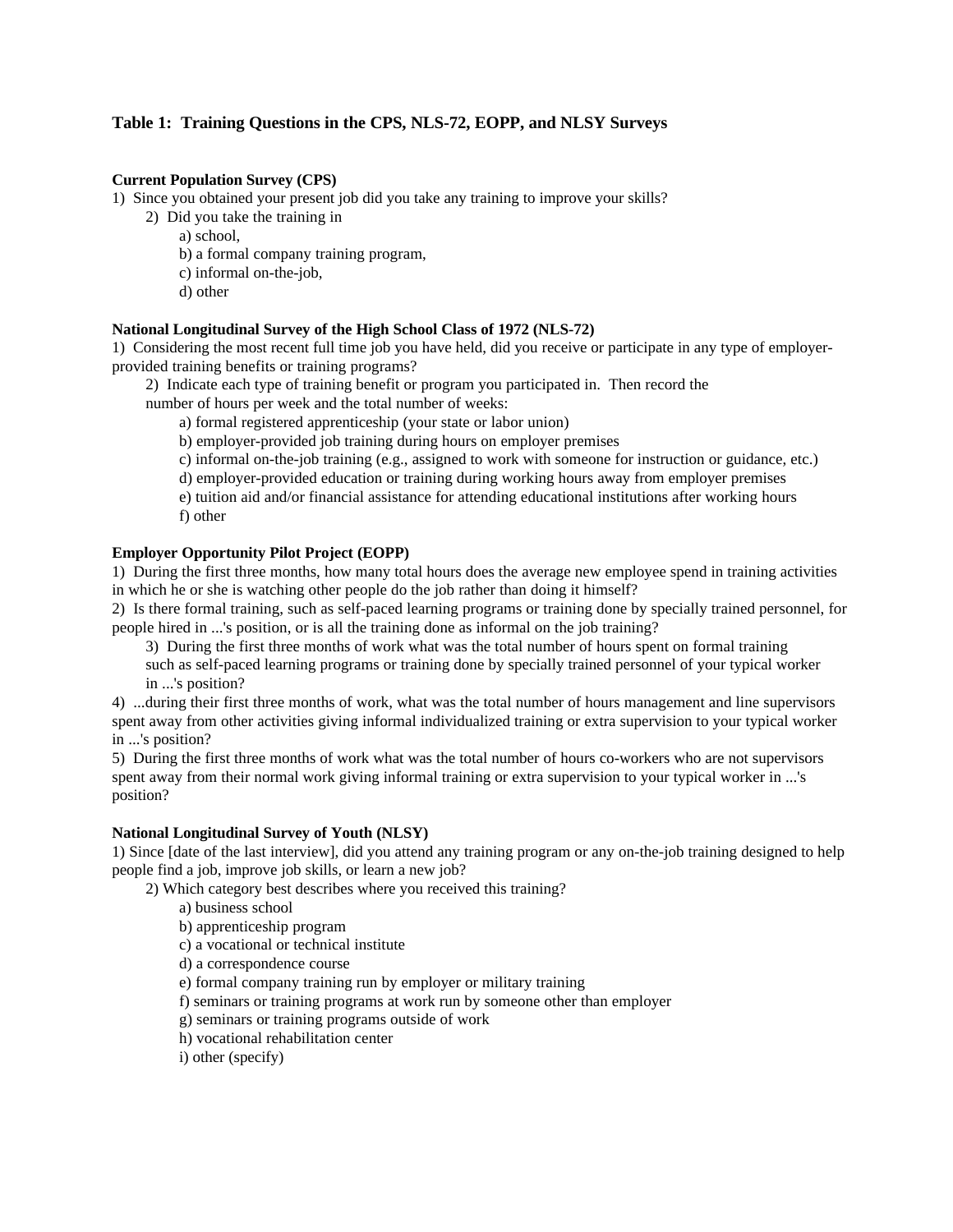# **Table 1: Training Questions in the CPS, NLS-72, EOPP, and NLSY Surveys**

## **Current Population Survey (CPS)**

1) Since you obtained your present job did you take any training to improve your skills?

- 2) Did you take the training in
	- a) school,
	- b) a formal company training program,
	- c) informal on-the-job,
	- d) other

# **National Longitudinal Survey of the High School Class of 1972 (NLS-72)**

1) Considering the most recent full time job you have held, did you receive or participate in any type of employerprovided training benefits or training programs?

2) Indicate each type of training benefit or program you participated in. Then record the

number of hours per week and the total number of weeks:

a) formal registered apprenticeship (your state or labor union)

b) employer-provided job training during hours on employer premises

c) informal on-the-job training (e.g., assigned to work with someone for instruction or guidance, etc.)

d) employer-provided education or training during working hours away from employer premises

e) tuition aid and/or financial assistance for attending educational institutions after working hours f) other

## **Employer Opportunity Pilot Project (EOPP)**

1) During the first three months, how many total hours does the average new employee spend in training activities in which he or she is watching other people do the job rather than doing it himself?

2) Is there formal training, such as self-paced learning programs or training done by specially trained personnel, for people hired in ...'s position, or is all the training done as informal on the job training?

3) During the first three months of work what was the total number of hours spent on formal training

such as self-paced learning programs or training done by specially trained personnel of your typical worker in ...'s position?

4) ...during their first three months of work, what was the total number of hours management and line supervisors spent away from other activities giving informal individualized training or extra supervision to your typical worker in ...'s position?

5) During the first three months of work what was the total number of hours co-workers who are not supervisors spent away from their normal work giving informal training or extra supervision to your typical worker in ...'s position?

## **National Longitudinal Survey of Youth (NLSY)**

1) Since [date of the last interview], did you attend any training program or any on-the-job training designed to help people find a job, improve job skills, or learn a new job?

2) Which category best describes where you received this training?

- a) business school
- b) apprenticeship program
- c) a vocational or technical institute
- d) a correspondence course

e) formal company training run by employer or military training

- f) seminars or training programs at work run by someone other than employer
- g) seminars or training programs outside of work
- h) vocational rehabilitation center
- i) other (specify)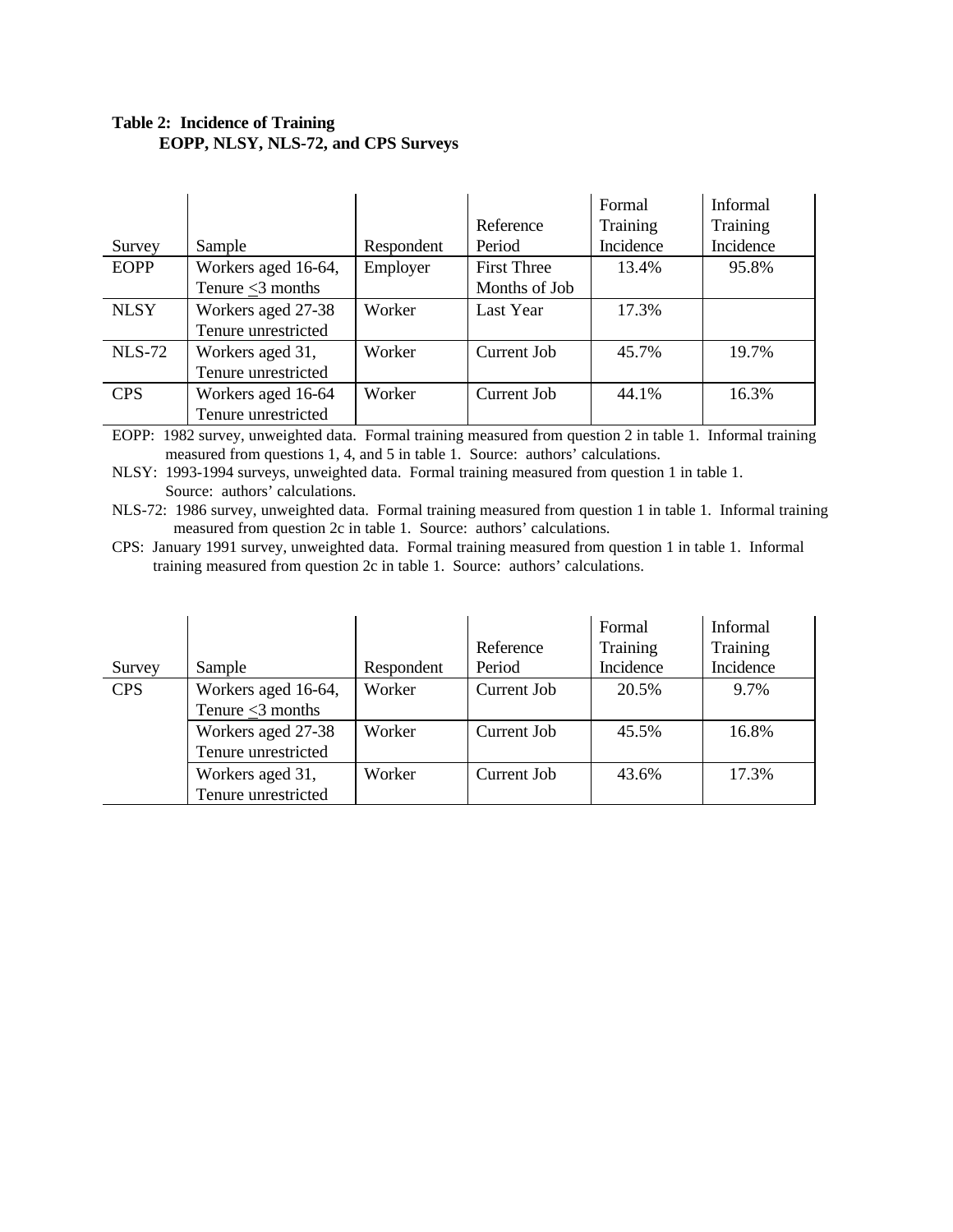# **Table 2: Incidence of Training EOPP, NLSY, NLS-72, and CPS Surveys**

|             |                        |            |                    | Formal    | Informal  |
|-------------|------------------------|------------|--------------------|-----------|-----------|
|             |                        |            | Reference          | Training  | Training  |
| Survey      | Sample                 | Respondent | Period             | Incidence | Incidence |
| <b>EOPP</b> | Workers aged 16-64,    | Employer   | <b>First Three</b> | 13.4%     | 95.8%     |
|             | Tenure $\leq$ 3 months |            | Months of Job      |           |           |
| <b>NLSY</b> | Workers aged 27-38     | Worker     | Last Year          | 17.3%     |           |
|             | Tenure unrestricted    |            |                    |           |           |
| $NLS-72$    | Workers aged 31,       | Worker     | Current Job        | 45.7%     | 19.7%     |
|             | Tenure unrestricted    |            |                    |           |           |
| <b>CPS</b>  | Workers aged 16-64     | Worker     | Current Job        | 44.1%     | 16.3%     |
|             | Tenure unrestricted    |            |                    |           |           |

EOPP: 1982 survey, unweighted data. Formal training measured from question 2 in table 1. Informal training measured from questions 1, 4, and 5 in table 1. Source: authors' calculations.

NLSY: 1993-1994 surveys, unweighted data. Formal training measured from question 1 in table 1. Source: authors' calculations.

NLS-72: 1986 survey, unweighted data. Formal training measured from question 1 in table 1. Informal training measured from question 2c in table 1. Source: authors' calculations.

CPS: January 1991 survey, unweighted data. Formal training measured from question 1 in table 1. Informal training measured from question 2c in table 1. Source: authors' calculations.

|            |                     |            |             | Formal    | Informal  |
|------------|---------------------|------------|-------------|-----------|-----------|
|            |                     |            | Reference   | Training  | Training  |
| Survey     | Sample              | Respondent | Period      | Incidence | Incidence |
| <b>CPS</b> | Workers aged 16-64, | Worker     | Current Job | 20.5%     | 9.7%      |
|            | Tenure $<$ 3 months |            |             |           |           |
|            | Workers aged 27-38  | Worker     | Current Job | 45.5%     | 16.8%     |
|            | Tenure unrestricted |            |             |           |           |
|            | Workers aged 31,    | Worker     | Current Job | 43.6%     | 17.3%     |
|            | Tenure unrestricted |            |             |           |           |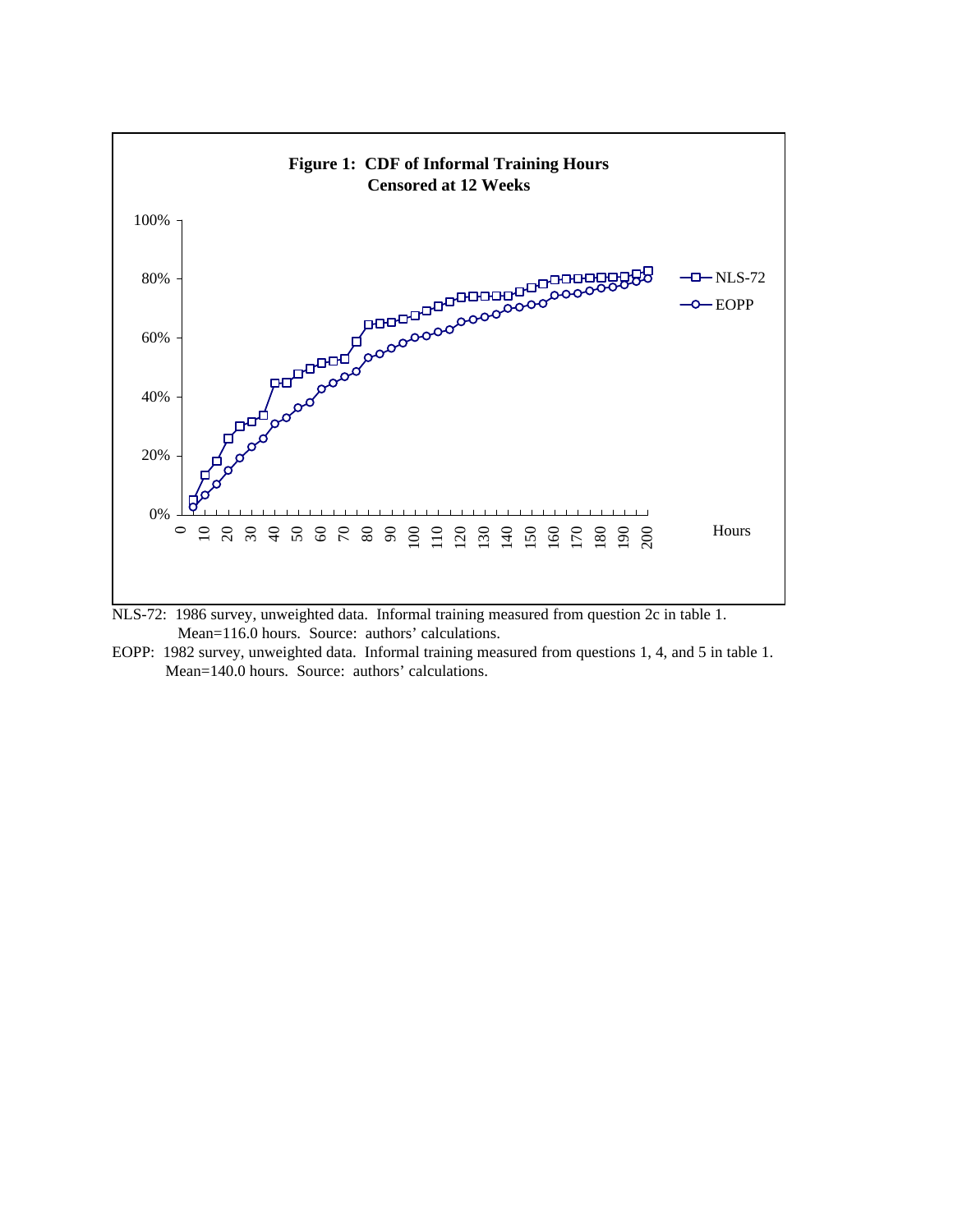

NLS-72: 1986 survey, unweighted data. Informal training measured from question 2c in table 1. Mean=116.0 hours. Source: authors' calculations.

EOPP: 1982 survey, unweighted data. Informal training measured from questions 1, 4, and 5 in table 1. Mean=140.0 hours. Source: authors' calculations.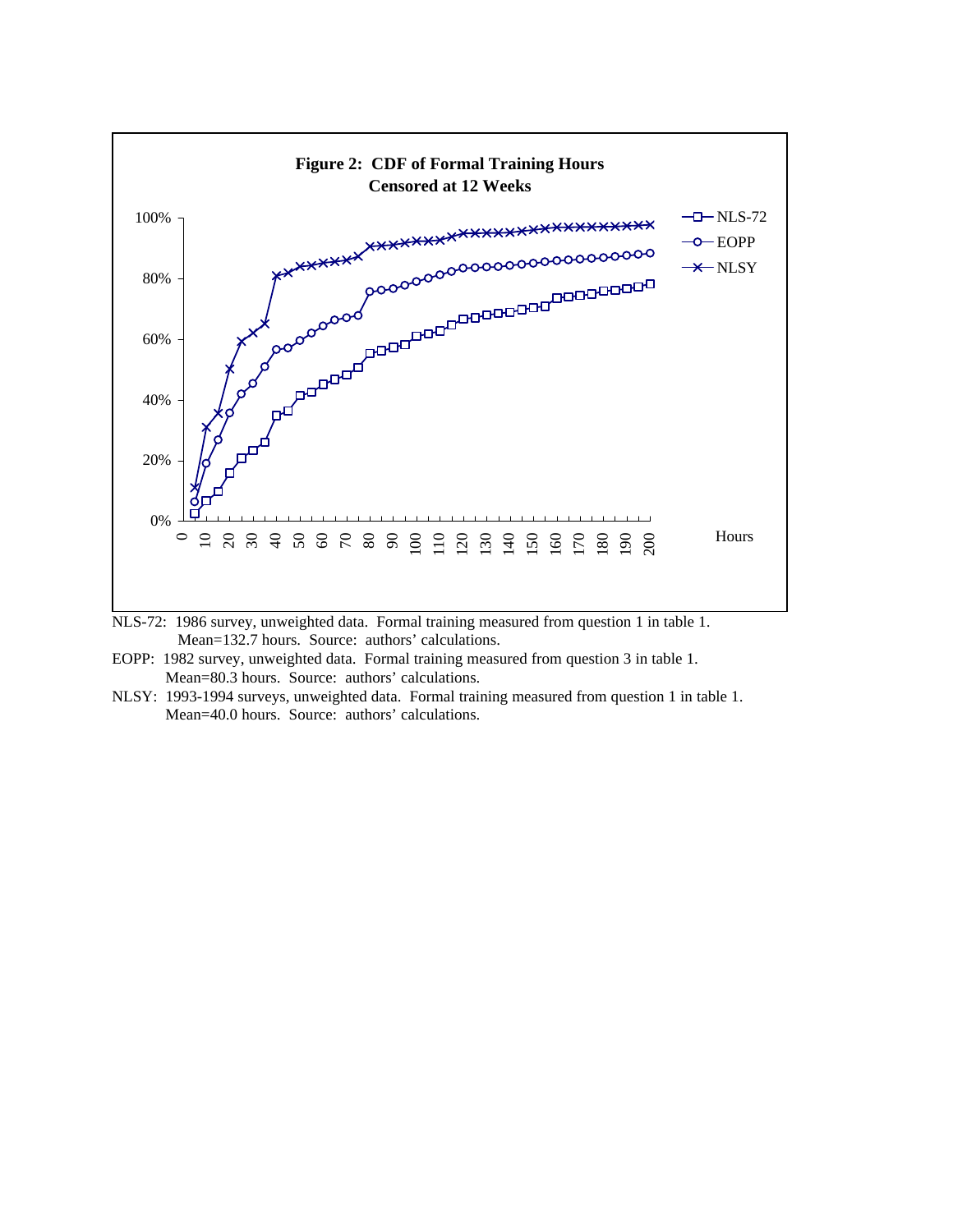

NLS-72: 1986 survey, unweighted data. Formal training measured from question 1 in table 1. Mean=132.7 hours. Source: authors' calculations.

- EOPP: 1982 survey, unweighted data. Formal training measured from question 3 in table 1. Mean=80.3 hours. Source: authors' calculations.
- NLSY: 1993-1994 surveys, unweighted data. Formal training measured from question 1 in table 1. Mean=40.0 hours. Source: authors' calculations.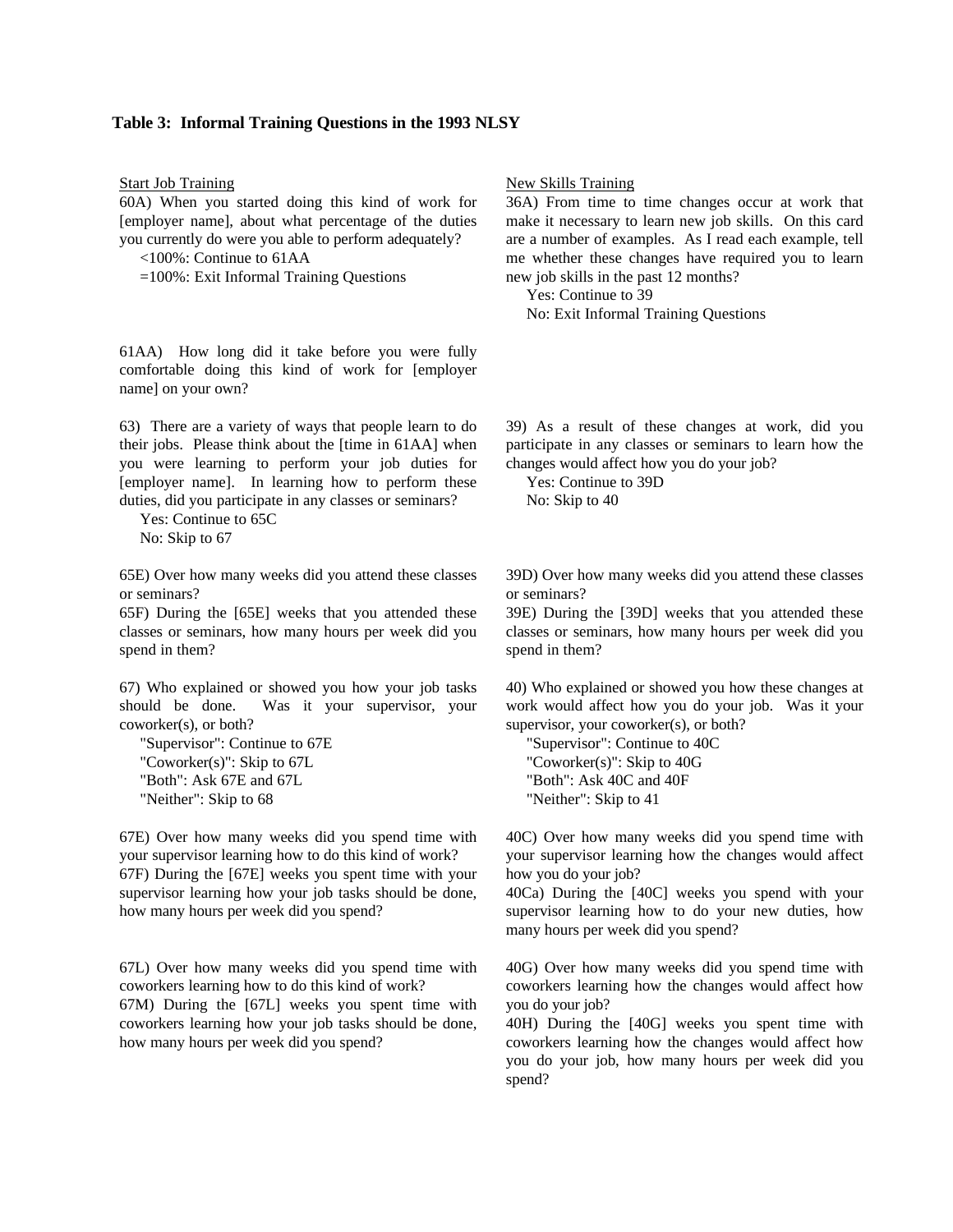#### **Table 3: Informal Training Questions in the 1993 NLSY**

Start Job Training

60A) When you started doing this kind of work for [employer name], about what percentage of the duties you currently do were you able to perform adequately?

<100%: Continue to 61AA

=100%: Exit Informal Training Questions

61AA) How long did it take before you were fully comfortable doing this kind of work for [employer name] on your own?

63) There are a variety of ways that people learn to do their jobs. Please think about the [time in 61AA] when you were learning to perform your job duties for [employer name]. In learning how to perform these duties, did you participate in any classes or seminars?

 Yes: Continue to 65C No: Skip to 67

65E) Over how many weeks did you attend these classes or seminars?

65F) During the [65E] weeks that you attended these classes or seminars, how many hours per week did you spend in them?

67) Who explained or showed you how your job tasks should be done. Was it your supervisor, your coworker(s), or both?

 "Supervisor": Continue to 67E "Coworker(s)": Skip to 67L "Both": Ask 67E and 67L "Neither": Skip to 68

67E) Over how many weeks did you spend time with your supervisor learning how to do this kind of work? 67F) During the [67E] weeks you spent time with your supervisor learning how your job tasks should be done, how many hours per week did you spend?

67L) Over how many weeks did you spend time with coworkers learning how to do this kind of work?

67M) During the [67L] weeks you spent time with coworkers learning how your job tasks should be done, how many hours per week did you spend?

#### New Skills Training

36A) From time to time changes occur at work that make it necessary to learn new job skills. On this card are a number of examples. As I read each example, tell me whether these changes have required you to learn new job skills in the past 12 months?

Yes: Continue to 39

No: Exit Informal Training Questions

39) As a result of these changes at work, did you participate in any classes or seminars to learn how the changes would affect how you do your job?

 Yes: Continue to 39D No: Skip to 40

39D) Over how many weeks did you attend these classes or seminars?

39E) During the [39D] weeks that you attended these classes or seminars, how many hours per week did you spend in them?

40) Who explained or showed you how these changes at work would affect how you do your job. Was it your supervisor, your coworker(s), or both?

 "Supervisor": Continue to 40C "Coworker(s)": Skip to 40G "Both": Ask 40C and 40F "Neither": Skip to 41

40C) Over how many weeks did you spend time with your supervisor learning how the changes would affect how you do your job?

40Ca) During the [40C] weeks you spend with your supervisor learning how to do your new duties, how many hours per week did you spend?

40G) Over how many weeks did you spend time with coworkers learning how the changes would affect how you do your job?

40H) During the [40G] weeks you spent time with coworkers learning how the changes would affect how you do your job, how many hours per week did you spend?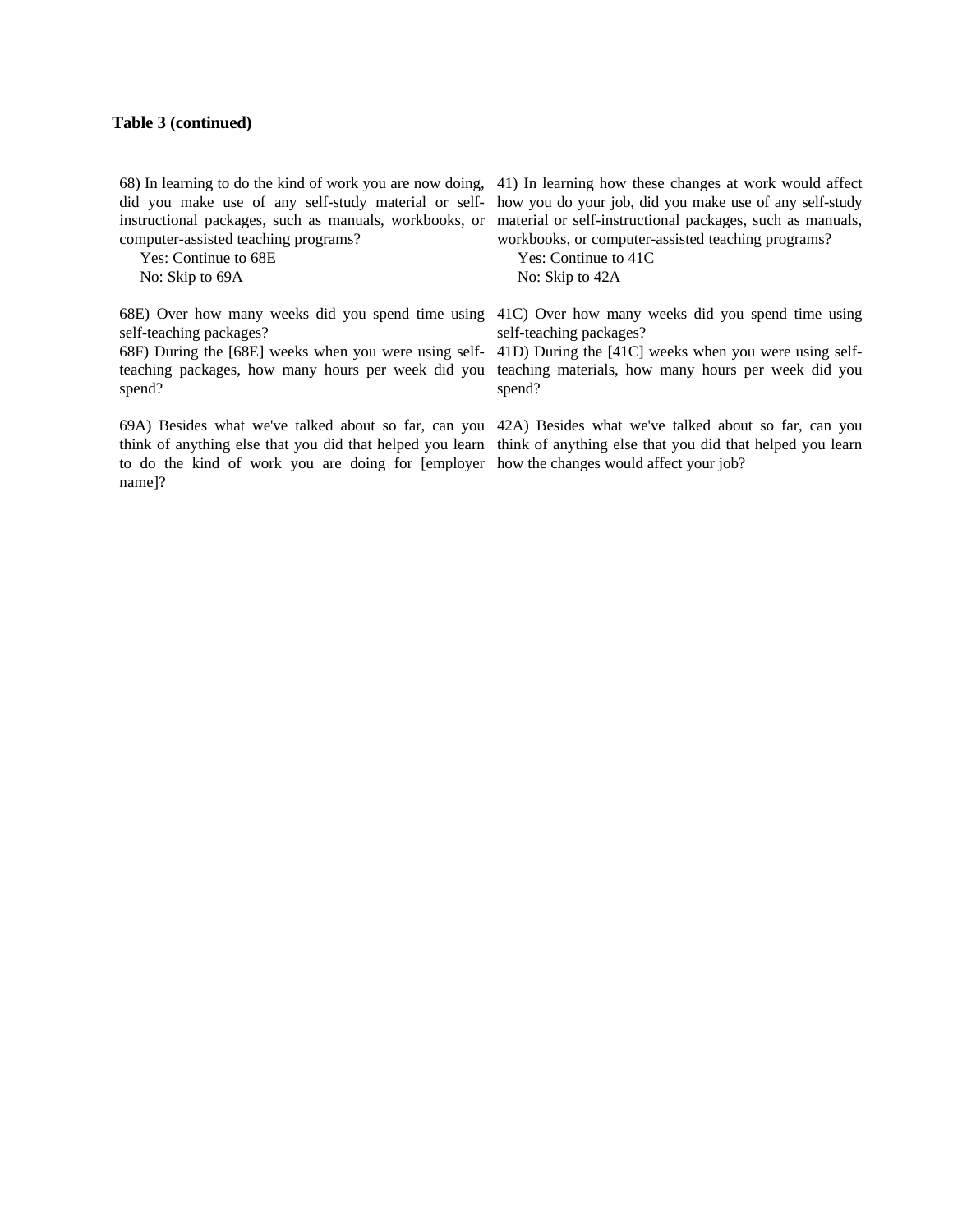instructional packages, such as manuals, workbooks, or computer-assisted teaching programs?

 Yes: Continue to 68E No: Skip to 69A

self-teaching packages?

68F) During the [68E] weeks when you were using selfteaching packages, how many hours per week did you spend?

to do the kind of work you are doing for [employer how the changes would affect your job?name]?

68) In learning to do the kind of work you are now doing, 41) In learning how these changes at work would affect did you make use of any self-study material or self-how you do your job, did you make use of any self-study material or self-instructional packages, such as manuals, workbooks, or computer-assisted teaching programs?

> Yes: Continue to 41C No: Skip to 42A

68E) Over how many weeks did you spend time using 41C) Over how many weeks did you spend time using self-teaching packages?

> 41D) During the [41C] weeks when you were using selfteaching materials, how many hours per week did you spend?

69A) Besides what we've talked about so far, can you 42A) Besides what we've talked about so far, can you think of anything else that you did that helped you learn think of anything else that you did that helped you learn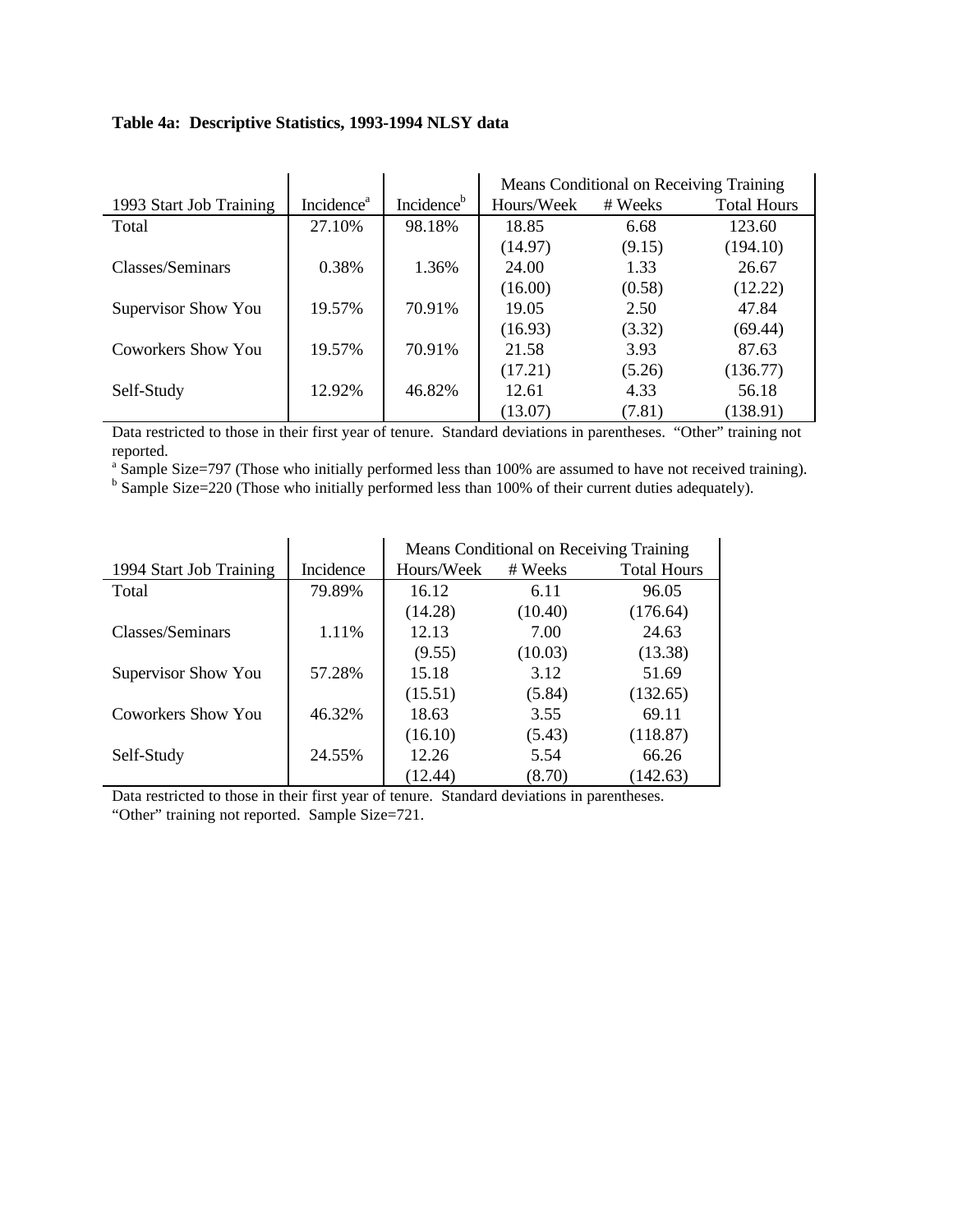# **Table 4a: Descriptive Statistics, 1993-1994 NLSY data**

|                         |                        |                        | Means Conditional on Receiving Training |         |                    |  |  |
|-------------------------|------------------------|------------------------|-----------------------------------------|---------|--------------------|--|--|
| 1993 Start Job Training | Incidence <sup>a</sup> | Incidence <sup>b</sup> | Hours/Week                              | # Weeks | <b>Total Hours</b> |  |  |
| Total                   | 27.10%                 | 98.18%                 | 18.85                                   | 6.68    | 123.60             |  |  |
|                         |                        |                        | (14.97)                                 | (9.15)  | (194.10)           |  |  |
| Classes/Seminars        | 0.38%                  | 1.36%                  | 24.00                                   | 1.33    | 26.67              |  |  |
|                         |                        |                        | (16.00)                                 | (0.58)  | (12.22)            |  |  |
| Supervisor Show You     | 19.57%                 | 70.91%                 | 19.05                                   | 2.50    | 47.84              |  |  |
|                         |                        |                        | (16.93)                                 | (3.32)  | (69.44)            |  |  |
| Coworkers Show You      | 19.57%                 | 70.91%                 | 21.58                                   | 3.93    | 87.63              |  |  |
|                         |                        |                        | (17.21)                                 | (5.26)  | (136.77)           |  |  |
| Self-Study              | 12.92%                 | 46.82%                 | 12.61                                   | 4.33    | 56.18              |  |  |
|                         |                        |                        | (13.07)                                 | (7.81)  | (138.91)           |  |  |

Data restricted to those in their first year of tenure. Standard deviations in parentheses. "Other" training not reported.

<sup>a</sup> Sample Size=797 (Those who initially performed less than 100% are assumed to have not received training).

<sup>b</sup> Sample Size=220 (Those who initially performed less than 100% of their current duties adequately).

|                         |           | Means Conditional on Receiving Training |         |                    |  |  |
|-------------------------|-----------|-----------------------------------------|---------|--------------------|--|--|
| 1994 Start Job Training | Incidence | Hours/Week                              | # Weeks | <b>Total Hours</b> |  |  |
| Total                   | 79.89%    | 16.12                                   | 6.11    | 96.05              |  |  |
|                         |           | (14.28)                                 | (10.40) | (176.64)           |  |  |
| Classes/Seminars        | 1.11%     | 12.13                                   | 7.00    | 24.63              |  |  |
|                         |           | (9.55)                                  | (10.03) | (13.38)            |  |  |
| Supervisor Show You     | 57.28%    | 15.18                                   | 3.12    | 51.69              |  |  |
|                         |           | (15.51)                                 | (5.84)  | (132.65)           |  |  |
| Coworkers Show You      | 46.32%    | 18.63                                   | 3.55    | 69.11              |  |  |
|                         |           | (16.10)                                 | (5.43)  | (118.87)           |  |  |
| Self-Study              | 24.55%    | 12.26                                   | 5.54    | 66.26              |  |  |
|                         |           | (12.44)                                 | (8.70)  | (142.63)           |  |  |

Data restricted to those in their first year of tenure. Standard deviations in parentheses. "Other" training not reported. Sample Size=721.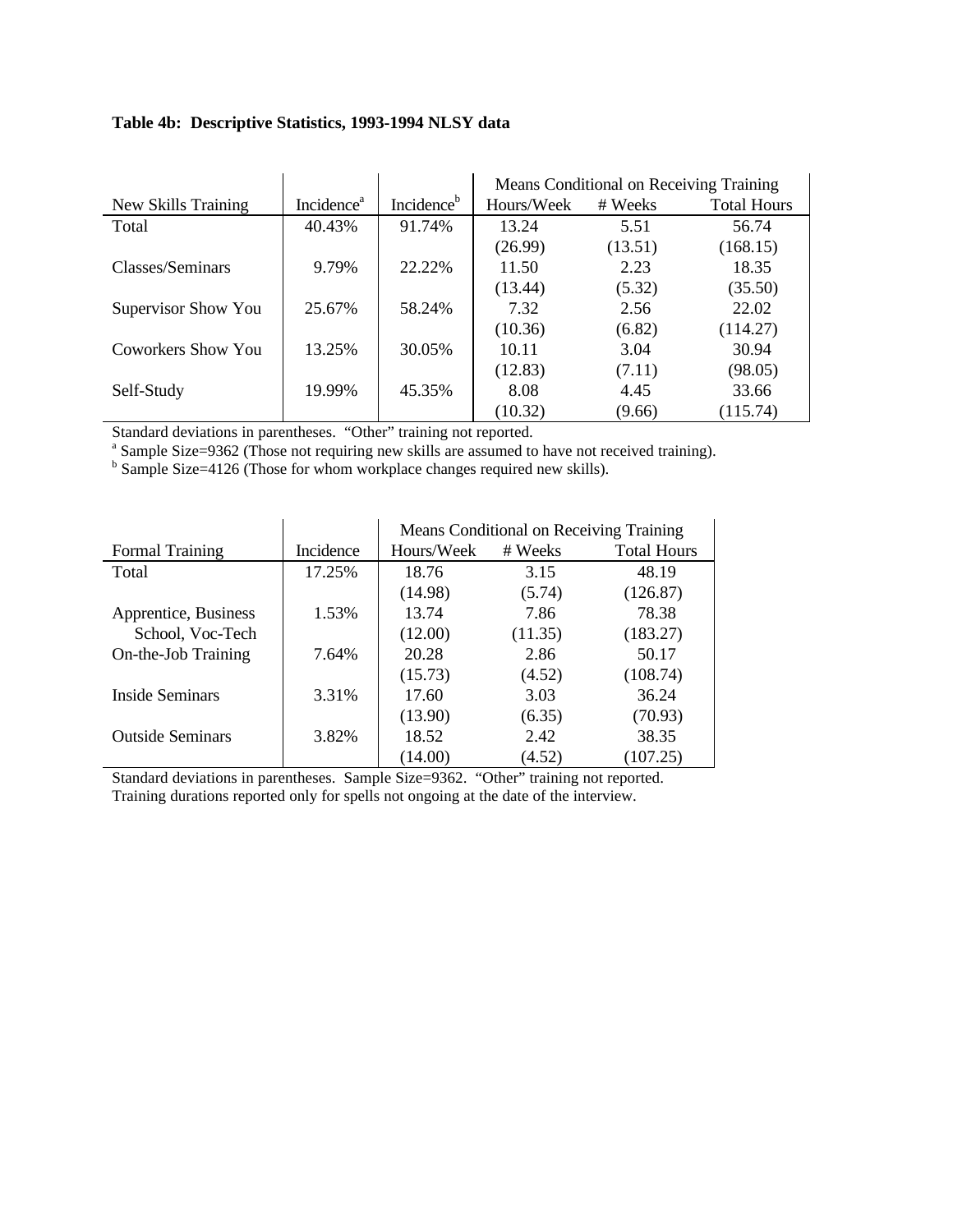|                     |                        |                        | Means Conditional on Receiving Training |         |                    |  |  |
|---------------------|------------------------|------------------------|-----------------------------------------|---------|--------------------|--|--|
| New Skills Training | Incidence <sup>a</sup> | Incidence <sup>b</sup> | Hours/Week                              | # Weeks | <b>Total Hours</b> |  |  |
| Total               | 40.43%                 | 91.74%                 | 13.24                                   | 5.51    | 56.74              |  |  |
|                     |                        |                        | (26.99)                                 | (13.51) | (168.15)           |  |  |
| Classes/Seminars    | 9.79%                  | 22.22%                 | 11.50                                   | 2.23    | 18.35              |  |  |
|                     |                        |                        | (13.44)                                 | (5.32)  | (35.50)            |  |  |
| Supervisor Show You | 25.67%                 | 58.24%                 | 7.32                                    | 2.56    | 22.02              |  |  |
|                     |                        |                        | (10.36)                                 | (6.82)  | (114.27)           |  |  |
| Coworkers Show You  | 13.25%                 | 30.05%                 | 10.11                                   | 3.04    | 30.94              |  |  |
|                     |                        |                        | (12.83)                                 | (7.11)  | (98.05)            |  |  |
| Self-Study          | 19.99%                 | 45.35%                 | 8.08                                    | 4.45    | 33.66              |  |  |
|                     |                        |                        | (10.32)                                 | (9.66)  | (115.74)           |  |  |

 $\ddot{\phantom{a}}$ 

Standard deviations in parentheses. "Other" training not reported.<br><sup>a</sup> Sample Size=9362 (Those not requiring new skills are assumed to have not received training).<br><sup>b</sup> Sample Size=4126 (Those for whom workplace changes req

|                         |           | Means Conditional on Receiving Training |         |                    |  |  |
|-------------------------|-----------|-----------------------------------------|---------|--------------------|--|--|
| Formal Training         | Incidence | Hours/Week                              | # Weeks | <b>Total Hours</b> |  |  |
| Total                   | 17.25%    | 18.76                                   | 3.15    | 48.19              |  |  |
|                         |           | (14.98)                                 | (5.74)  | (126.87)           |  |  |
| Apprentice, Business    | 1.53%     | 13.74                                   | 7.86    | 78.38              |  |  |
| School, Voc-Tech        |           | (12.00)                                 | (11.35) | (183.27)           |  |  |
| On-the-Job Training     | 7.64%     | 20.28                                   | 2.86    | 50.17              |  |  |
|                         |           | (15.73)                                 | (4.52)  | (108.74)           |  |  |
| Inside Seminars         | 3.31%     | 17.60                                   | 3.03    | 36.24              |  |  |
|                         |           | (13.90)                                 | (6.35)  | (70.93)            |  |  |
| <b>Outside Seminars</b> | 3.82%     | 18.52                                   | 2.42    | 38.35              |  |  |
|                         |           | (14.00)                                 | (4.52)  | (107.25)           |  |  |

Standard deviations in parentheses. Sample Size=9362. "Other" training not reported. Training durations reported only for spells not ongoing at the date of the interview.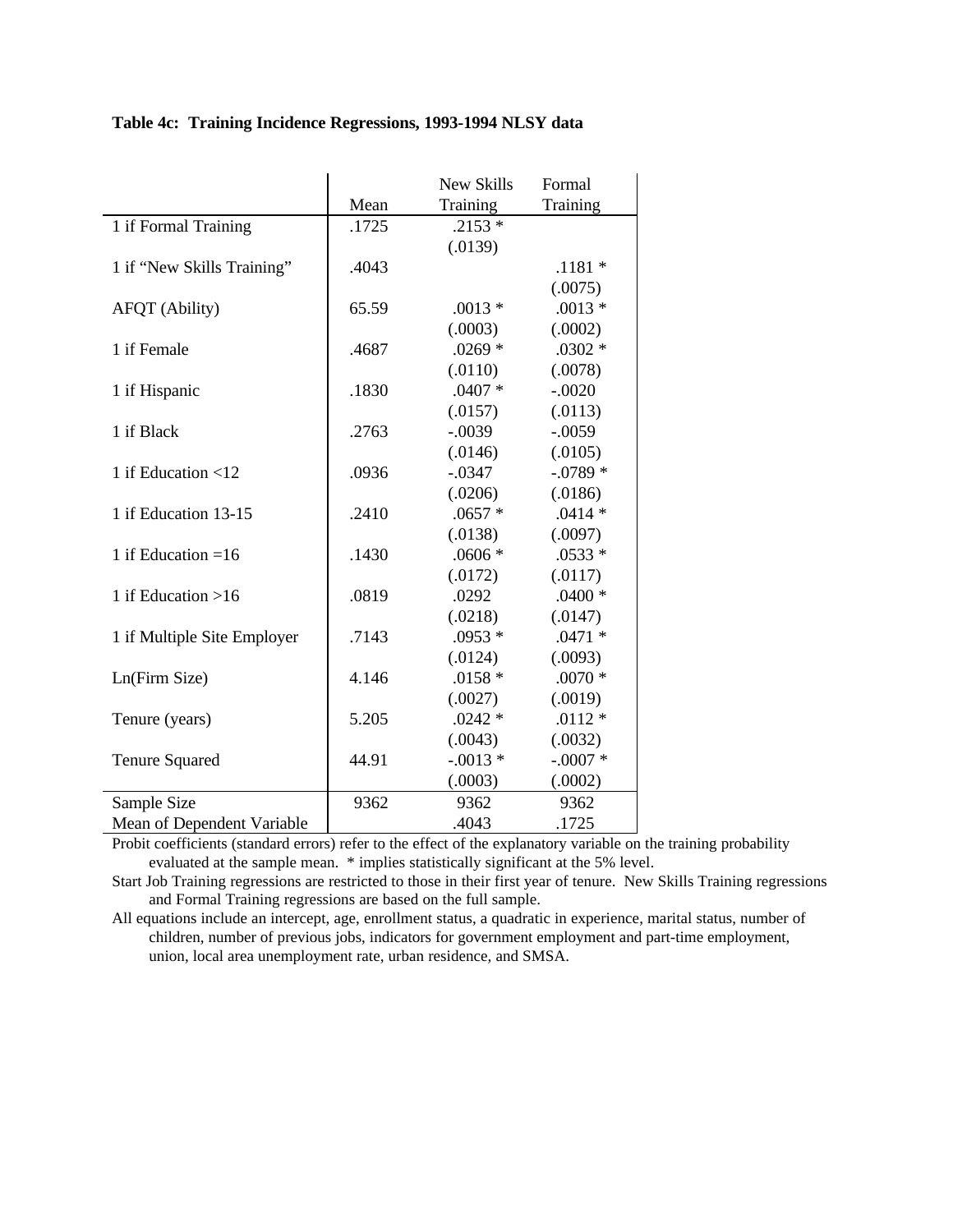|                             |       | New Skills      | Formal    |
|-----------------------------|-------|-----------------|-----------|
|                             | Mean  | <b>Training</b> | Training  |
| 1 if Formal Training        | .1725 | $.2153*$        |           |
|                             |       | (.0139)         |           |
| 1 if "New Skills Training"  | .4043 |                 | $.1181*$  |
|                             |       |                 | (.0075)   |
| <b>AFQT</b> (Ability)       | 65.59 | $.0013*$        | $.0013*$  |
|                             |       | (.0003)         | (.0002)   |
| 1 if Female                 | .4687 | $.0269*$        | $.0302*$  |
|                             |       | (.0110)         | (.0078)   |
| 1 if Hispanic               | .1830 | $.0407 *$       | $-.0020$  |
|                             |       | (.0157)         | (.0113)   |
| 1 if Black                  | .2763 | $-.0039$        | $-.0059$  |
|                             |       | (.0146)         | (.0105)   |
| 1 if Education <12          | .0936 | $-.0347$        | $-.0789*$ |
|                             |       | (.0206)         | (.0186)   |
| 1 if Education 13-15        | .2410 | $.0657*$        | $.0414*$  |
|                             |       | (.0138)         | (.0097)   |
| 1 if Education $=16$        | .1430 | $.0606*$        | $.0533*$  |
|                             |       | (.0172)         | (.0117)   |
| 1 if Education $>16$        | .0819 | .0292           | $.0400*$  |
|                             |       | (.0218)         | (.0147)   |
| 1 if Multiple Site Employer | .7143 | $.0953*$        | $.0471*$  |
|                             |       | (.0124)         | (.0093)   |
| Ln(Firm Size)               | 4.146 | $.0158*$        | $.0070*$  |
|                             |       | (.0027)         | (.0019)   |
| Tenure (years)              | 5.205 | $.0242*$        | $.0112*$  |
|                             |       | (.0043)         | (.0032)   |
| <b>Tenure Squared</b>       | 44.91 | $-.0013*$       | $-.0007*$ |
|                             |       | (.0003)         | (.0002)   |
| Sample Size                 | 9362  | 9362            | 9362      |
| Mean of Dependent Variable  |       | .4043           | .1725     |

## **Table 4c: Training Incidence Regressions, 1993-1994 NLSY data**

Probit coefficients (standard errors) refer to the effect of the explanatory variable on the training probability evaluated at the sample mean. \* implies statistically significant at the 5% level.

Start Job Training regressions are restricted to those in their first year of tenure. New Skills Training regressions and Formal Training regressions are based on the full sample.

All equations include an intercept, age, enrollment status, a quadratic in experience, marital status, number of children, number of previous jobs, indicators for government employment and part-time employment, union, local area unemployment rate, urban residence, and SMSA.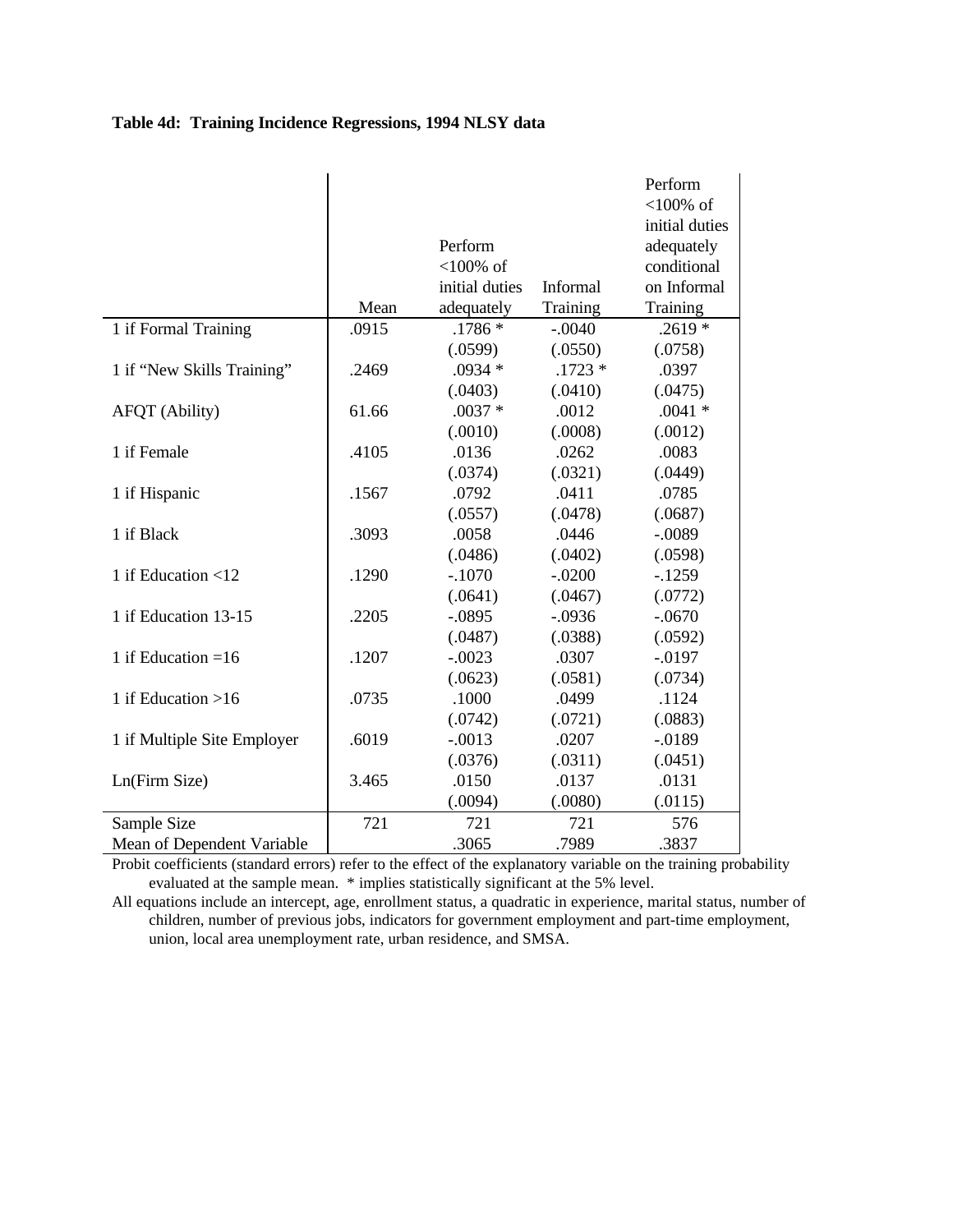# **Table 4d: Training Incidence Regressions, 1994 NLSY data**

|                             |       |                |          | Perform        |
|-----------------------------|-------|----------------|----------|----------------|
|                             |       |                |          | $<$ 100% of    |
|                             |       |                |          | initial duties |
|                             |       | Perform        |          | adequately     |
|                             |       | $<$ 100% of    |          | conditional    |
|                             |       | initial duties | Informal | on Informal    |
|                             | Mean  | adequately     | Training | Training       |
| 1 if Formal Training        | .0915 | $.1786*$       | $-.0040$ | $.2619*$       |
|                             |       | (.0599)        | (.0550)  | (.0758)        |
| 1 if "New Skills Training"  | .2469 | $.0934*$       | $.1723*$ | .0397          |
|                             |       | (.0403)        | (.0410)  | (.0475)        |
| <b>AFQT</b> (Ability)       | 61.66 | $.0037 *$      | .0012    | $.0041 *$      |
|                             |       | (.0010)        | (.0008)  | (.0012)        |
| 1 if Female                 | .4105 | .0136          | .0262    | .0083          |
|                             |       | (.0374)        | (.0321)  | (.0449)        |
| 1 if Hispanic               | .1567 | .0792          | .0411    | .0785          |
|                             |       | (.0557)        | (.0478)  | (.0687)        |
| 1 if Black                  | .3093 | .0058          | .0446    | $-.0089$       |
|                             |       | (.0486)        | (.0402)  | (.0598)        |
| 1 if Education <12          | .1290 | $-.1070$       | $-.0200$ | $-.1259$       |
|                             |       | (.0641)        | (.0467)  | (.0772)        |
| 1 if Education 13-15        | .2205 | $-.0895$       | $-.0936$ | $-.0670$       |
|                             |       | (.0487)        | (.0388)  | (.0592)        |
| 1 if Education $=16$        | .1207 | $-.0023$       | .0307    | $-.0197$       |
|                             |       | (.0623)        | (.0581)  | (.0734)        |
| 1 if Education >16          | .0735 | .1000          | .0499    | .1124          |
|                             |       | (.0742)        | (.0721)  | (.0883)        |
| 1 if Multiple Site Employer | .6019 | $-.0013$       | .0207    | $-0.0189$      |
|                             |       | (.0376)        | (.0311)  | (.0451)        |
| Ln(Firm Size)               | 3.465 | .0150          | .0137    | .0131          |
|                             |       | (.0094)        | (.0080)  | (.0115)        |
| Sample Size                 | 721   | 721            | 721      | 576            |
| Mean of Dependent Variable  |       | .3065          | .7989    | .3837          |

Probit coefficients (standard errors) refer to the effect of the explanatory variable on the training probability evaluated at the sample mean. \* implies statistically significant at the 5% level.

All equations include an intercept, age, enrollment status, a quadratic in experience, marital status, number of children, number of previous jobs, indicators for government employment and part-time employment, union, local area unemployment rate, urban residence, and SMSA.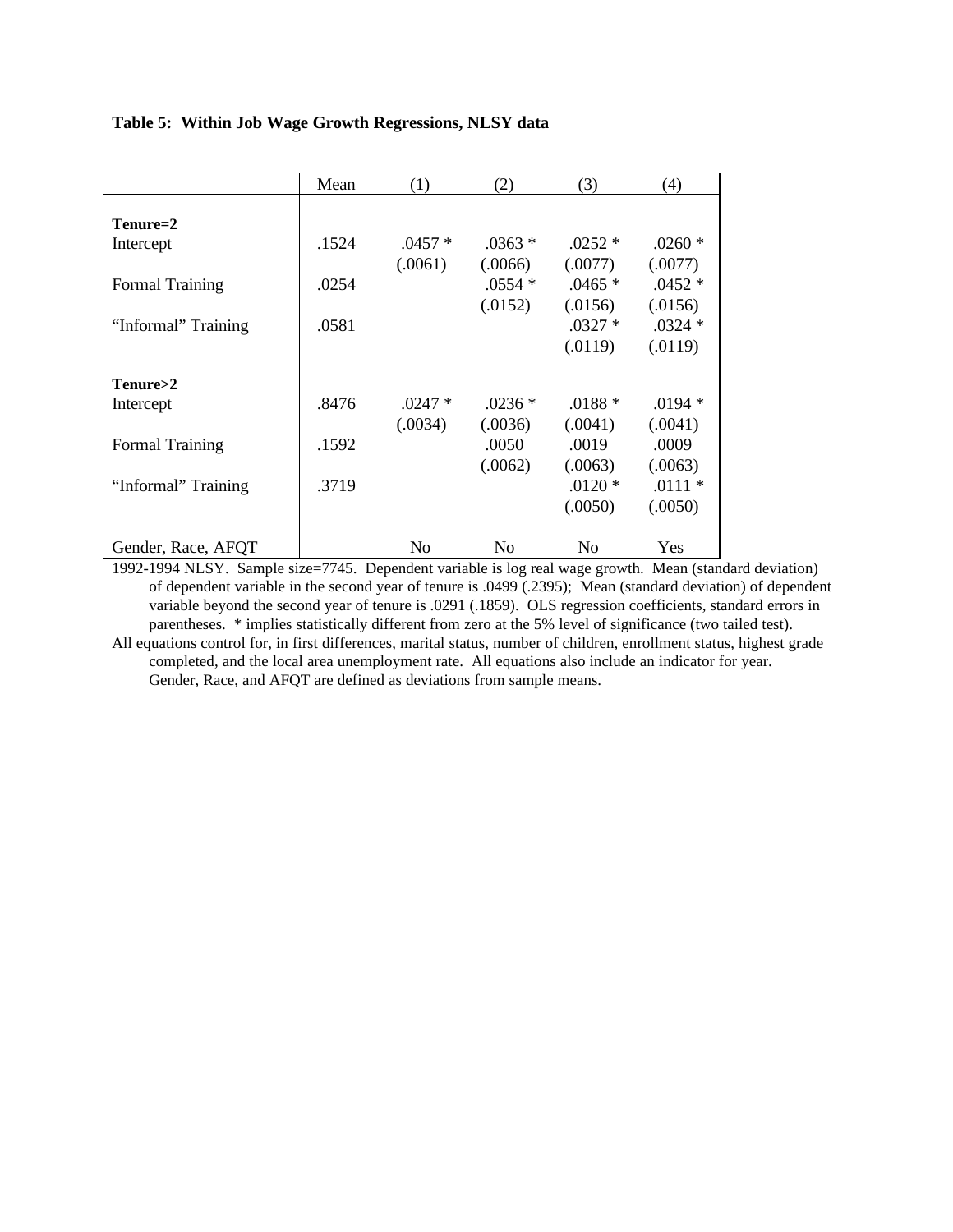|  |  |  |  | Table 5: Within Job Wage Growth Regressions, NLSY data |  |  |
|--|--|--|--|--------------------------------------------------------|--|--|
|--|--|--|--|--------------------------------------------------------|--|--|

|                     | Mean  | (1)      | (2)            | (3)            | (4)      |
|---------------------|-------|----------|----------------|----------------|----------|
| $T$ enure= $2$      |       |          |                |                |          |
| Intercept           | .1524 | $.0457*$ | $.0363*$       | $.0252*$       | $.0260*$ |
|                     |       | (.0061)  | (.0066)        | (.0077)        | (.0077)  |
| Formal Training     | .0254 |          | $.0554*$       | $.0465*$       | $.0452*$ |
|                     |       |          | (.0152)        | (.0156)        | (.0156)  |
| "Informal" Training | .0581 |          |                | $.0327*$       | $.0324*$ |
|                     |       |          |                | (.0119)        | (.0119)  |
| $T$ enure $>2$      |       |          |                |                |          |
| Intercept           | .8476 | $.0247*$ | $.0236*$       | $.0188*$       | $.0194*$ |
|                     |       | (.0034)  | (.0036)        | (.0041)        | (.0041)  |
| Formal Training     | .1592 |          | .0050          | .0019          | .0009    |
|                     |       |          | (.0062)        | (.0063)        | (.0063)  |
| "Informal" Training | .3719 |          |                | $.0120*$       | $.0111*$ |
|                     |       |          |                | (.0050)        | (.0050)  |
| Gender, Race, AFQT  |       | No.      | N <sub>0</sub> | N <sub>0</sub> | Yes      |

1992-1994 NLSY. Sample size=7745. Dependent variable is log real wage growth. Mean (standard deviation) of dependent variable in the second year of tenure is .0499 (.2395); Mean (standard deviation) of dependent variable beyond the second year of tenure is .0291 (.1859). OLS regression coefficients, standard errors in parentheses. \* implies statistically different from zero at the 5% level of significance (two tailed test). All equations control for, in first differences, marital status, number of children, enrollment status, highest grade

 completed, and the local area unemployment rate. All equations also include an indicator for year. Gender, Race, and AFQT are defined as deviations from sample means.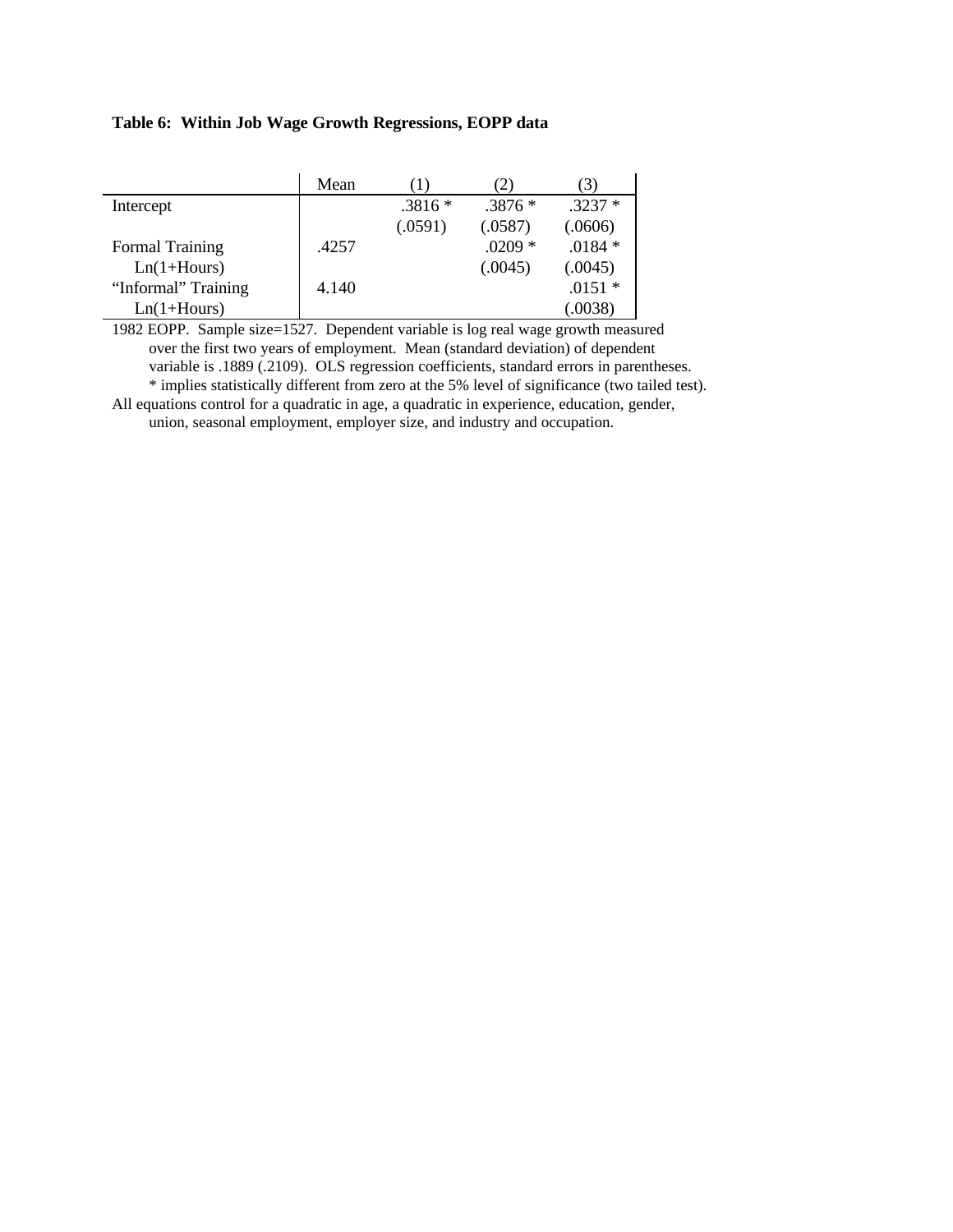# **Table 6: Within Job Wage Growth Regressions, EOPP data**

|                     | Mean  |          | 2)       | 3)        |
|---------------------|-------|----------|----------|-----------|
| Intercept           |       | $.3816*$ | $.3876*$ | $.3237*$  |
|                     |       | (.0591)  | (.0587)  | (.0606)   |
| Formal Training     | .4257 |          | $.0209*$ | $.0184*$  |
| $Ln(1+Hours)$       |       |          | (.0045)  | (.0045)   |
| "Informal" Training | 4.140 |          |          | $.0151$ * |
| $Ln(1+Hours)$       |       |          |          | 0.0038    |

1982 EOPP. Sample size=1527. Dependent variable is log real wage growth measured over the first two years of employment. Mean (standard deviation) of dependent variable is .1889 (.2109). OLS regression coefficients, standard errors in parentheses. \* implies statistically different from zero at the 5% level of significance (two tailed test). All equations control for a quadratic in age, a quadratic in experience, education, gender, union, seasonal employment, employer size, and industry and occupation.